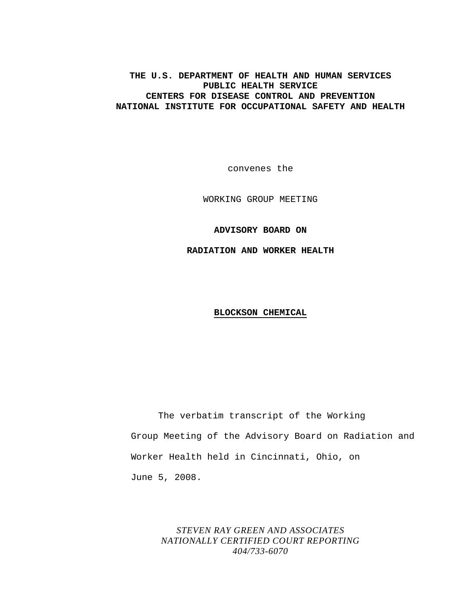## **THE U.S. DEPARTMENT OF HEALTH AND HUMAN SERVICES PUBLIC HEALTH SERVICE CENTERS FOR DISEASE CONTROL AND PREVENTION NATIONAL INSTITUTE FOR OCCUPATIONAL SAFETY AND HEALTH**

convenes the

WORKING GROUP MEETING

**ADVISORY BOARD ON** 

**RADIATION AND WORKER HEALTH** 

### **BLOCKSON CHEMICAL**

The verbatim transcript of the Working Group Meeting of the Advisory Board on Radiation and Worker Health held in Cincinnati, Ohio, on June 5, 2008.

# *STEVEN RAY GREEN AND ASSOCIATES NATIONALLY CERTIFIED COURT REPORTING 404/733-6070*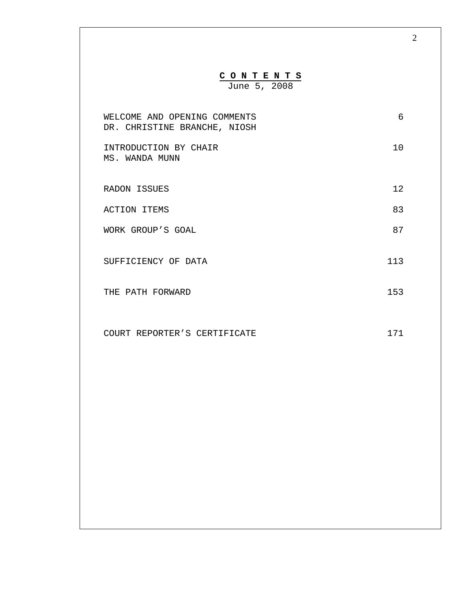| CONTENTS<br>June 5, 2008                                     |     |
|--------------------------------------------------------------|-----|
| WELCOME AND OPENING COMMENTS<br>DR. CHRISTINE BRANCHE, NIOSH | 6   |
| INTRODUCTION BY CHAIR<br>MS. WANDA MUNN                      | 10  |
| <b>RADON ISSUES</b>                                          | 12  |
| <b>ACTION ITEMS</b>                                          | 83  |
| WORK GROUP'S GOAL                                            | 87  |
| SUFFICIENCY OF DATA                                          | 113 |
| THE PATH FORWARD                                             | 153 |
| COURT REPORTER'S CERTIFICATE                                 | 171 |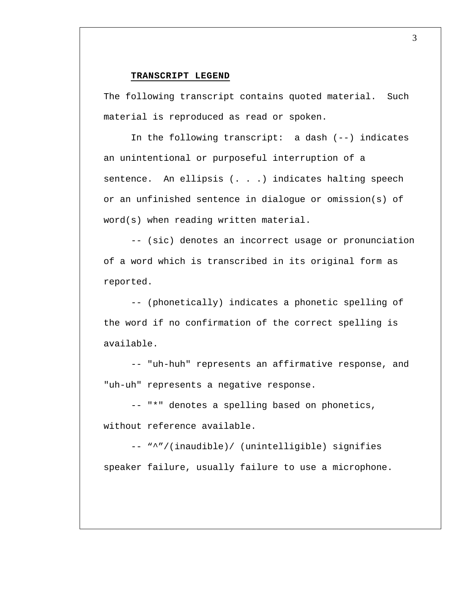#### **TRANSCRIPT LEGEND**

The following transcript contains quoted material. Such material is reproduced as read or spoken.

In the following transcript: a dash (--) indicates an unintentional or purposeful interruption of a sentence. An ellipsis (. . .) indicates halting speech or an unfinished sentence in dialogue or omission(s) of word(s) when reading written material.

-- (sic) denotes an incorrect usage or pronunciation of a word which is transcribed in its original form as reported.

-- (phonetically) indicates a phonetic spelling of the word if no confirmation of the correct spelling is available.

-- "uh-huh" represents an affirmative response, and "uh-uh" represents a negative response.

-- "\*" denotes a spelling based on phonetics, without reference available.

-- "^"/(inaudible)/ (unintelligible) signifies speaker failure, usually failure to use a microphone.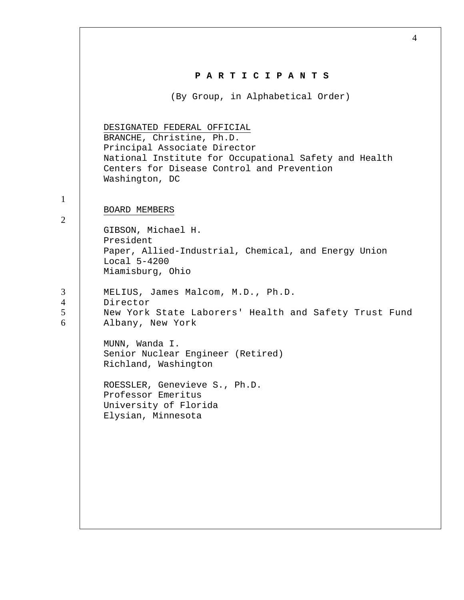|                               | 4                                                                                                                                                                                                                 |
|-------------------------------|-------------------------------------------------------------------------------------------------------------------------------------------------------------------------------------------------------------------|
|                               | PARTICIPANTS                                                                                                                                                                                                      |
|                               | (By Group, in Alphabetical Order)                                                                                                                                                                                 |
|                               | DESIGNATED FEDERAL OFFICIAL<br>BRANCHE, Christine, Ph.D.<br>Principal Associate Director<br>National Institute for Occupational Safety and Health<br>Centers for Disease Control and Prevention<br>Washington, DC |
| $\mathbf{1}$                  |                                                                                                                                                                                                                   |
| 2                             | BOARD MEMBERS<br>GIBSON, Michael H.<br>President<br>Paper, Allied-Industrial, Chemical, and Energy Union<br>Local 5-4200<br>Miamisburg, Ohio                                                                      |
| 3<br>$\overline{4}$<br>5<br>6 | MELIUS, James Malcom, M.D., Ph.D.<br>Director<br>New York State Laborers' Health and Safety Trust Fund<br>Albany, New York                                                                                        |
|                               | MUNN, Wanda I.<br>Senior Nuclear Engineer (Retired)<br>Richland, Washington                                                                                                                                       |
|                               | ROESSLER, Genevieve S., Ph.D.<br>Professor Emeritus<br>University of Florida<br>Elysian, Minnesota                                                                                                                |
|                               |                                                                                                                                                                                                                   |
|                               |                                                                                                                                                                                                                   |

 $\Gamma$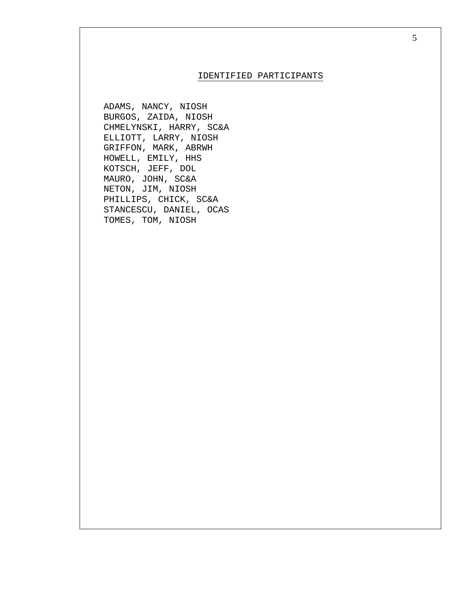### IDENTIFIED PARTICIPANTS

ADAMS, NANCY, NIOSH BURGOS, ZAIDA, NIOSH CHMELYNSKI, HARRY, SC&A ELLIOTT, LARRY, NIOSH GRIFFON, MARK, ABRWH HOWELL, EMILY, HHS KOTSCH, JEFF, DOL MAURO, JOHN, SC&A NETON, JIM, NIOSH PHILLIPS, CHICK, SC&A STANCESCU, DANIEL, OCAS TOMES, TOM, NIOSH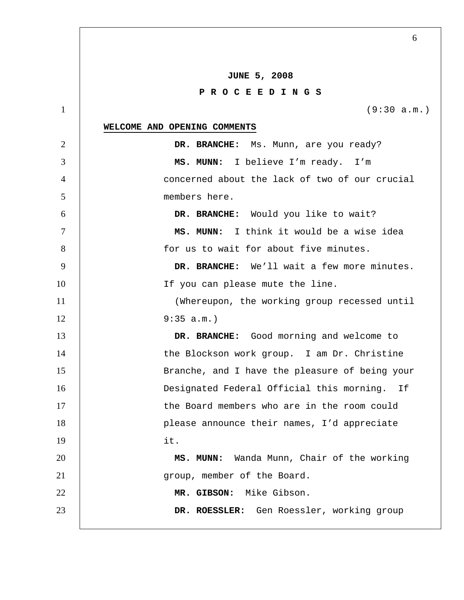|                 | 6                                              |
|-----------------|------------------------------------------------|
|                 |                                                |
|                 | <b>JUNE 5, 2008</b>                            |
|                 | PROCEEDINGS                                    |
| $\mathbf{1}$    | (9:30 a.m.)                                    |
|                 | WELCOME AND OPENING COMMENTS                   |
| 2               | DR. BRANCHE: Ms. Munn, are you ready?          |
| 3               | MS. MUNN: I believe I'm ready. I'm             |
| $\overline{4}$  | concerned about the lack of two of our crucial |
| 5               | members here.                                  |
| 6               | DR. BRANCHE: Would you like to wait?           |
| $7\phantom{.0}$ | MS. MUNN: I think it would be a wise idea      |
| 8               | for us to wait for about five minutes.         |
| 9               | DR. BRANCHE: We'll wait a few more minutes.    |
| 10              | If you can please mute the line.               |
| 11              | (Whereupon, the working group recessed until   |
| 12              | $9:35 a.m.$ )                                  |
| 13              | DR. BRANCHE: Good morning and welcome to       |
| 14              | the Blockson work group. I am Dr. Christine    |
| 15              | Branche, and I have the pleasure of being your |
| 16              | Designated Federal Official this morning. If   |
| 17              | the Board members who are in the room could    |
| 18              | please announce their names, I'd appreciate    |
| 19              | it.                                            |
| 20              | MS. MUNN: Wanda Munn, Chair of the working     |
| 21              | group, member of the Board.                    |
| 22              | MR. GIBSON: Mike Gibson.                       |
| 23              | DR. ROESSLER: Gen Roessler, working group      |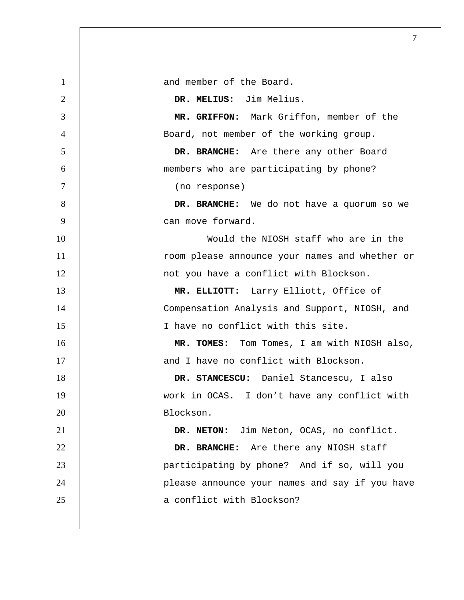1 and member of the Board. **DR. MELIUS:** Jim Melius. **MR. GRIFFON:** Mark Griffon, member of the Board, not member of the working group. **DR. BRANCHE:** Are there any other Board members who are participating by phone? (no response) **DR. BRANCHE:** We do not have a quorum so we 9 | can move forward. 10 Would the NIOSH staff who are in the 11 | room please announce your names and whether or 12 | not you have a conflict with Blockson. **MR. ELLIOTT:** Larry Elliott, Office of Compensation Analysis and Support, NIOSH, and 15 | Thave no conflict with this site. **MR. TOMES:** Tom Tomes, I am with NIOSH also, **and I have no conflict with Blockson. DR. STANCESCU:** Daniel Stancescu, I also work in OCAS. I don't have any conflict with 20 Blockson. **DR. NETON:** Jim Neton, OCAS, no conflict. **DR. BRANCHE:** Are there any NIOSH staff participating by phone? And if so, will you 24 | please announce your names and say if you have 25 a conflict with Blockson?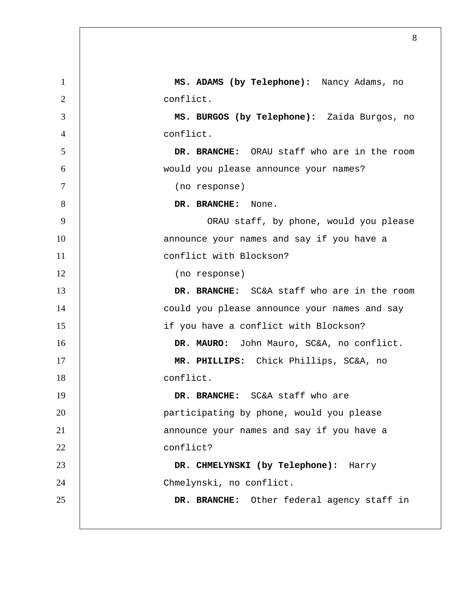| 1              | MS. ADAMS (by Telephone): Nancy Adams, no    |
|----------------|----------------------------------------------|
| $\overline{2}$ | conflict.                                    |
| 3              | MS. BURGOS (by Telephone): Zaida Burgos, no  |
| $\overline{4}$ | conflict.                                    |
| 5              | DR. BRANCHE: ORAU staff who are in the room  |
| 6              | would you please announce your names?        |
| $\overline{7}$ | (no response)                                |
| 8              | DR. BRANCHE: None.                           |
| 9              | ORAU staff, by phone, would you please       |
| 10             | announce your names and say if you have a    |
| 11             | conflict with Blockson?                      |
| 12             | (no response)                                |
| 13             | DR. BRANCHE: SC&A staff who are in the room  |
| 14             | could you please announce your names and say |
| 15             | if you have a conflict with Blockson?        |
| 16             | DR. MAURO: John Mauro, SC&A, no conflict.    |
| 17             | MR. PHILLIPS: Chick Phillips, SC&A, no       |
| 18             | conflict.                                    |
| 19             | DR. BRANCHE: SC&A staff who are              |
| 20             | participating by phone, would you please     |
| 21             | announce your names and say if you have a    |
| 22             | conflict?                                    |
| 23             | DR. CHMELYNSKI (by Telephone): Harry         |
| 24             | Chmelynski, no conflict.                     |
| 25             | DR. BRANCHE: Other federal agency staff in   |
|                |                                              |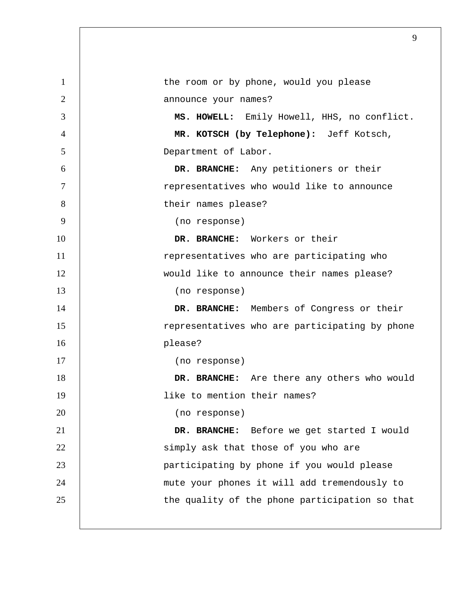| 1              | the room or by phone, would you please         |
|----------------|------------------------------------------------|
| $\overline{2}$ | announce your names?                           |
| 3              | MS. HOWELL: Emily Howell, HHS, no conflict.    |
| $\overline{4}$ | MR. KOTSCH (by Telephone): Jeff Kotsch,        |
| 5              | Department of Labor.                           |
| 6              | DR. BRANCHE: Any petitioners or their          |
| $\tau$         | representatives who would like to announce     |
| 8              | their names please?                            |
| 9              | (no response)                                  |
| 10             | DR. BRANCHE: Workers or their                  |
| 11             | representatives who are participating who      |
| 12             | would like to announce their names please?     |
| 13             | (no response)                                  |
| 14             | DR. BRANCHE: Members of Congress or their      |
| 15             | representatives who are participating by phone |
| 16             | please?                                        |
| 17             | (no response)                                  |
| 18             | DR. BRANCHE: Are there any others who would    |
| 19             | like to mention their names?                   |
| 20             | (no response)                                  |
| 21             | DR. BRANCHE: Before we get started I would     |
| 22             | simply ask that those of you who are           |
| 23             | participating by phone if you would please     |
| 24             | mute your phones it will add tremendously to   |
| 25             | the quality of the phone participation so that |
|                |                                                |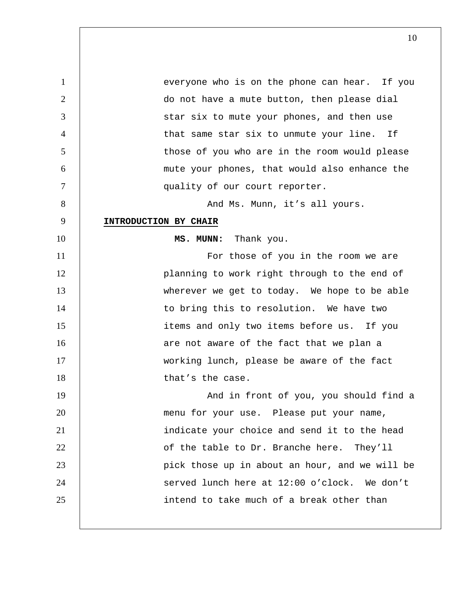1 everyone who is on the phone can hear. If you 2 | do not have a mute button, then please dial 3 Star six to mute your phones, and then use 4 | that same star six to unmute your line. If 5 | those of you who are in the room would please 6 mute your phones, that would also enhance the 7 | quality of our court reporter. 8 | And Ms. Munn, it's all yours. 9 **INTRODUCTION BY CHAIR** 10 **MS. MUNN:** Thank you. 11 | For those of you in the room we are 12 | planning to work right through to the end of 13 | wherever we get to today. We hope to be able 14 | to bring this to resolution. We have two 15 | items and only two items before us. If you 16 | are not aware of the fact that we plan a 17 | working lunch, please be aware of the fact 18 | that's the case. 19 | And in front of you, you should find a 20 | menu for your use. Please put your name, 21 | indicate your choice and send it to the head 22 | of the table to Dr. Branche here. They'll 23 | pick those up in about an hour, and we will be 24 | served lunch here at 12:00 o'clock. We don't 25 | intend to take much of a break other than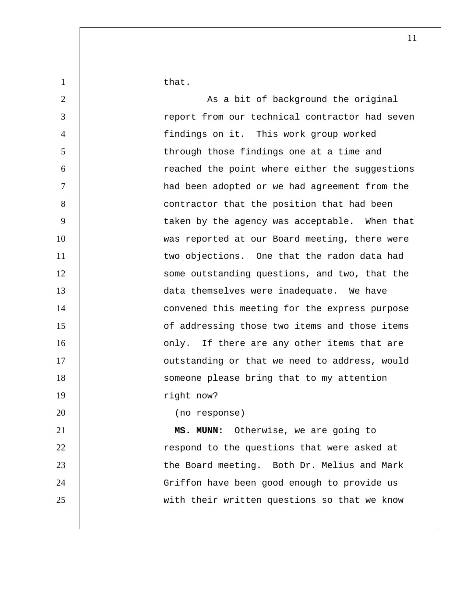1 | that.

2 | As a bit of background the original 3 | report from our technical contractor had seven 4 findings on it. This work group worked 5 | through those findings one at a time and 6 reached the point where either the suggestions 7 had been adopted or we had agreement from the 8 | contractor that the position that had been 9 | taken by the agency was acceptable. When that 10 | was reported at our Board meeting, there were 11 | two objections. One that the radon data had 12 | some outstanding questions, and two, that the 13 | data themselves were inadequate. We have 14 | convened this meeting for the express purpose 15 **15** of addressing those two items and those items 16 | conly. If there are any other items that are 17 | outstanding or that we need to address, would 18 | Someone please bring that to my attention 19 | right now? 20 (no response) 21 **MS. MUNN:** Otherwise, we are going to 22 | respond to the questions that were asked at 23 **the Board meeting. Both Dr. Melius and Mark** 24 | Griffon have been good enough to provide us

25 | with their written questions so that we know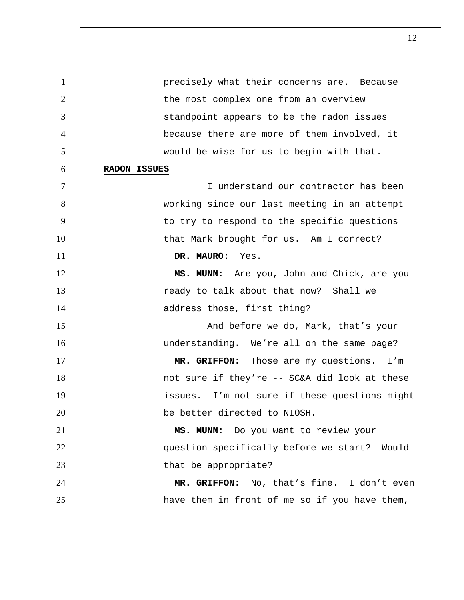1 **precisely what their concerns are.** Because 2 | the most complex one from an overview 3 **South 1** Standpoint appears to be the radon issues 4 because there are more of them involved, it 5 would be wise for us to begin with that. 6 **RADON ISSUES** 7 I understand our contractor has been 8 working since our last meeting in an attempt 9 | to try to respond to the specific questions 10 | that Mark brought for us. Am I correct? 11 **DR. MAURO:** Yes. 12 | **MS. MUNN:** Are you, John and Chick, are you 13 | ready to talk about that now? Shall we 14 | address those, first thing? 15 | And before we do, Mark, that's your 16 understanding. We're all on the same page? 17 | **MR. GRIFFON:** Those are my questions. I'm 18 | not sure if they're -- SC&A did look at these 19 issues. I'm not sure if these questions might 20 be better directed to NIOSH. 21 **MS. MUNN:** Do you want to review your 22 | question specifically before we start? Would 23 **b** that be appropriate? 24 **MR. GRIFFON:** No, that's fine. I don't even 25 | have them in front of me so if you have them,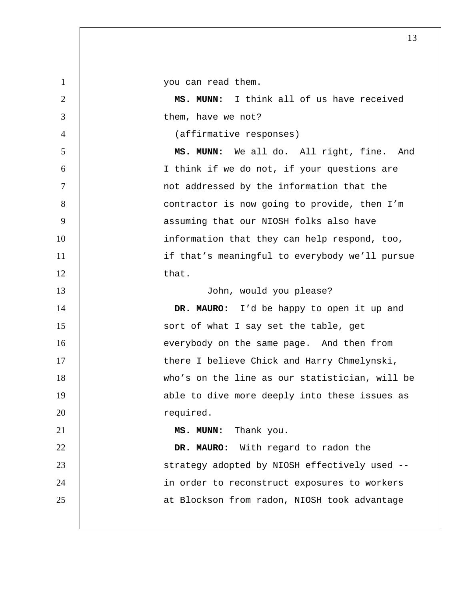1 | vou can read them. 2 **MS. MUNN:** I think all of us have received 3 | them, have we not? 4 (affirmative responses) 5 **MS. MUNN:** We all do. All right, fine. And 6 I think if we do not, if your questions are 7 | and interested by the information that the 1 8 | contractor is now going to provide, then I'm 9 | assuming that our NIOSH folks also have 10 | information that they can help respond, too, 11 | if that's meaningful to everybody we'll pursue 12 | that. 13 | John, would you please? 14 **DR. MAURO:** I'd be happy to open it up and 15 | sort of what I say set the table, get 16 everybody on the same page. And then from 17 | there I believe Chick and Harry Chmelynski, 18 who's on the line as our statistician, will be 19 | able to dive more deeply into these issues as 20 cequired. 21 **MS. MUNN:** Thank you. 22 **DR. MAURO:** With regard to radon the 23 | Strategy adopted by NIOSH effectively used --24 | in order to reconstruct exposures to workers 25 | at Blockson from radon, NIOSH took advantage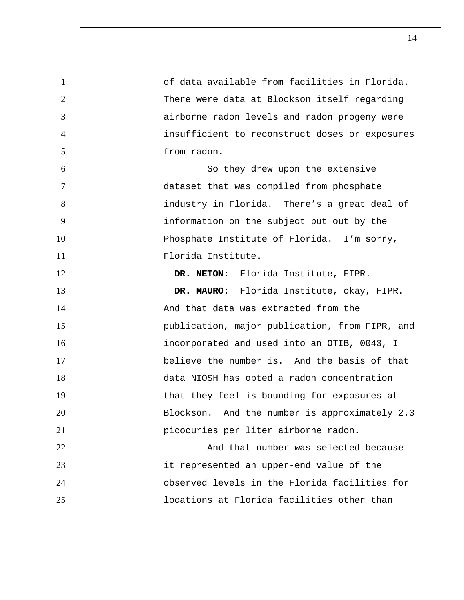| $\mathbf{1}$    | of data available from facilities in Florida.  |
|-----------------|------------------------------------------------|
| $\overline{2}$  | There were data at Blockson itself regarding   |
| 3               | airborne radon levels and radon progeny were   |
| $\overline{4}$  | insufficient to reconstruct doses or exposures |
| $5\overline{)}$ | from radon.                                    |
| 6               | So they drew upon the extensive                |
| $\tau$          | dataset that was compiled from phosphate       |
| 8               | industry in Florida. There's a great deal of   |
| 9               | information on the subject put out by the      |
| 10              | Phosphate Institute of Florida. I'm sorry,     |
| 11              | Florida Institute.                             |
| 12              | DR. NETON: Florida Institute, FIPR.            |
| 13              | DR. MAURO: Florida Institute, okay, FIPR.      |
| 14              | And that data was extracted from the           |
| 15              | publication, major publication, from FIPR, and |
| 16              | incorporated and used into an OTIB, 0043, I    |
| 17              | believe the number is. And the basis of that   |
| 18              | data NIOSH has opted a radon concentration     |
| 19              | that they feel is bounding for exposures at    |
| 20              | Blockson. And the number is approximately 2.3  |
| 21              | picocuries per liter airborne radon.           |
| 22              | And that number was selected because           |
| 23              | it represented an upper-end value of the       |
| 24              | observed levels in the Florida facilities for  |
|                 |                                                |
| 25              | locations at Florida facilities other than     |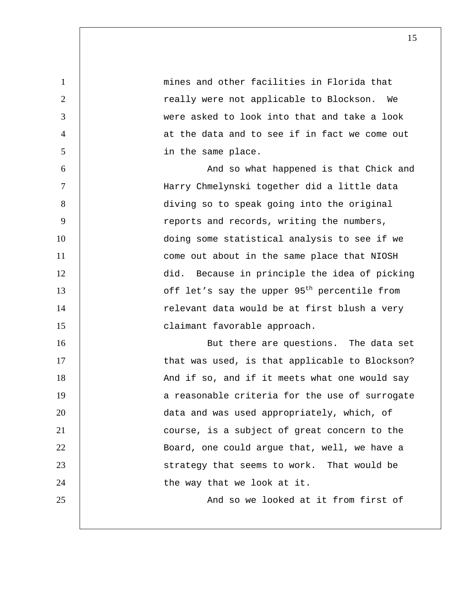1 **1 mines and other facilities in Florida that** 2 | Teally were not applicable to Blockson. We 3 were asked to look into that and take a look 4 at the data and to see if in fact we come out 5 in the same place. 6 | And so what happened is that Chick and 7 Harry Chmelynski together did a little data 8 diving so to speak going into the original 9 | reports and records, writing the numbers, 10 | doing some statistical analysis to see if we 11 | come out about in the same place that NIOSH 12 did. Because in principle the idea of picking 13 |  $\int$  off let's say the upper  $95<sup>th</sup>$  percentile from 14 | relevant data would be at first blush a very 15 | claimant favorable approach. 16 | But there are questions. The data set 17 | that was used, is that applicable to Blockson? 18 | And if so, and if it meets what one would say 19 | a reasonable criteria for the use of surrogate 20 data and was used appropriately, which, of 21 | course, is a subject of great concern to the 22 | Board, one could argue that, well, we have a 23 | Strategy that seems to work. That would be 24 | the way that we look at it. 25 | And so we looked at it from first of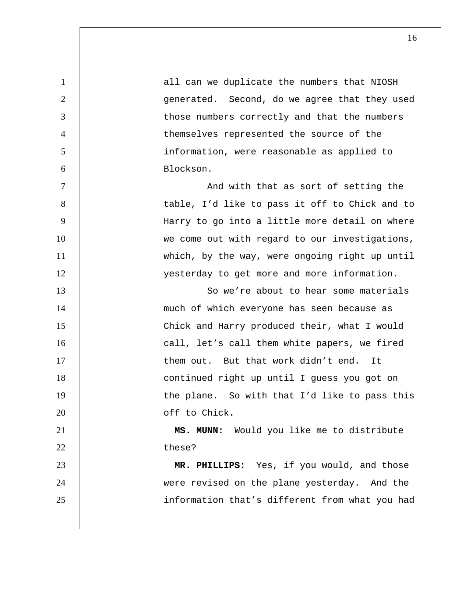| all can we duplicate the numbers that NIOSH    |
|------------------------------------------------|
| generated. Second, do we agree that they used  |
| those numbers correctly and that the numbers   |
| themselves represented the source of the       |
| information, were reasonable as applied to     |
| Blockson.                                      |
| And with that as sort of setting the           |
| table, I'd like to pass it off to Chick and to |
| Harry to go into a little more detail on where |
| we come out with regard to our investigations, |
| which, by the way, were ongoing right up until |
| yesterday to get more and more information.    |
| So we're about to hear some materials          |
| much of which everyone has seen because as     |
| Chick and Harry produced their, what I would   |
| call, let's call them white papers, we fired   |
| them out. But that work didn't end. It         |
| continued right up until I guess you got on    |
| the plane. So with that I'd like to pass this  |
| off to Chick.                                  |
| MS. MUNN: Would you like me to distribute      |
| these?                                         |
| MR. PHILLIPS: Yes, if you would, and those     |
| were revised on the plane yesterday. And the   |
| information that's different from what you had |
|                                                |
|                                                |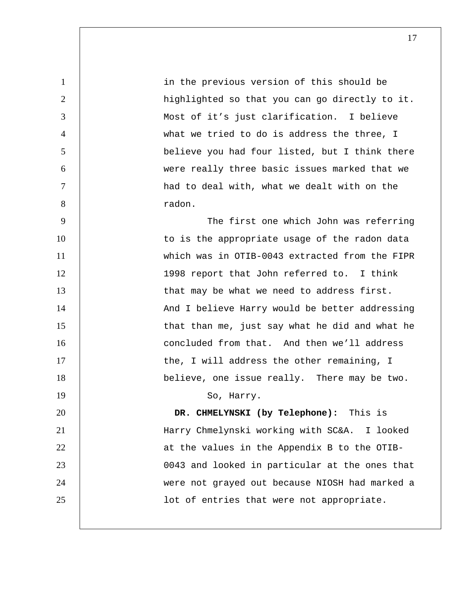in the previous version of this should be 2 | highlighted so that you can go directly to it. Most of it's just clarification. I believe what we tried to do is address the three, I believe you had four listed, but I think there were really three basic issues marked that we had to deal with, what we dealt with on the 8 and 8 and 8 and 8 and 8 and 8 and 8 and 8 and 8 and 8 and 8 and 8 and 8 and 8 and 8 and 8 and 8 and 8 and 8 and 8 and 8 and 8 and 8 and 8 and 8 and 8 and 8 and 8 and 8 and 8 and 8 and 8 and 8 and 8 and 8 and 8 and 8 and

The first one which John was referring 10 | to is the appropriate usage of the radon data which was in OTIB-0043 extracted from the FIPR 12 | 1998 report that John referred to. I think **that may be what we need to address first.** 14 | And I believe Harry would be better addressing 15 | that than me, just say what he did and what he **concluded from that.** And then we'll address 17 | the, I will address the other remaining, I 18 | believe, one issue really. There may be two. 19 So, Harry. **DR. CHMELYNSKI (by Telephone):** This is Harry Chmelynski working with SC&A. I looked

**1** at the values in the Appendix B to the OTIB-0043 and looked in particular at the ones that were not grayed out because NIOSH had marked a 25 | lot of entries that were not appropriate.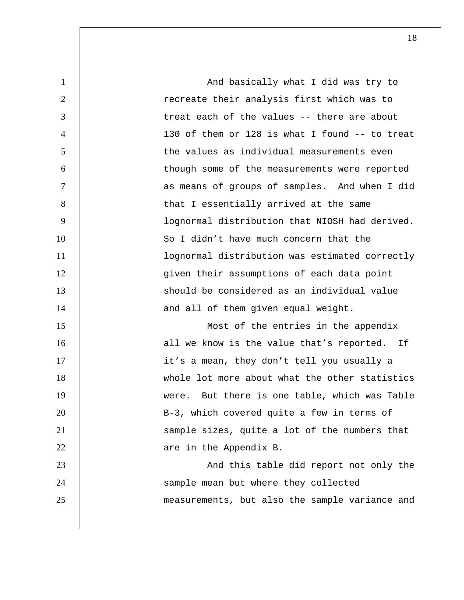1 and basically what I did was try to 2 | Tecreate their analysis first which was to 3 | treat each of the values -- there are about 4 130 of them or 128 is what I found -- to treat 5 the values as individual measurements even 6 though some of the measurements were reported 7 as means of groups of samples. And when I did 8 | that I essentially arrived at the same 9 lognormal distribution that NIOSH had derived. 10 So I didn't have much concern that the 11 | lognormal distribution was estimated correctly 12 | given their assumptions of each data point 13 should be considered as an individual value 14 | and all of them given equal weight. 15 Most of the entries in the appendix 16 all we know is the value that's reported. If 17 | it's a mean, they don't tell you usually a 18 whole lot more about what the other statistics 19 were. But there is one table, which was Table 20 | B-3, which covered quite a few in terms of 21 | Sample sizes, quite a lot of the numbers that 22 **are in the Appendix B.** 23 | And this table did report not only the 24 | sample mean but where they collected 25 measurements, but also the sample variance and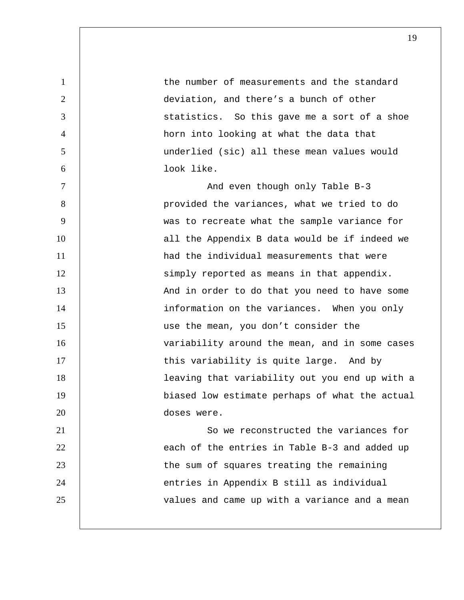| $\mathbf{1}$   | the number of measurements and the standard    |
|----------------|------------------------------------------------|
| $\overline{2}$ | deviation, and there's a bunch of other        |
| 3              | statistics. So this gave me a sort of a shoe   |
| $\overline{4}$ | horn into looking at what the data that        |
| 5              | underlied (sic) all these mean values would    |
| 6              | look like.                                     |
| $\overline{7}$ | And even though only Table B-3                 |
| 8              | provided the variances, what we tried to do    |
| 9              | was to recreate what the sample variance for   |
| 10             | all the Appendix B data would be if indeed we  |
| 11             | had the individual measurements that were      |
| 12             | simply reported as means in that appendix.     |
| 13             | And in order to do that you need to have some  |
| 14             | information on the variances. When you only    |
| 15             | use the mean, you don't consider the           |
| 16             | variability around the mean, and in some cases |
| 17             | this variability is quite large. And by        |
| 18             | leaving that variability out you end up with a |
| 19             | biased low estimate perhaps of what the actual |
| 20             | doses were.                                    |
| 21             | So we reconstructed the variances for          |
| 22             | each of the entries in Table B-3 and added up  |
| 23             | the sum of squares treating the remaining      |
| 24             | entries in Appendix B still as individual      |
| 25             | values and came up with a variance and a mean  |
|                |                                                |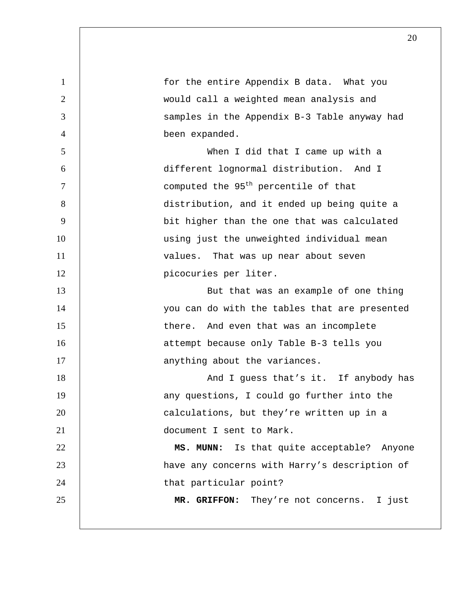| $\mathbf{1}$   | for the entire Appendix B data. What you         |
|----------------|--------------------------------------------------|
| $\overline{2}$ | would call a weighted mean analysis and          |
| 3              | samples in the Appendix B-3 Table anyway had     |
| $\overline{4}$ | been expanded.                                   |
| 5              | When I did that I came up with a                 |
| 6              | different lognormal distribution. And I          |
| $\overline{7}$ | computed the 95 <sup>th</sup> percentile of that |
| 8              | distribution, and it ended up being quite a      |
| 9              | bit higher than the one that was calculated      |
| 10             | using just the unweighted individual mean        |
| 11             | values. That was up near about seven             |
| 12             | picocuries per liter.                            |
| 13             | But that was an example of one thing             |
| 14             | you can do with the tables that are presented    |
| 15             | there. And even that was an incomplete           |
| 16             | attempt because only Table B-3 tells you         |
| 17             | anything about the variances.                    |
| 18             | And I guess that's it. If anybody has            |
| 19             | any questions, I could go further into the       |
| 20             | calculations, but they're written up in a        |
| 21             | document I sent to Mark.                         |
| 22             | MS. MUNN: Is that quite acceptable? Anyone       |
| 23             | have any concerns with Harry's description of    |
| 24             | that particular point?                           |
| 25             | MR. GRIFFON: They're not concerns. I just        |
|                |                                                  |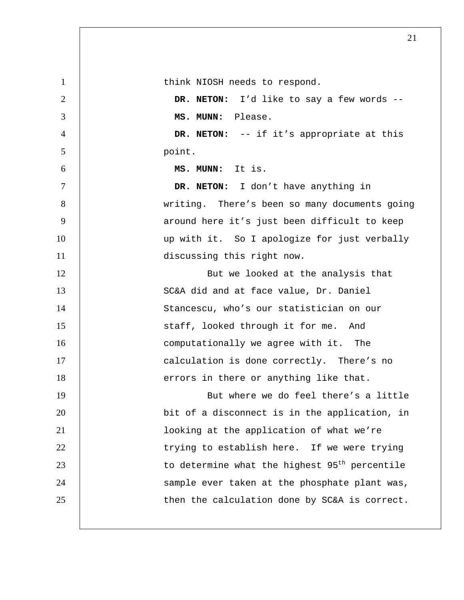1 | think NIOSH needs to respond. 2 **DR. NETON:** I'd like to say a few words --3 **MS. MUNN:** Please. 4 **DR. NETON:** -- if it's appropriate at this 5 point. 6 **MS. MUNN:** It is. 7 **DR. NETON:** I don't have anything in 8 | writing. There's been so many documents going 9 | around here it's just been difficult to keep 10 | up with it. So I apologize for just verbally 11 | discussing this right now. 12 | But we looked at the analysis that 13 | SC&A did and at face value, Dr. Daniel 14 | Stancescu, who's our statistician on our 15 | staff, looked through it for me. And 16 **16** computationally we agree with it. The 17 | calculation is done correctly. There's no 18 | errors in there or anything like that. 19 | But where we do feel there's a little 20 **bit of a disconnect is in the application, in** 21 looking at the application of what we're 22 | trying to establish here. If we were trying  $23$  | to determine what the highest 95<sup>th</sup> percentile 24 | sample ever taken at the phosphate plant was, 25 | then the calculation done by SC&A is correct.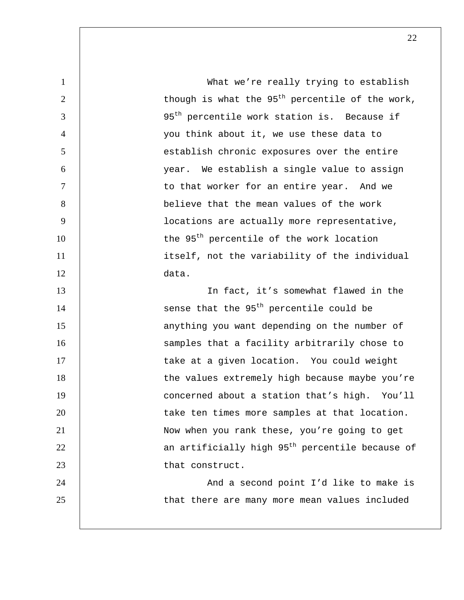| $\mathbf{1}$   | What we're really trying to establish                       |
|----------------|-------------------------------------------------------------|
| 2              | though is what the $95th$ percentile of the work,           |
| 3              | 95 <sup>th</sup> percentile work station is. Because if     |
| $\overline{4}$ | you think about it, we use these data to                    |
| 5              | establish chronic exposures over the entire                 |
| 6              | year. We establish a single value to assign                 |
| $\overline{7}$ | to that worker for an entire year. And we                   |
| 8              | believe that the mean values of the work                    |
| 9              | locations are actually more representative,                 |
| 10             | the 95 <sup>th</sup> percentile of the work location        |
| 11             | itself, not the variability of the individual               |
| 12             | data.                                                       |
| 13             | In fact, it's somewhat flawed in the                        |
| 14             | sense that the 95 <sup>th</sup> percentile could be         |
| 15             | anything you want depending on the number of                |
| 16             | samples that a facility arbitrarily chose to                |
| 17             | take at a given location. You could weight                  |
| 18             | the values extremely high because maybe you're              |
| 19             | concerned about a station that's high. You'll               |
| 20             | take ten times more samples at that location.               |
| 21             | Now when you rank these, you're going to get                |
| 22             | an artificially high 95 <sup>th</sup> percentile because of |
| 23             | that construct.                                             |
| 24             | And a second point I'd like to make is                      |
| 25             | that there are many more mean values included               |
|                |                                                             |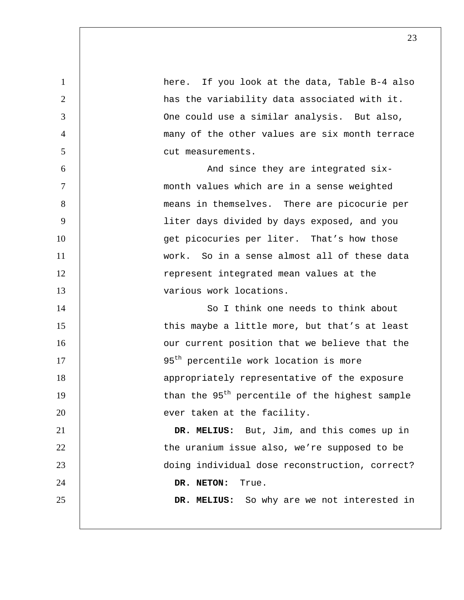| $\mathbf{1}$   | here. If you look at the data, Table B-4 also              |
|----------------|------------------------------------------------------------|
| $\overline{2}$ | has the variability data associated with it.               |
| 3              | One could use a similar analysis. But also,                |
| $\overline{4}$ | many of the other values are six month terrace             |
| 5              | cut measurements.                                          |
| 6              | And since they are integrated six-                         |
| $\tau$         | month values which are in a sense weighted                 |
| 8              | means in themselves. There are picocurie per               |
| 9              | liter days divided by days exposed, and you                |
| 10             | get picocuries per liter. That's how those                 |
| 11             | work. So in a sense almost all of these data               |
| 12             | represent integrated mean values at the                    |
| 13             | various work locations.                                    |
| 14             | So I think one needs to think about                        |
| 15             | this maybe a little more, but that's at least              |
| 16             | our current position that we believe that the              |
| 17             | 95 <sup>th</sup> percentile work location is more          |
| 18             | appropriately representative of the exposure               |
| 19             | than the 95 <sup>th</sup> percentile of the highest sample |
| 20             | ever taken at the facility.                                |
| 21             | DR. MELIUS: But, Jim, and this comes up in                 |
| 22             | the uranium issue also, we're supposed to be               |
| 23             | doing individual dose reconstruction, correct?             |
| 24             | DR. NETON:<br>True.                                        |
| 25             | DR. MELIUS: So why are we not interested in                |
|                |                                                            |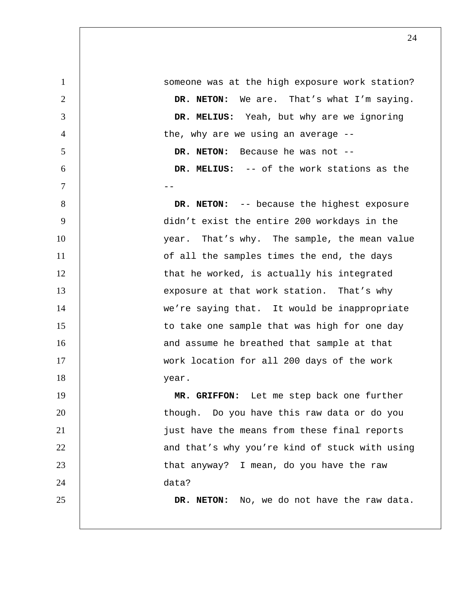1 | someone was at the high exposure work station? 2 **DR. NETON:** We are. That's what I'm saying. 3 **DR. MELIUS:** Yeah, but why are we ignoring 4 degree the, why are we using an average --5 **DR. NETON:** Because he was not -- 6 **DR. MELIUS:** -- of the work stations as the 7 -- 8 **DR. NETON:** -- because the highest exposure 9 didn't exist the entire 200 workdays in the 10 | vear. That's why. The sample, the mean value 11 | of all the samples times the end, the days 12 | that he worked, is actually his integrated 13 exposure at that work station. That's why 14 | we're saying that. It would be inappropriate 15 | to take one sample that was high for one day 16 and assume he breathed that sample at that 17 | work location for all 200 days of the work 18 year. 19 **MR. GRIFFON:** Let me step back one further 20 | though. Do you have this raw data or do you 21 | just have the means from these final reports 22 | and that's why you're kind of stuck with using 23 | that anyway? I mean, do you have the raw 24 data? 25 **DR. NETON:** No, we do not have the raw data.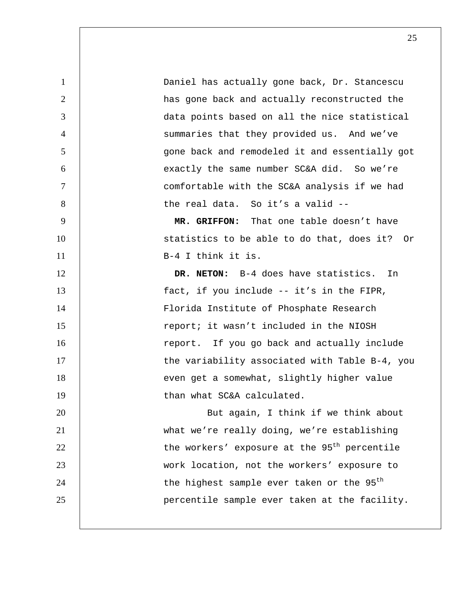1 Daniel has actually gone back, Dr. Stancescu 2 | has gone back and actually reconstructed the 3 data points based on all the nice statistical 4 | summaries that they provided us. And we've 5 gone back and remodeled it and essentially got 6 exactly the same number SC&A did. So we're 7 comfortable with the SC&A analysis if we had 8 | the real data. So it's a valid --9 **MR. GRIFFON:** That one table doesn't have 10 | statistics to be able to do that, does it? Or 11 | B-4 I think it is. 12 **DR. NETON:** B-4 does have statistics. In 13 | fact, if you include -- it's in the FIPR, 14 | Florida Institute of Phosphate Research 15 The subsetterm report; it wasn't included in the NIOSH 16 | report. If you go back and actually include 17 | the variability associated with Table B-4, you 18 | even get a somewhat, slightly higher value 19 than what SC&A calculated. 20 | But again, I think if we think about 21 what we're really doing, we're establishing 22  $\vert$  the workers' exposure at the 95<sup>th</sup> percentile 23 work location, not the workers' exposure to  $24$  | the highest sample ever taken or the  $95<sup>th</sup>$ 25 percentile sample ever taken at the facility.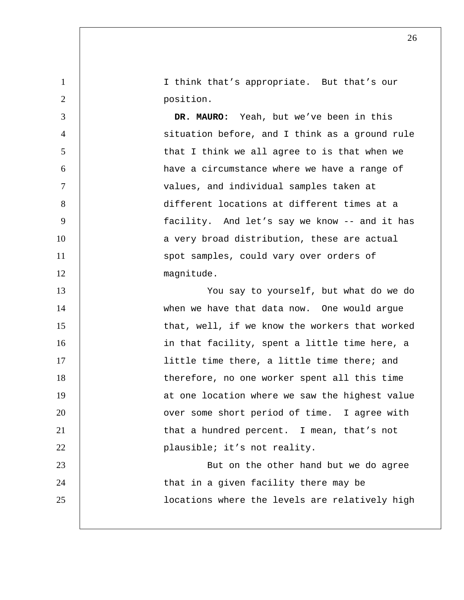1 I think that's appropriate. But that's our 2 **position.** 

**DR. MAURO:** Yeah, but we've been in this situation before, and I think as a ground rule that I think we all agree to is that when we have a circumstance where we have a range of values, and individual samples taken at different locations at different times at a facility. And let's say we know -- and it has 10 | a very broad distribution, these are actual 11 | spot samples, could vary over orders of 12 | magnitude.

13 You say to yourself, but what do we do 14 | when we have that data now. One would argue 15 | that, well, if we know the workers that worked 16 | in that facility, spent a little time here, a 17 | little time there, a little time there; and 18 | therefore, no one worker spent all this time 19 | at one location where we saw the highest value 20 **1** over some short period of time. I agree with 21 **that a hundred percent.** I mean, that's not 22 | plausible; it's not reality. 23 | But on the other hand but we do agree 24 | that in a given facility there may be 25 | Iocations where the levels are relatively high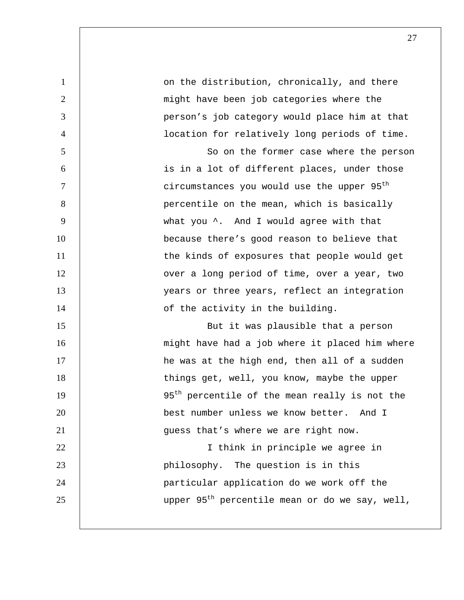| $\mathbf{1}$   | on the distribution, chronically, and there                |
|----------------|------------------------------------------------------------|
| $\overline{2}$ | might have been job categories where the                   |
| 3              | person's job category would place him at that              |
| $\overline{4}$ | location for relatively long periods of time.              |
| 5              | So on the former case where the person                     |
| 6              | is in a lot of different places, under those               |
| $\tau$         | circumstances you would use the upper 95 <sup>th</sup>     |
| 8              | percentile on the mean, which is basically                 |
| 9              | what you ^. And I would agree with that                    |
| 10             | because there's good reason to believe that                |
| 11             | the kinds of exposures that people would get               |
| 12             | over a long period of time, over a year, two               |
| 13             | years or three years, reflect an integration               |
| 14             | of the activity in the building.                           |
| 15             | But it was plausible that a person                         |
| 16             | might have had a job where it placed him where             |
| 17             | he was at the high end, then all of a sudden               |
| 18             | things get, well, you know, maybe the upper                |
| 19             | 95 <sup>th</sup> percentile of the mean really is not the  |
| 20             | best number unless we know better. And I                   |
| 21             | guess that's where we are right now.                       |
| 22             | I think in principle we agree in                           |
| 23             | philosophy. The question is in this                        |
| 24             | particular application do we work off the                  |
| 25             | upper 95 <sup>th</sup> percentile mean or do we say, well, |
|                |                                                            |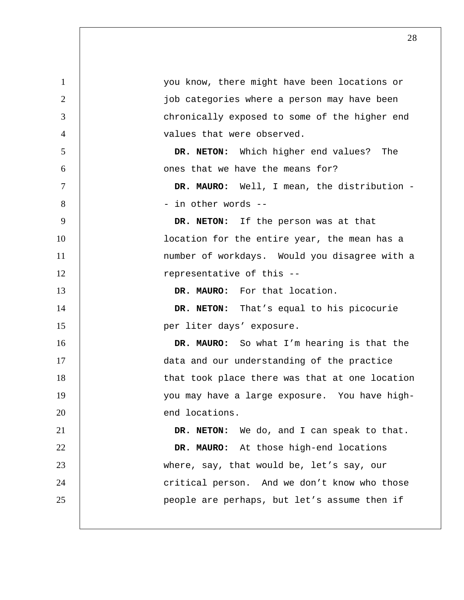| $\mathbf{1}$   | you know, there might have been locations or   |
|----------------|------------------------------------------------|
| 2              | job categories where a person may have been    |
| 3              | chronically exposed to some of the higher end  |
| $\overline{4}$ | values that were observed.                     |
| 5              | DR. NETON: Which higher end values? The        |
| 6              | ones that we have the means for?               |
| $\tau$         | DR. MAURO: Well, I mean, the distribution -    |
| 8              | - in other words --                            |
| 9              | DR. NETON: If the person was at that           |
| 10             | location for the entire year, the mean has a   |
| 11             | number of workdays. Would you disagree with a  |
| 12             | representative of this --                      |
| 13             | DR. MAURO: For that location.                  |
| 14             | DR. NETON: That's equal to his picocurie       |
| 15             | per liter days' exposure.                      |
| 16             | DR. MAURO: So what I'm hearing is that the     |
| 17             | data and our understanding of the practice     |
| 18             | that took place there was that at one location |
| 19             | you may have a large exposure. You have high-  |
| 20             | end locations.                                 |
| 21             | DR. NETON: We do, and I can speak to that.     |
| 22             | DR. MAURO: At those high-end locations         |
| 23             | where, say, that would be, let's say, our      |
| 24             | critical person. And we don't know who those   |
| 25             | people are perhaps, but let's assume then if   |
|                |                                                |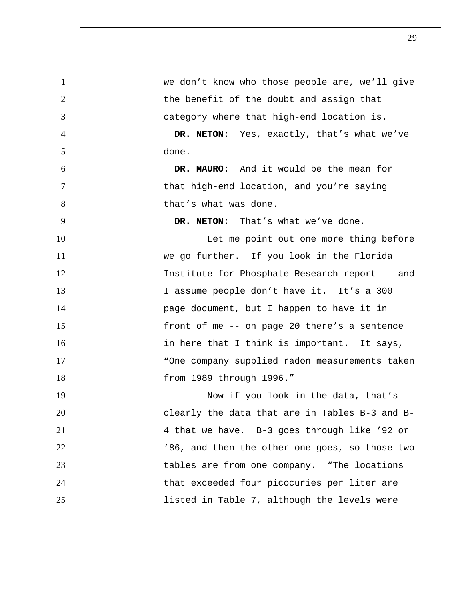| $\mathbf{1}$   | we don't know who those people are, we'll give |
|----------------|------------------------------------------------|
| 2              | the benefit of the doubt and assign that       |
| 3              | category where that high-end location is.      |
| $\overline{4}$ | DR. NETON: Yes, exactly, that's what we've     |
| 5              | done.                                          |
| 6              | DR. MAURO: And it would be the mean for        |
| 7              | that high-end location, and you're saying      |
| 8              | that's what was done.                          |
| 9              | DR. NETON: That's what we've done.             |
| 10             | Let me point out one more thing before         |
| 11             | we go further. If you look in the Florida      |
| 12             | Institute for Phosphate Research report -- and |
| 13             | I assume people don't have it. It's a 300      |
| 14             | page document, but I happen to have it in      |
| 15             | front of me -- on page 20 there's a sentence   |
| 16             | in here that I think is important. It says,    |
| 17             | "One company supplied radon measurements taken |
| 18             | from 1989 through 1996."                       |
| 19             | Now if you look in the data, that's            |
| 20             | clearly the data that are in Tables B-3 and B- |
| 21             | 4 that we have. B-3 goes through like '92 or   |
| 22             | '86, and then the other one goes, so those two |
| 23             | tables are from one company. "The locations    |
| 24             | that exceeded four picocuries per liter are    |
| 25             | listed in Table 7, although the levels were    |
|                |                                                |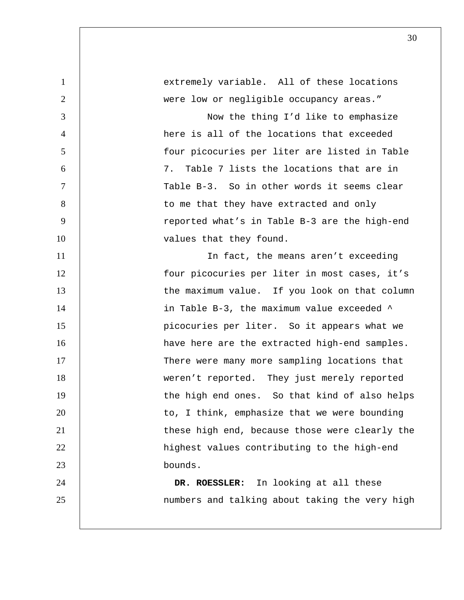| $\mathbf{1}$    | extremely variable. All of these locations     |
|-----------------|------------------------------------------------|
| $\overline{2}$  | were low or negligible occupancy areas."       |
| 3               | Now the thing I'd like to emphasize            |
| $\overline{4}$  | here is all of the locations that exceeded     |
| 5               | four picocuries per liter are listed in Table  |
| 6               | 7. Table 7 lists the locations that are in     |
| $7\phantom{.0}$ | Table B-3. So in other words it seems clear    |
| $8\,$           | to me that they have extracted and only        |
| 9               | reported what's in Table B-3 are the high-end  |
| 10              | values that they found.                        |
| 11              | In fact, the means aren't exceeding            |
| 12              | four picocuries per liter in most cases, it's  |
| 13              | the maximum value. If you look on that column  |
| 14              | in Table B-3, the maximum value exceeded ^     |
| 15              | picocuries per liter. So it appears what we    |
| 16              | have here are the extracted high-end samples.  |
| 17              | There were many more sampling locations that   |
| 18              | weren't reported. They just merely reported    |
| 19              | the high end ones. So that kind of also helps  |
| 20              | to, I think, emphasize that we were bounding   |
| 21              | these high end, because those were clearly the |
| 22              | highest values contributing to the high-end    |
| 23              | bounds.                                        |
| 24              | DR. ROESSLER: In looking at all these          |
| 25              | numbers and talking about taking the very high |
|                 |                                                |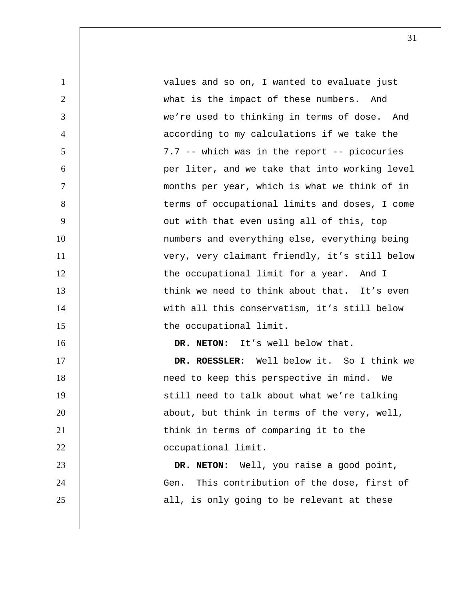| $\mathbf{1}$   | values and so on, I wanted to evaluate just     |
|----------------|-------------------------------------------------|
| $\overline{2}$ | what is the impact of these numbers. And        |
| 3              | we're used to thinking in terms of dose. And    |
| $\overline{4}$ | according to my calculations if we take the     |
| 5              | 7.7 -- which was in the report -- picocuries    |
| 6              | per liter, and we take that into working level  |
| $\overline{7}$ | months per year, which is what we think of in   |
| 8              | terms of occupational limits and doses, I come  |
| 9              | out with that even using all of this, top       |
| 10             | numbers and everything else, everything being   |
| 11             | very, very claimant friendly, it's still below  |
| 12             | the occupational limit for a year. And I        |
| 13             | think we need to think about that. It's even    |
| 14             | with all this conservatism, it's still below    |
| 15             | the occupational limit.                         |
| 16             | DR. NETON: It's well below that.                |
| 17             | DR. ROESSLER: Well below it. So I think we      |
| 18             | need to keep this perspective in mind. We       |
| 19             | still need to talk about what we're talking     |
| 20             | about, but think in terms of the very, well,    |
| 21             | think in terms of comparing it to the           |
| 22             | occupational limit.                             |
| 23             | DR. NETON: Well, you raise a good point,        |
| 24             | This contribution of the dose, first of<br>Gen. |
| 25             | all, is only going to be relevant at these      |
|                |                                                 |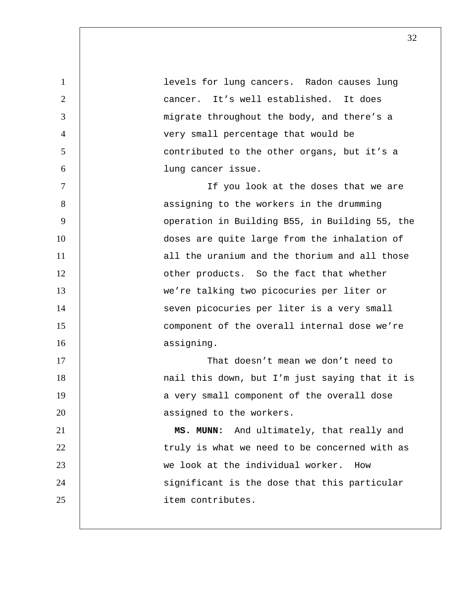| $\mathbf{1}$   | levels for lung cancers. Radon causes lung     |
|----------------|------------------------------------------------|
| $\overline{2}$ | cancer. It's well established. It does         |
| 3              | migrate throughout the body, and there's a     |
| $\overline{4}$ | very small percentage that would be            |
| 5              | contributed to the other organs, but it's a    |
| 6              | lung cancer issue.                             |
| $\overline{7}$ | If you look at the doses that we are           |
| 8              | assigning to the workers in the drumming       |
| 9              | operation in Building B55, in Building 55, the |
| 10             | doses are quite large from the inhalation of   |
| 11             | all the uranium and the thorium and all those  |
| 12             | other products. So the fact that whether       |
| 13             | we're talking two picocuries per liter or      |
| 14             | seven picocuries per liter is a very small     |
| 15             | component of the overall internal dose we're   |
| 16             | assigning.                                     |
| 17             | That doesn't mean we don't need to             |
| 18             | nail this down, but I'm just saying that it is |
| 19             | a very small component of the overall dose     |
| 20             | assigned to the workers.                       |
| 21             | And ultimately, that really and<br>MS. MUNN:   |
| 22             | truly is what we need to be concerned with as  |
| 23             | we look at the individual worker.<br>How       |
| 24             | significant is the dose that this particular   |
| 25             | item contributes.                              |
|                |                                                |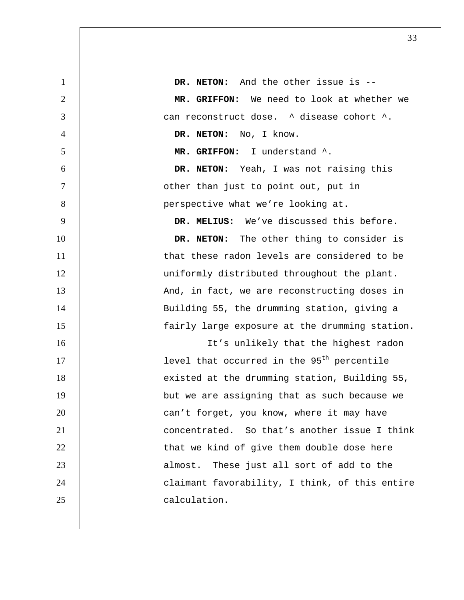| $\mathbf{1}$   | DR. NETON: And the other issue is --                   |
|----------------|--------------------------------------------------------|
| $\overline{2}$ | MR. GRIFFON: We need to look at whether we             |
| 3              | can reconstruct dose. ^ disease cohort ^.              |
| $\overline{4}$ | DR. NETON: No, I know.                                 |
| 5              | MR. GRIFFON: I understand ^.                           |
| 6              | DR. NETON: Yeah, I was not raising this                |
| $\tau$         | other than just to point out, put in                   |
| 8              | perspective what we're looking at.                     |
| 9              | DR. MELIUS: We've discussed this before.               |
| 10             | DR. NETON: The other thing to consider is              |
| 11             | that these radon levels are considered to be           |
| 12             | uniformly distributed throughout the plant.            |
| 13             | And, in fact, we are reconstructing doses in           |
| 14             | Building 55, the drumming station, giving a            |
| 15             | fairly large exposure at the drumming station.         |
| 16             | It's unlikely that the highest radon                   |
| 17             | level that occurred in the 95 <sup>th</sup> percentile |
| 18             | existed at the drumming station, Building 55,          |
| 19             | but we are assigning that as such because we           |
| 20             | can't forget, you know, where it may have              |
| 21             | concentrated. So that's another issue I think          |
| 22             | that we kind of give them double dose here             |
| 23             | almost. These just all sort of add to the              |
| 24             | claimant favorability, I think, of this entire         |
| 25             | calculation.                                           |
|                |                                                        |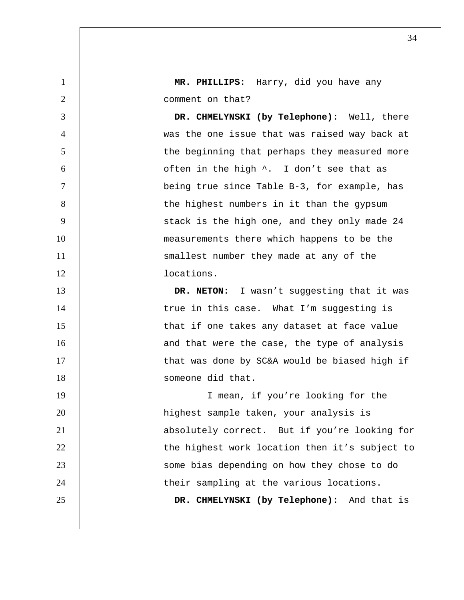1 **MR. PHILLIPS:** Harry, did you have any 2 | comment on that?

3 **DR. CHMELYNSKI (by Telephone):** Well, there 4 was the one issue that was raised way back at 5 | the beginning that perhaps they measured more  $6$   $\vert$  often in the high  $\land$ . I don't see that as 7 being true since Table B-3, for example, has 8 | the highest numbers in it than the gypsum 9 | Stack is the high one, and they only made 24 10 | measurements there which happens to be the 11 | smallest number they made at any of the 12 locations.

13 **DR. NETON:** I wasn't suggesting that it was 14 | true in this case. What I'm suggesting is 15 | that if one takes any dataset at face value 16 | and that were the case, the type of analysis 17 | that was done by SC&A would be biased high if 18 and 18 in the someone did that. 19 | I mean, if you're looking for the

20 highest sample taken, your analysis is 21 | absolutely correct. But if you're looking for 22 | the highest work location then it's subject to 23 some bias depending on how they chose to do 24 | their sampling at the various locations. 25 **DR. CHMELYNSKI (by Telephone):** And that is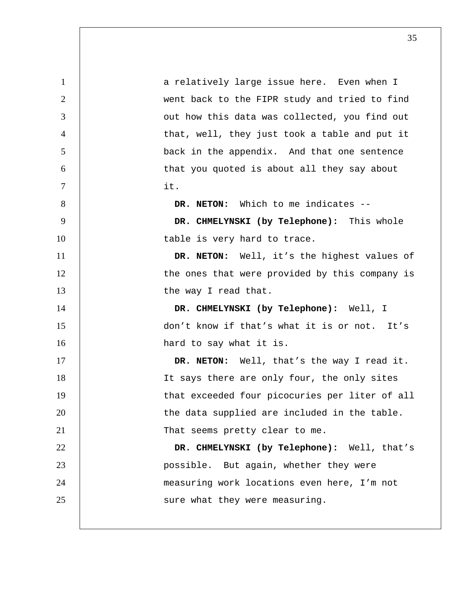| $\mathbf{1}$   | a relatively large issue here. Even when I     |
|----------------|------------------------------------------------|
| 2              | went back to the FIPR study and tried to find  |
| 3              | out how this data was collected, you find out  |
| $\overline{4}$ | that, well, they just took a table and put it  |
| 5              | back in the appendix. And that one sentence    |
| 6              | that you quoted is about all they say about    |
| $\tau$         | it.                                            |
| 8              | DR. NETON: Which to me indicates --            |
| 9              | DR. CHMELYNSKI (by Telephone): This whole      |
| 10             | table is very hard to trace.                   |
| 11             | DR. NETON: Well, it's the highest values of    |
| 12             | the ones that were provided by this company is |
| 13             | the way I read that.                           |
| 14             | DR. CHMELYNSKI (by Telephone): Well, I         |
| 15             | don't know if that's what it is or not. It's   |
| 16             | hard to say what it is.                        |
| 17             | DR. NETON: Well, that's the way I read it.     |
| 18             | It says there are only four, the only sites    |
| 19             | that exceeded four picocuries per liter of all |
| 20             | the data supplied are included in the table.   |
| 21             | That seems pretty clear to me.                 |
| 22             | DR. CHMELYNSKI (by Telephone): Well, that's    |
| 23             | possible. But again, whether they were         |
| 24             | measuring work locations even here, I'm not    |
| 25             | sure what they were measuring.                 |
|                |                                                |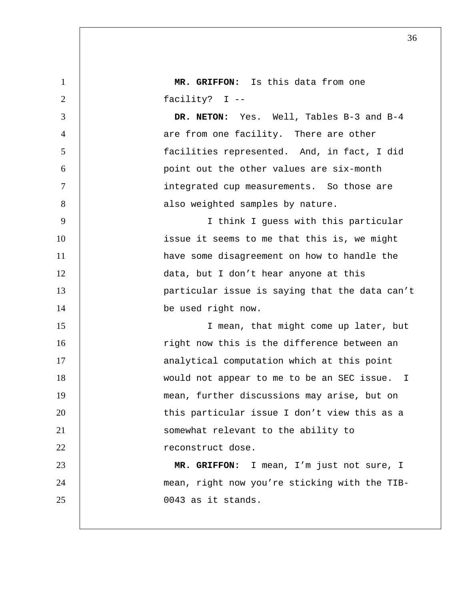| 1              | MR. GRIFFON: Is this data from one             |
|----------------|------------------------------------------------|
| 2              | facility? I --                                 |
| 3              | DR. NETON: Yes. Well, Tables B-3 and B-4       |
| $\overline{4}$ | are from one facility. There are other         |
| 5              | facilities represented. And, in fact, I did    |
| 6              | point out the other values are six-month       |
| $\overline{7}$ | integrated cup measurements. So those are      |
| 8              | also weighted samples by nature.               |
| 9              | I think I guess with this particular           |
| 10             | issue it seems to me that this is, we might    |
| 11             | have some disagreement on how to handle the    |
| 12             | data, but I don't hear anyone at this          |
| 13             | particular issue is saying that the data can't |
| 14             | be used right now.                             |
| 15             | I mean, that might come up later, but          |
| 16             | right now this is the difference between an    |
| 17             | analytical computation which at this point     |
| 18             | would not appear to me to be an SEC issue. I   |
| 19             | mean, further discussions may arise, but on    |
| 20             | this particular issue I don't view this as a   |
| 21             | somewhat relevant to the ability to            |
| 22             | reconstruct dose.                              |
| 23             | MR. GRIFFON: I mean, I'm just not sure, I      |
| 24             | mean, right now you're sticking with the TIB-  |
| 25             | 0043 as it stands.                             |
|                |                                                |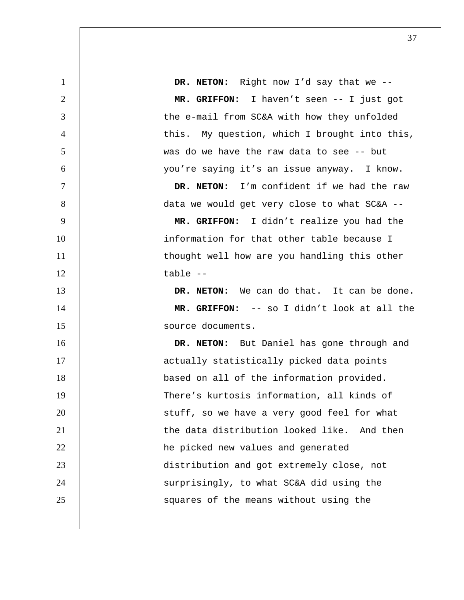1 **DR. NETON:** Right now I'd say that we -- 2 **MR. GRIFFON:** I haven't seen -- I just got 3 | the e-mail from SC&A with how they unfolded 4 | this. My question, which I brought into this, 5 was do we have the raw data to see -- but 6 you're saying it's an issue anyway. I know. 7 **DR. NETON:** I'm confident if we had the raw 8 | data we would get very close to what SC&A --9 **MR. GRIFFON:** I didn't realize you had the 10 | information for that other table because I 11 | thought well how are you handling this other  $12$   $table$   $-$ 13 **DR. NETON:** We can do that. It can be done. 14 **MR. GRIFFON:** -- so I didn't look at all the 15 | source documents. 16 **DR. NETON:** But Daniel has gone through and 17 | actually statistically picked data points 18 | based on all of the information provided. 19 There's kurtosis information, all kinds of 20 | stuff, so we have a very good feel for what 21 1 the data distribution looked like. And then 22 **he picked new values and generated** 23 distribution and got extremely close, not 24 | surprisingly, to what SC&A did using the 25 | Squares of the means without using the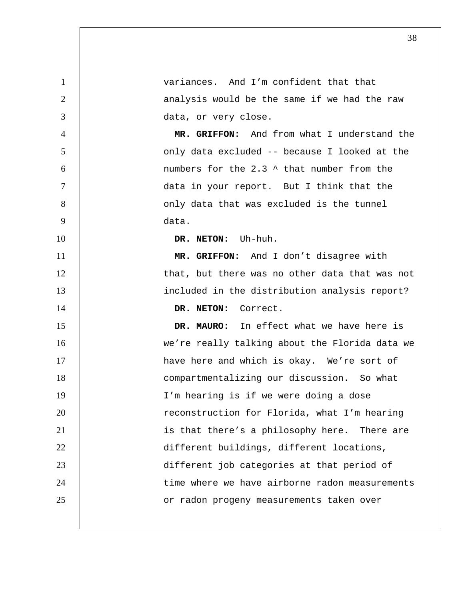variances. And I'm confident that that 2 | analysis would be the same if we had the raw data, or very close. **MR. GRIFFON:** And from what I understand the only data excluded -- because I looked at the numbers for the 2.3 ^ that number from the data in your report. But I think that the 8 | conly data that was excluded is the tunnel data. **DR. NETON:** Uh-huh. **MR. GRIFFON:** And I don't disagree with 12 | that, but there was no other data that was not included in the distribution analysis report? **DR. NETON:** Correct. **DR. MAURO:** In effect what we have here is we're really talking about the Florida data we 17 | have here and which is okay. We're sort of compartmentalizing our discussion. So what I'm hearing is if we were doing a dose 20 The reconstruction for Florida, what I'm hearing 21 | is that there's a philosophy here. There are 22 | different buildings, different locations, different job categories at that period of 24 | time where we have airborne radon measurements 25 | or radon progeny measurements taken over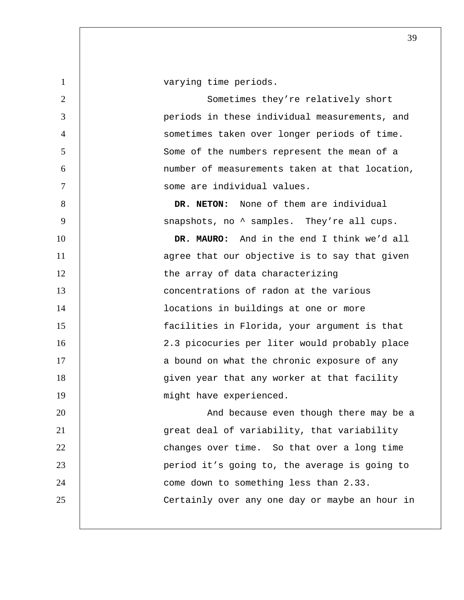1 | varying time periods. 2 | Sometimes they're relatively short 3 periods in these individual measurements, and 4 sometimes taken over longer periods of time. 5 Some of the numbers represent the mean of a 6 number of measurements taken at that location, 7 some are individual values. 8 **DR. NETON:** None of them are individual 9 | snapshots, no  $\textdegree$  samples. They're all cups. 10 **DR. MAURO:** And in the end I think we'd all 11 | agree that our objective is to say that given 12 | the array of data characterizing 13 **concentrations of radon at the various** 14 | **locations in buildings at one or more** 15 facilities in Florida, your argument is that 16 | 2.3 picocuries per liter would probably place 17 | a bound on what the chronic exposure of any 18 given year that any worker at that facility 19 | might have experienced. 20 | And because even though there may be a 21 great deal of variability, that variability 22 **changes over time.** So that over a long time 23 | period it's going to, the average is going to 24 | come down to something less than 2.33. 25 | Certainly over any one day or maybe an hour in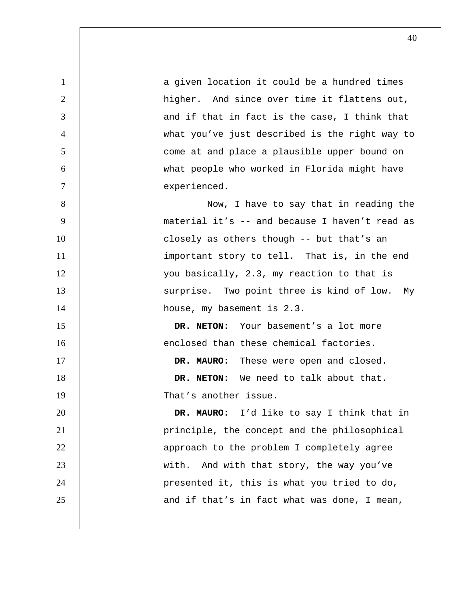1 a given location it could be a hundred times 2 | higher. And since over time it flattens out, 3 and if that in fact is the case, I think that 4 what you've just described is the right way to 5 come at and place a plausible upper bound on 6 what people who worked in Florida might have 7 experienced. 8 | Now, I have to say that in reading the 9 material it's -- and because I haven't read as 10 | closely as others though -- but that's an 11 | important story to tell. That is, in the end 12 | vou basically, 2.3, my reaction to that is 13 | Surprise. Two point three is kind of low. My 14 | house, my basement is 2.3. 15 **DR. NETON:** Your basement's a lot more 16 enclosed than these chemical factories. 17 **DR. MAURO:** These were open and closed. 18 **DR. NETON:** We need to talk about that. 19 That's another issue. 20 **DR. MAURO:** I'd like to say I think that in 21 principle, the concept and the philosophical 22 | approach to the problem I completely agree 23 | with. And with that story, the way you've 24 presented it, this is what you tried to do, 25 **and if that's in fact what was done, I mean,**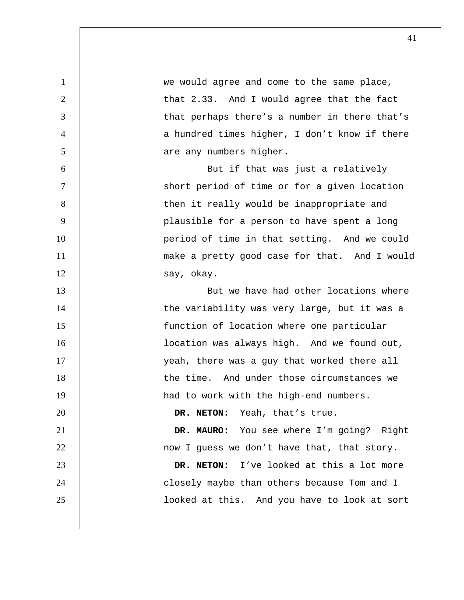1 we would agree and come to the same place, 2 | that 2.33. And I would agree that the fact 3 | that perhaps there's a number in there that's 4 a hundred times higher, I don't know if there 5 are any numbers higher. 6 But if that was just a relatively 7 Short period of time or for a given location 8 | then it really would be inappropriate and 9 | plausible for a person to have spent a long 10 | period of time in that setting. And we could 11 | make a pretty good case for that. And I would 12 say, okay. 13 **But we have had other locations where** 14 | the variability was very large, but it was a 15 function of location where one particular 16 | **location was always high.** And we found out, 17 | veah, there was a guy that worked there all 18 | the time. And under those circumstances we 19 | had to work with the high-end numbers. 20 **DR. NETON:** Yeah, that's true. 21 **DR. MAURO:** You see where I'm going? Right 22 **1** now I guess we don't have that, that story. 23 **DR. NETON:** I've looked at this a lot more 24 | Closely maybe than others because Tom and I 25 | looked at this. And you have to look at sort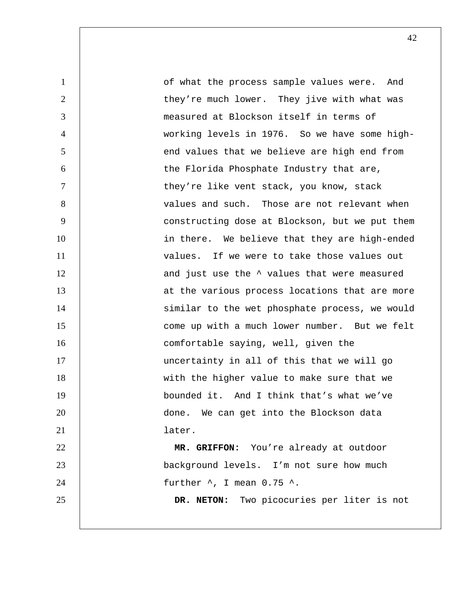1 of what the process sample values were. And 2 | they're much lower. They jive with what was 3 measured at Blockson itself in terms of 4 working levels in 1976. So we have some high-5 S is that we believe are high end from 6 the Florida Phosphate Industry that are, 7 | they're like vent stack, you know, stack 8 values and such. Those are not relevant when 9 constructing dose at Blockson, but we put them 10 | in there. We believe that they are high-ended 11 | values. If we were to take those values out 12 | and just use the  $\sim$  values that were measured 13 | at the various process locations that are more 14 | similar to the wet phosphate process, we would 15 **come up with a much lower number.** But we felt 16 comfortable saying, well, given the 17 | uncertainty in all of this that we will go 18 with the higher value to make sure that we 19 bounded it. And I think that's what we've 20 **done.** We can get into the Blockson data 21 later. 22 **MR. GRIFFON:** You're already at outdoor 23 background levels. I'm not sure how much 24  $\vert$  further  $\land$ , I mean 0.75  $\land$ . 25 **DR. NETON:** Two picocuries per liter is not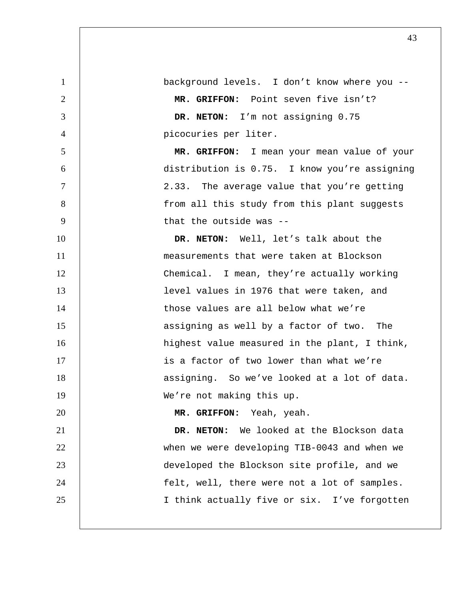background levels. I don't know where you -- **MR. GRIFFON:** Point seven five isn't? **DR. NETON:** I'm not assigning 0.75 picocuries per liter. **MR. GRIFFON:** I mean your mean value of your distribution is 0.75. I know you're assigning 2.33. The average value that you're getting 8 | South Trom all this study from this plant suggests 9 | that the outside was --**DR. NETON:** Well, let's talk about the 11 | measurements that were taken at Blockson Chemical. I mean, they're actually working **level values in 1976 that were taken, and** 14 Those values are all below what we're **15 15 assigning as well by a factor of two.** The highest value measured in the plant, I think, 17 | is a factor of two lower than what we're 18 | assigning. So we've looked at a lot of data. 19 | We're not making this up. **MR. GRIFFON:** Yeah, yeah. **DR. NETON:** We looked at the Blockson data when we were developing TIB-0043 and when we developed the Blockson site profile, and we 24 | felt, well, there were not a lot of samples. 25 | I think actually five or six. I've forgotten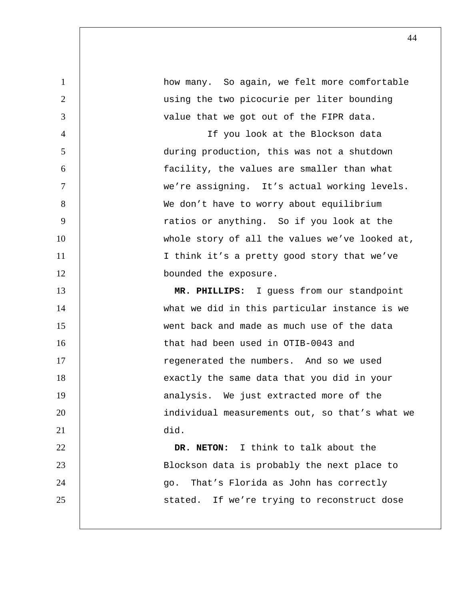| $\mathbf{1}$   | how many. So again, we felt more comfortable   |
|----------------|------------------------------------------------|
| 2              | using the two picocurie per liter bounding     |
| 3              | value that we got out of the FIPR data.        |
| $\overline{4}$ | If you look at the Blockson data               |
| 5              | during production, this was not a shutdown     |
| 6              | facility, the values are smaller than what     |
| $\tau$         | we're assigning. It's actual working levels.   |
| 8              | We don't have to worry about equilibrium       |
| 9              | ratios or anything. So if you look at the      |
| 10             | whole story of all the values we've looked at, |
| 11             | I think it's a pretty good story that we've    |
| 12             | bounded the exposure.                          |
| 13             | MR. PHILLIPS: I guess from our standpoint      |
| 14             | what we did in this particular instance is we  |
| 15             | went back and made as much use of the data     |
| 16             | that had been used in OTIB-0043 and            |
| 17             | regenerated the numbers. And so we used        |
| 18             | exactly the same data that you did in your     |
| 19             | analysis. We just extracted more of the        |
| 20             | individual measurements out, so that's what we |
| 21             | did.                                           |
| 22             | DR. NETON: I think to talk about the           |
| 23             | Blockson data is probably the next place to    |
| 24             | That's Florida as John has correctly<br>go.    |
| 25             | stated. If we're trying to reconstruct dose    |
|                |                                                |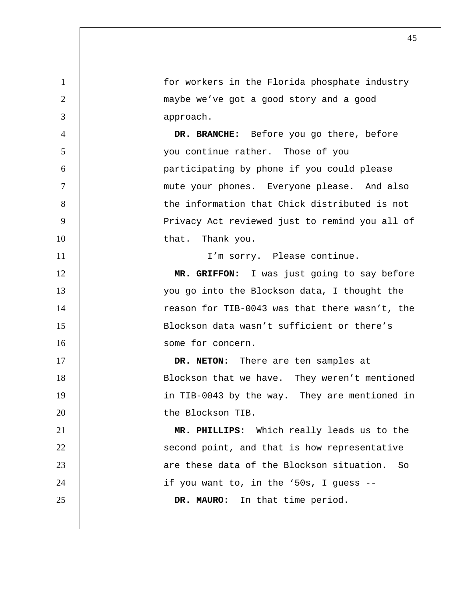1 for workers in the Florida phosphate industry 2 maybe we've got a good story and a good 3 approach. 4 **DR. BRANCHE:** Before you go there, before 5 you continue rather. Those of you 6 participating by phone if you could please 7 | mute your phones. Everyone please. And also 8 | the information that Chick distributed is not 9 | Privacy Act reviewed just to remind you all of 10 | that. Thank you. 11 | T'm sorry. Please continue. 12 **MR. GRIFFON:** I was just going to say before 13 | vou go into the Blockson data, I thought the 14 | reason for TIB-0043 was that there wasn't, the 15 Blockson data wasn't sufficient or there's 16 some for concern. 17 **DR. NETON:** There are ten samples at 18 | Blockson that we have. They weren't mentioned 19 | in TIB-0043 by the way. They are mentioned in 20 the Blockson TIB. 21 **MR. PHILLIPS:** Which really leads us to the 22 | second point, and that is how representative 23 are these data of the Blockson situation. So 24 | if you want to, in the '50s, I guess --25 **DR. MAURO:** In that time period.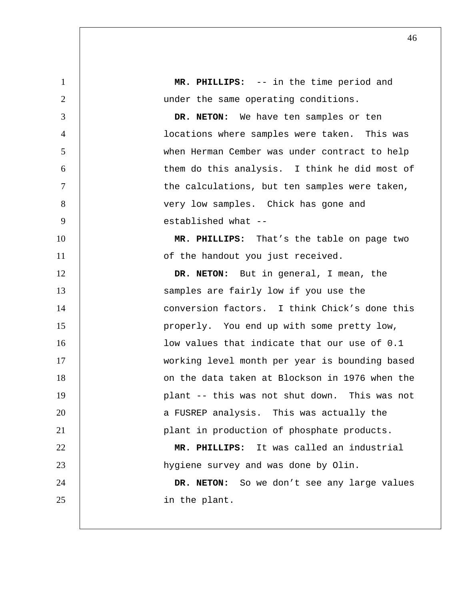**MR. PHILLIPS:** -- in the time period and 2 | under the same operating conditions. **DR. NETON:** We have ten samples or ten locations where samples were taken. This was when Herman Cember was under contract to help them do this analysis. I think he did most of 7 | the calculations, but ten samples were taken, 8 | very low samples. Chick has gone and established what -- **MR. PHILLIPS:** That's the table on page two 11 | of the handout you just received. **DR. NETON:** But in general, I mean, the 13 | Samples are fairly low if you use the 14 | conversion factors. I think Chick's done this properly. You end up with some pretty low, **low values that indicate that our use of 0.1** working level month per year is bounding based 18 | Con the data taken at Blockson in 1976 when the plant -- this was not shut down. This was not **1 a** FUSREP analysis. This was actually the 21 | plant in production of phosphate products. **MR. PHILLIPS:** It was called an industrial hygiene survey and was done by Olin. **DR. NETON:** So we don't see any large values 25 | in the plant.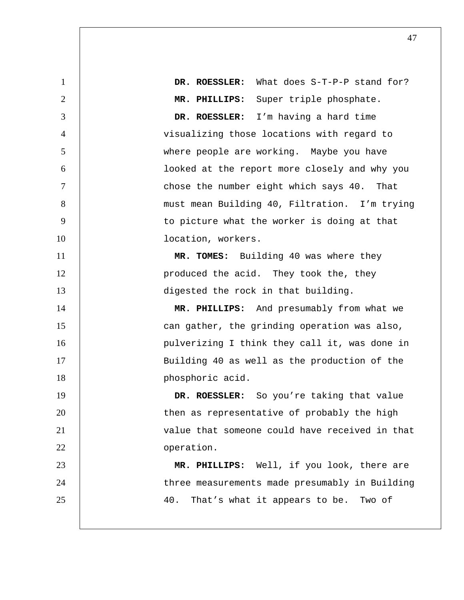**DR. ROESSLER:** What does S-T-P-P stand for? **MR. PHILLIPS:** Super triple phosphate. **DR. ROESSLER:** I'm having a hard time visualizing those locations with regard to where people are working. Maybe you have looked at the report more closely and why you chose the number eight which says 40. That must mean Building 40, Filtration. I'm trying 9 | to picture what the worker is doing at that 10 | location, workers. **MR. TOMES:** Building 40 was where they 12 | produced the acid. They took the, they 13 digested the rock in that building. **MR. PHILLIPS:** And presumably from what we 15 | can gather, the grinding operation was also, 16 | pulverizing I think they call it, was done in 17 | Building 40 as well as the production of the **phosphoric acid. DR. ROESSLER:** So you're taking that value 20 | then as representative of probably the high **1** value that someone could have received in that **operation**. **MR. PHILLIPS:** Well, if you look, there are 24 | three measurements made presumably in Building 25 | 40. That's what it appears to be. Two of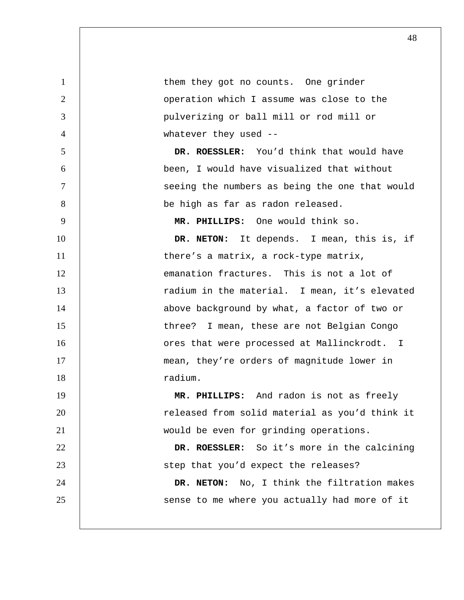| $\mathbf{1}$   | them they got no counts. One grinder           |
|----------------|------------------------------------------------|
| $\overline{2}$ | operation which I assume was close to the      |
| 3              | pulverizing or ball mill or rod mill or        |
| $\overline{4}$ | whatever they used --                          |
| 5              | DR. ROESSLER: You'd think that would have      |
| 6              | been, I would have visualized that without     |
| $\tau$         | seeing the numbers as being the one that would |
| 8              | be high as far as radon released.              |
| 9              | MR. PHILLIPS: One would think so.              |
| 10             | DR. NETON: It depends. I mean, this is, if     |
| 11             | there's a matrix, a rock-type matrix,          |
| 12             | emanation fractures. This is not a lot of      |
| 13             | radium in the material. I mean, it's elevated  |
| 14             | above background by what, a factor of two or   |
| 15             | three? I mean, these are not Belgian Congo     |
| 16             | ores that were processed at Mallinckrodt. I    |
| 17             | mean, they're orders of magnitude lower in     |
| 18             | radium.                                        |
| 19             | MR. PHILLIPS: And radon is not as freely       |
| 20             | released from solid material as you'd think it |
| 21             | would be even for grinding operations.         |
| 22             | DR. ROESSLER: So it's more in the calcining    |
| 23             | step that you'd expect the releases?           |
| 24             | DR. NETON: No, I think the filtration makes    |
| 25             | sense to me where you actually had more of it  |
|                |                                                |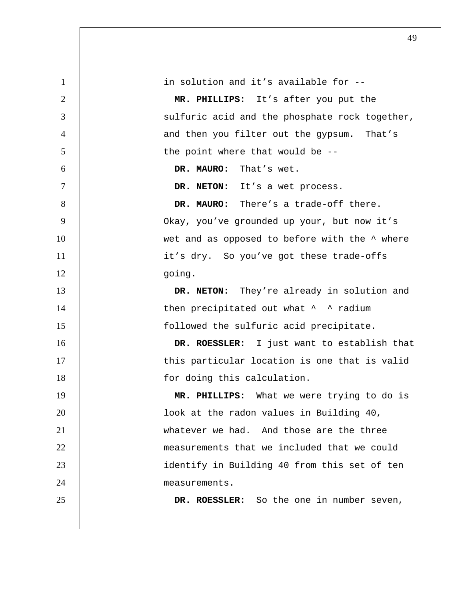| $\mathbf{1}$   | in solution and it's available for --               |
|----------------|-----------------------------------------------------|
| $\overline{2}$ | MR. PHILLIPS: It's after you put the                |
| 3              | sulfuric acid and the phosphate rock together,      |
| $\overline{4}$ | and then you filter out the gypsum. That's          |
| 5              | the point where that would be --                    |
| 6              | DR. MAURO: That's wet.                              |
| $\tau$         | DR. NETON: It's a wet process.                      |
| 8              | DR. MAURO: There's a trade-off there.               |
| 9              | Okay, you've grounded up your, but now it's         |
| 10             | wet and as opposed to before with the $\land$ where |
| 11             | it's dry. So you've got these trade-offs            |
| 12             | going.                                              |
| 13             | DR. NETON: They're already in solution and          |
| 14             | then precipitated out what ^ ^ radium               |
| 15             | followed the sulfuric acid precipitate.             |
| 16             | DR. ROESSLER: I just want to establish that         |
| 17             | this particular location is one that is valid       |
| 18             | for doing this calculation.                         |
| 19             | MR. PHILLIPS: What we were trying to do is          |
| 20             | look at the radon values in Building 40,            |
| 21             | whatever we had. And those are the three            |
| 22             | measurements that we included that we could         |
| 23             | identify in Building 40 from this set of ten        |
| 24             | measurements.                                       |
| 25             | DR. ROESSLER: So the one in number seven,           |
|                |                                                     |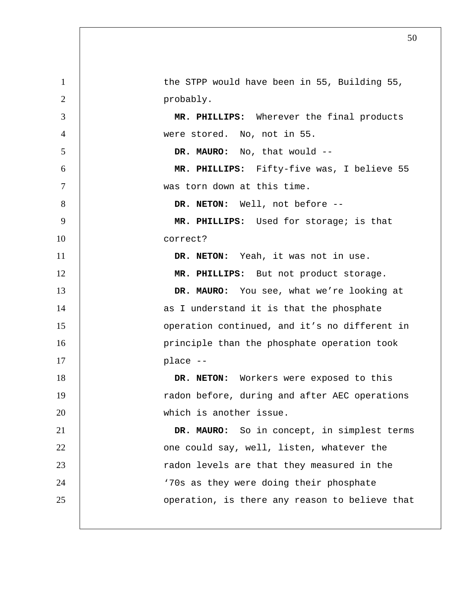1 | the STPP would have been in 55, Building 55, 2 probably. **MR. PHILLIPS:** Wherever the final products were stored. No, not in 55. **DR. MAURO:** No, that would -- **MR. PHILLIPS:** Fifty-five was, I believe 55 was torn down at this time. **DR. NETON:** Well, not before --**MR. PHILLIPS:** Used for storage; is that correct? **DR. NETON:** Yeah, it was not in use. 12 | **MR. PHILLIPS:** But not product storage. **DR. MAURO:** You see, what we're looking at 14 | as I understand it is that the phosphate **b** operation continued, and it's no different in 16 | principle than the phosphate operation took 17 | place --**DR. NETON:** Workers were exposed to this 19 | radon before, during and after AEC operations which is another issue. **DR. MAURO:** So in concept, in simplest terms **Julie 22** one could say, well, listen, whatever the 23 | radon levels are that they measured in the 24 | TOS as they were doing their phosphate **dege** operation, is there any reason to believe that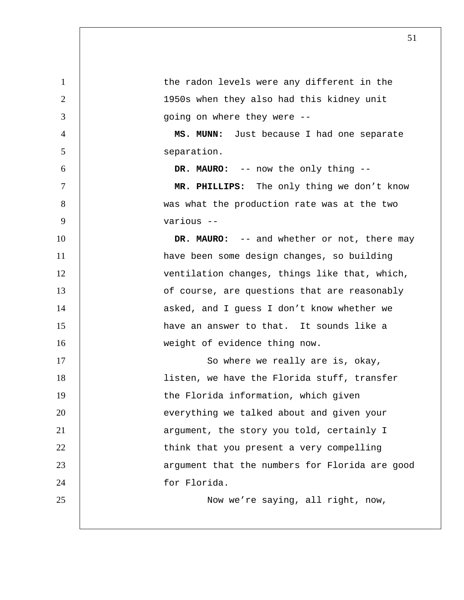1 1 the radon levels were any different in the 2 1950s when they also had this kidney unit 3 going on where they were -- 4 **MS. MUNN:** Just because I had one separate 5 separation. 6 **DR. MAURO:** -- now the only thing -- 7 **MR. PHILLIPS:** The only thing we don't know 8 | was what the production rate was at the two 9 various -- 10 **DR. MAURO:** -- and whether or not, there may 11 | have been some design changes, so building 12 | ventilation changes, things like that, which, 13 | of course, are questions that are reasonably 14 | asked, and I guess I don't know whether we 15 | have an answer to that. It sounds like a 16 Weight of evidence thing now. 17 | So where we really are is, okay, 18 | listen, we have the Florida stuff, transfer 19 | the Florida information, which given 20 **everything we talked about and given your** 21 | argument, the story you told, certainly I 22 | think that you present a very compelling 23 | argument that the numbers for Florida are good 24 for Florida. 25 | Now we're saying, all right, now,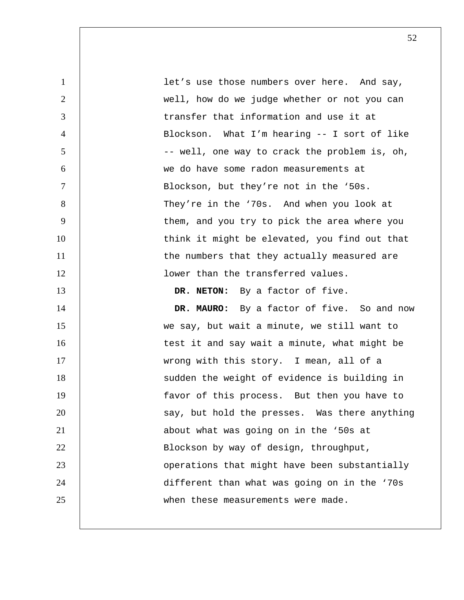1 let's use those numbers over here. And say, 2 | well, how do we judge whether or not you can 3 transfer that information and use it at 4 Blockson. What I'm hearing -- I sort of like 5 | The second  $-$ - well, one way to crack the problem is, oh, 6 we do have some radon measurements at 7 Blockson, but they're not in the '50s. 8 | They're in the '70s. And when you look at 9 | them, and you try to pick the area where you 10 | think it might be elevated, you find out that 11 | the numbers that they actually measured are 12 | Nower than the transferred values. 13 **DR. NETON:** By a factor of five. 14 **DR. MAURO:** By a factor of five. So and now 15 we say, but wait a minute, we still want to 16 | test it and say wait a minute, what might be 17 | wrong with this story. I mean, all of a 18 | sudden the weight of evidence is building in 19 | favor of this process. But then you have to 20 | Say, but hold the presses. Was there anything 21 **b** about what was going on in the '50s at 22 | Blockson by way of design, throughput, 23 | Operations that might have been substantially 24 different than what was going on in the '70s 25 **when** these measurements were made.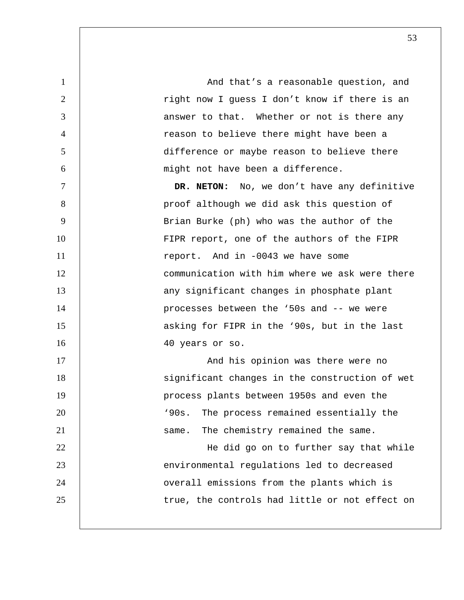1 and that's a reasonable question, and  $\lambda$  and that's a reasonable question, and 2 | right now I guess I don't know if there is an 3 **decisy** 3 answer to that. Whether or not is there any 4 | reason to believe there might have been a 5 difference or maybe reason to believe there 6 might not have been a difference. 7 **DR. NETON:** No, we don't have any definitive 8 | proof although we did ask this question of 9 Brian Burke (ph) who was the author of the 10 | FIPR report, one of the authors of the FIPR 11 The state of the report. And in -0043 we have some 12 communication with him where we ask were there 13 | any significant changes in phosphate plant 14 | processes between the '50s and -- we were 15 **15** asking for FIPR in the '90s, but in the last 16 | 40 years or so. 17 | And his opinion was there were no 18 | significant changes in the construction of wet 19 | process plants between 1950s and even the 20 | 190s. The process remained essentially the 21 **Same.** The chemistry remained the same. 22 | He did go on to further say that while 23 | environmental regulations led to decreased 24 | overall emissions from the plants which is 25 | true, the controls had little or not effect on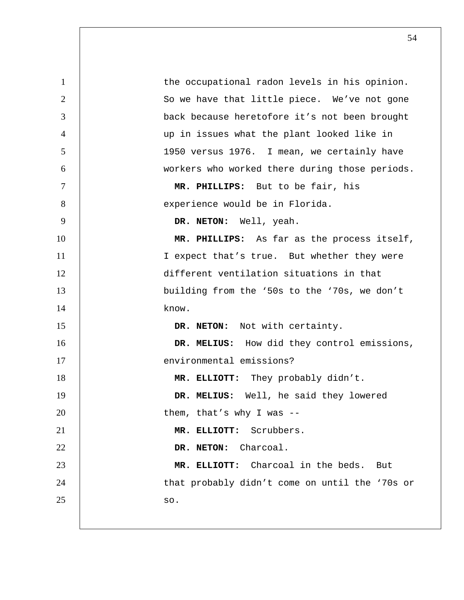| $\mathbf{1}$   | the occupational radon levels in his opinion.  |
|----------------|------------------------------------------------|
| $\overline{2}$ | So we have that little piece. We've not gone   |
| 3              | back because heretofore it's not been brought  |
| $\overline{4}$ | up in issues what the plant looked like in     |
| 5              | 1950 versus 1976. I mean, we certainly have    |
| 6              | workers who worked there during those periods. |
| $\tau$         | MR. PHILLIPS: But to be fair, his              |
| 8              | experience would be in Florida.                |
| 9              | DR. NETON: Well, yeah.                         |
| 10             | MR. PHILLIPS: As far as the process itself,    |
| 11             | I expect that's true. But whether they were    |
| 12             | different ventilation situations in that       |
| 13             | building from the '50s to the '70s, we don't   |
| 14             | know.                                          |
| 15             | DR. NETON: Not with certainty.                 |
| 16             | DR. MELIUS: How did they control emissions,    |
| 17             | environmental emissions?                       |
| 18             | MR. ELLIOTT: They probably didn't.             |
| 19             | DR. MELIUS: Well, he said they lowered         |
| 20             | them, that's why I was --                      |
| 21             | Scrubbers.<br>MR. ELLIOTT:                     |
| 22             | DR. NETON:<br>Charcoal.                        |
| 23             | MR. ELLIOTT: Charcoal in the beds. But         |
| 24             | that probably didn't come on until the '70s or |
| 25             | SO.                                            |
|                |                                                |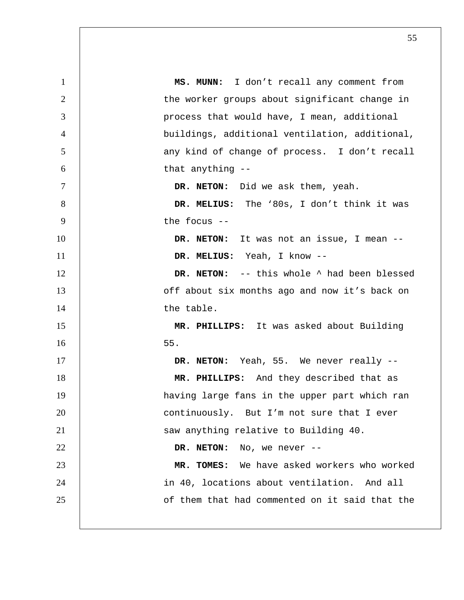**MS. MUNN:** I don't recall any comment from 2 | the worker groups about significant change in process that would have, I mean, additional buildings, additional ventilation, additional, 5 | any kind of change of process. I don't recall 6 | that anything --**DR. NETON:** Did we ask them, yeah. **DR. MELIUS:** The '80s, I don't think it was  $9 \t \t\t \text{the focus --}$ **DR. NETON:** It was not an issue, I mean -- **DR. MELIUS:** Yeah, I know -- **DR. NETON:** -- this whole  $\wedge$  had been blessed **13** off about six months ago and now it's back on 14 and the table. **MR. PHILLIPS:** It was asked about Building 55. **DR. NETON:** Yeah, 55. We never really --**MR. PHILLIPS:** And they described that as having large fans in the upper part which ran **continuously.** But I'm not sure that I ever 21 | Saw anything relative to Building 40. **DR. NETON:** No, we never --**MR. TOMES:** We have asked workers who worked 24 | in 40, locations about ventilation. And all of them that had commented on it said that the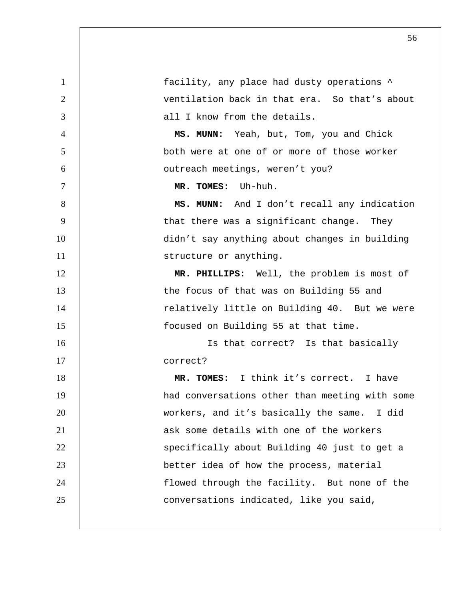1 and facility, any place had dusty operations  $\sim$ 2 ventilation back in that era. So that's about 3 | all I know from the details. 4 **MS. MUNN:** Yeah, but, Tom, you and Chick 5 both were at one of or more of those worker 6 outreach meetings, weren't you? 7 **MR. TOMES:** Uh-huh. 8 | **MS. MUNN:** And I don't recall any indication 9 | that there was a significant change. They 10 didn't say anything about changes in building 11 Structure or anything. 12 **MR. PHILLIPS:** Well, the problem is most of 13 | the focus of that was on Building 55 and 14 | relatively little on Building 40. But we were 15 focused on Building 55 at that time. 16 | Constant Is that correct? Is that basically 17 correct? 18 **MR. TOMES:** I think it's correct. I have 19 had conversations other than meeting with some 20 workers, and it's basically the same. I did 21 ask some details with one of the workers 22 | Specifically about Building 40 just to get a 23 better idea of how the process, material 24 | flowed through the facility. But none of the 25 **conversations indicated, like you said,**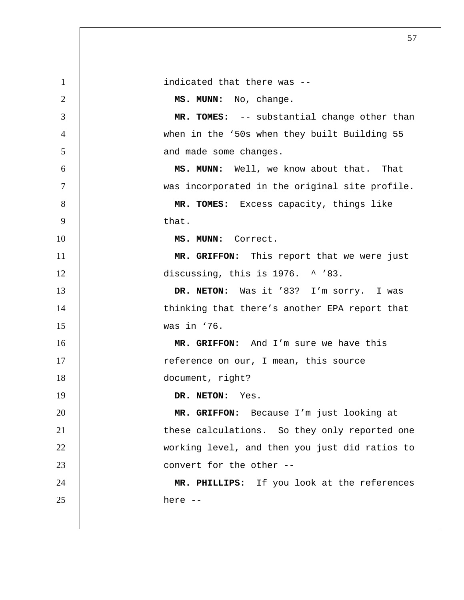| $\mathbf{1}$   | indicated that there was --                    |
|----------------|------------------------------------------------|
| 2              | MS. MUNN: No, change.                          |
| 3              | MR. TOMES: -- substantial change other than    |
| $\overline{4}$ | when in the '50s when they built Building 55   |
| 5              | and made some changes.                         |
| 6              | MS. MUNN: Well, we know about that. That       |
| $\tau$         | was incorporated in the original site profile. |
| 8              | MR. TOMES: Excess capacity, things like        |
| 9              | that.                                          |
| 10             | MS. MUNN: Correct.                             |
| 11             | MR. GRIFFON: This report that we were just     |
| 12             | discussing, this is 1976. ^ '83.               |
| 13             | DR. NETON: Was it '83? I'm sorry. I was        |
| 14             | thinking that there's another EPA report that  |
| 15             | was in '76.                                    |
| 16             | MR. GRIFFON: And I'm sure we have this         |
| 17             | reference on our, I mean, this source          |
| 18             | document, right?                               |
| 19             | DR. NETON:<br>Yes.                             |
| 20             | MR. GRIFFON: Because I'm just looking at       |
| 21             | these calculations. So they only reported one  |
| 22             | working level, and then you just did ratios to |
| 23             | convert for the other --                       |
| 24             | MR. PHILLIPS: If you look at the references    |
| 25             | here --                                        |
|                |                                                |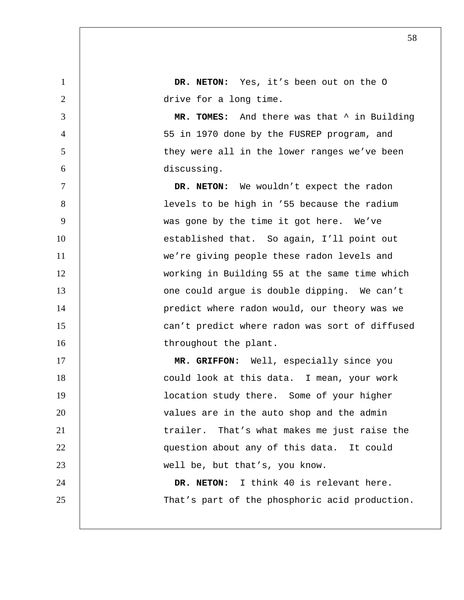1 **DR. NETON:** Yes, it's been out on the O 2 drive for a long time. 3 **MR. TOMES:** And there was that ^ in Building 4 55 in 1970 done by the FUSREP program, and 5 | they were all in the lower ranges we've been 6 discussing. 7 **DR. NETON:** We wouldn't expect the radon 8 | Social levels to be high in '55 because the radium 9 was gone by the time it got here. We've 10 | established that. So again, I'll point out 11 | we're giving people these radon levels and 12 working in Building 55 at the same time which 13 **could** argue is double dipping. We can't 14 | predict where radon would, our theory was we 15 **can't predict where radon was sort of diffused** 16 | throughout the plant. 17 | **MR. GRIFFON:** Well, especially since you 18 **could look at this data.** I mean, your work 19 | **location study there.** Some of your higher 20 values are in the auto shop and the admin 21 | trailer. That's what makes me just raise the 22 | question about any of this data. It could 23 well be, but that's, you know. 24 **DR. NETON:** I think 40 is relevant here. 25 | That's part of the phosphoric acid production.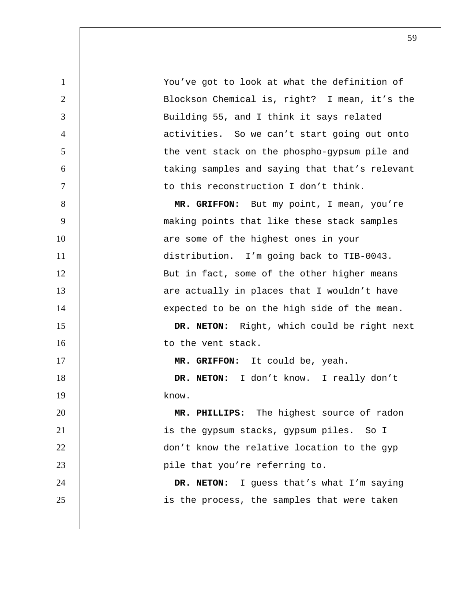You've got to look at what the definition of Blockson Chemical is, right? I mean, it's the Building 55, and I think it says related activities. So we can't start going out onto 5 | the vent stack on the phospho-gypsum pile and taking samples and saying that that's relevant 7 | to this reconstruction I don't think.

**MR. GRIFFON:** But my point, I mean, you're making points that like these stack samples 10 | are some of the highest ones in your distribution. I'm going back to TIB-0043. 12 | But in fact, some of the other higher means **13 are actually in places that I wouldn't have** 14 | expected to be on the high side of the mean.

**DR. NETON:** Right, which could be right next 16 | to the vent stack.

17 | **MR. GRIFFON:** It could be, yeah.

**DR. NETON:** I don't know. I really don't know.

**MR. PHILLIPS:** The highest source of radon is the gypsum stacks, gypsum piles. So I 22 | don't know the relative location to the gyp 23 | pile that you're referring to.

**DR. NETON:** I guess that's what I'm saying 25 | is the process, the samples that were taken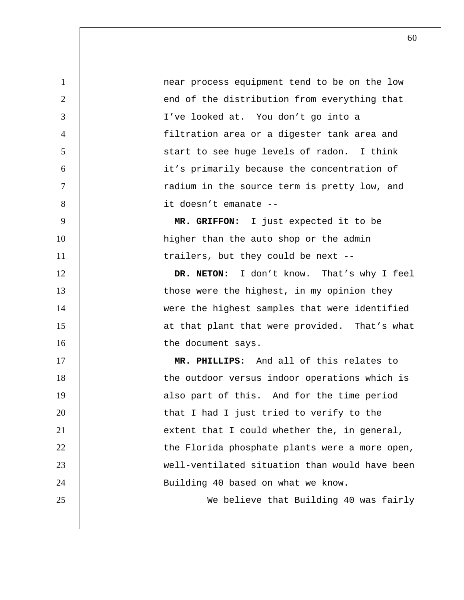1 **1 near process equipment tend to be on the low** 2 | end of the distribution from everything that 3 I've looked at. You don't go into a 4 filtration area or a digester tank area and 5 | Start to see huge levels of radon. I think 6 it's primarily because the concentration of 7 | The source term is pretty low, and 8 it doesn't emanate -- 9 **MR. GRIFFON:** I just expected it to be 10 | higher than the auto shop or the admin 11 | trailers, but they could be next --12 **DR. NETON:** I don't know. That's why I feel 13 | those were the highest, in my opinion they 14 | were the highest samples that were identified 15 | at that plant that were provided. That's what 16 16 the document says. 17 **MR. PHILLIPS:** And all of this relates to 18 | the outdoor versus indoor operations which is 19 | also part of this. And for the time period 20 **that I had I just tried to verify to the** 21 | extent that I could whether the, in general,  $22$  | the Florida phosphate plants were a more open, 23 well-ventilated situation than would have been 24 | Building 40 based on what we know. 25 We believe that Building 40 was fairly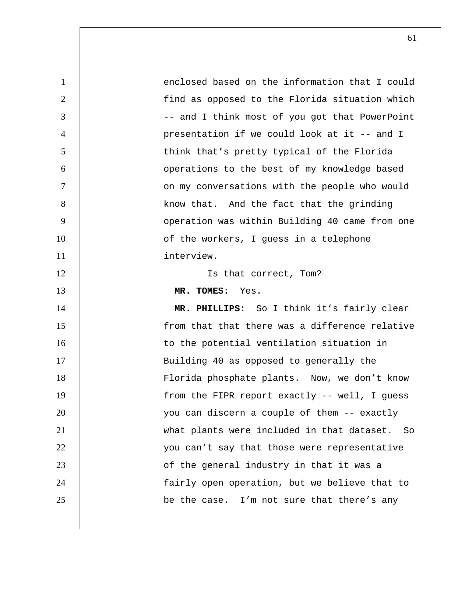1 enclosed based on the information that I could 2 | find as opposed to the Florida situation which 3 |  $\qquad \qquad$  -- and I think most of you got that PowerPoint 4 presentation if we could look at it -- and I 5 | think that's pretty typical of the Florida 6 operations to the best of my knowledge based 7 | containty on my conversations with the people who would 8 | know that. And the fact that the grinding 9 | Operation was within Building 40 came from one 10 | cf the workers, I guess in a telephone 11 interview. 12 | Is that correct, Tom? 13 **MR. TOMES:** Yes. 14 **MR. PHILLIPS:** So I think it's fairly clear 15 | from that that there was a difference relative 16 | to the potential ventilation situation in 17 | Building 40 as opposed to generally the 18 Florida phosphate plants. Now, we don't know 19 | from the FIPR report exactly -- well, I guess 20 | vou can discern a couple of them -- exactly 21 what plants were included in that dataset. So 22 | vou can't say that those were representative 23 | Casa of the general industry in that it was a 24 fairly open operation, but we believe that to  $25$  | be the case. I'm not sure that there's any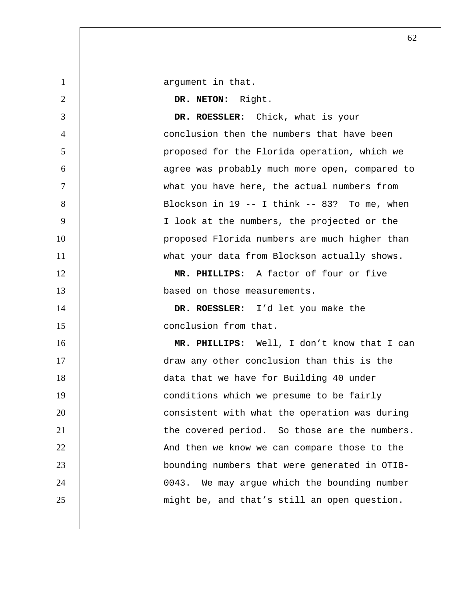1 | argument in that.

**DR. NETON:** Right. **DR. ROESSLER:** Chick, what is your conclusion then the numbers that have been 5 | proposed for the Florida operation, which we agree was probably much more open, compared to what you have here, the actual numbers from

8 | Blockson in 19 -- I think -- 83? To me, when I look at the numbers, the projected or the 10 | proposed Florida numbers are much higher than 11 | what your data from Blockson actually shows.

**MR. PHILLIPS:** A factor of four or five **based** on those measurements.

**DR. ROESSLER:** I'd let you make the 15 | conclusion from that.

**MR. PHILLIPS:** Well, I don't know that I can draw any other conclusion than this is the data that we have for Building 40 under 19 | conditions which we presume to be fairly **consistent with what the operation was during the covered period.** So those are the numbers. 22 | And then we know we can compare those to the bounding numbers that were generated in OTIB-0043. We may argue which the bounding number 25 | might be, and that's still an open question.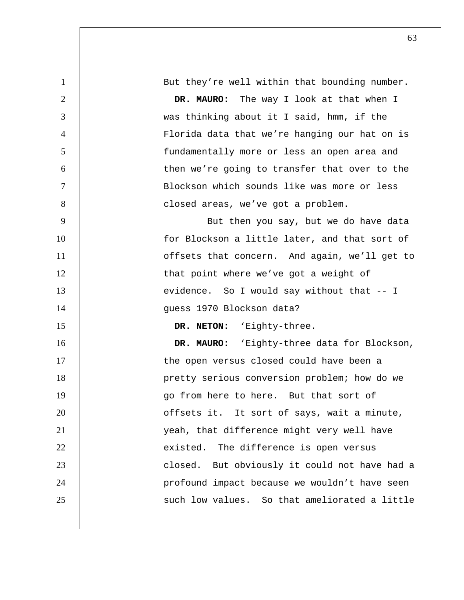1 But they're well within that bounding number. 2 **DR. MAURO:** The way I look at that when I 3 was thinking about it I said, hmm, if the 4 Florida data that we're hanging our hat on is 5 fundamentally more or less an open area and 6 then we're going to transfer that over to the 7 Blockson which sounds like was more or less 8 | closed areas, we've got a problem. 9 | Rut then you say, but we do have data 10 | for Blockson a little later, and that sort of 11 | offsets that concern. And again, we'll get to 12 | that point where we've got a weight of 13 evidence. So I would say without that -- I 14 guess 1970 Blockson data? 15 **DR. NETON:** 'Eighty-three. 16 **DR. MAURO:** 'Eighty-three data for Blockson, 17 | the open versus closed could have been a 18 | pretty serious conversion problem; how do we 19 go from here to here. But that sort of 20 | cffsets it. It sort of says, wait a minute, 21 yeah, that difference might very well have 22 **existed.** The difference is open versus 23 | Closed. But obviously it could not have had a 24 | profound impact because we wouldn't have seen 25 | Such low values. So that ameliorated a little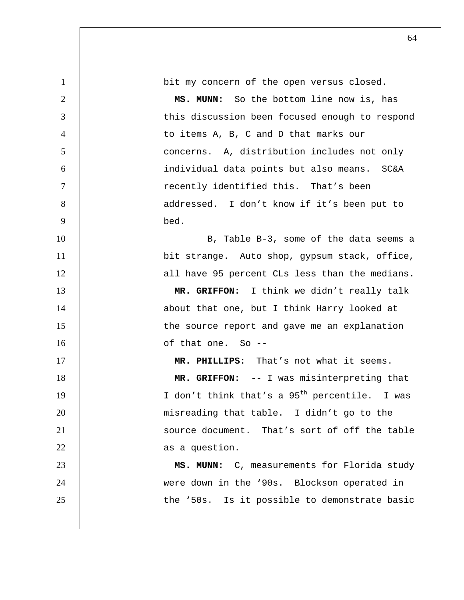| $\mathbf{1}$   | bit my concern of the open versus closed.                 |
|----------------|-----------------------------------------------------------|
| $\overline{2}$ | MS. MUNN: So the bottom line now is, has                  |
| 3              | this discussion been focused enough to respond            |
| $\overline{4}$ | to items A, B, C and D that marks our                     |
| 5              | concerns. A, distribution includes not only               |
| 6              | individual data points but also means. SC&A               |
| $\overline{7}$ | recently identified this. That's been                     |
| 8              | addressed. I don't know if it's been put to               |
| 9              | bed.                                                      |
| 10             | B, Table B-3, some of the data seems a                    |
| 11             | bit strange. Auto shop, gypsum stack, office,             |
| 12             | all have 95 percent CLs less than the medians.            |
| 13             | MR. GRIFFON: I think we didn't really talk                |
| 14             | about that one, but I think Harry looked at               |
| 15             | the source report and gave me an explanation              |
| 16             | of that one. So --                                        |
| 17             | MR. PHILLIPS: That's not what it seems.                   |
| 18             | MR. GRIFFON: -- I was misinterpreting that                |
| 19             | I don't think that's a 95 <sup>th</sup> percentile. I was |
| 20             | misreading that table. I didn't go to the                 |
| 21             | source document. That's sort of off the table             |
| 22             | as a question.                                            |
| 23             | MS. MUNN: C, measurements for Florida study               |
| 24             | were down in the '90s. Blockson operated in               |
| 25             | the '50s. Is it possible to demonstrate basic             |
|                |                                                           |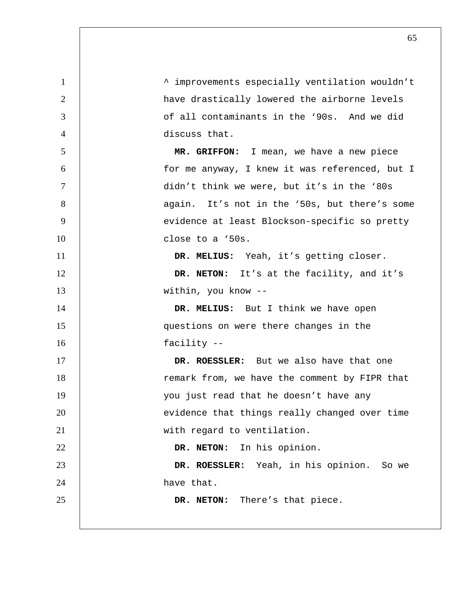^ improvements especially ventilation wouldn't 2 | have drastically lowered the airborne levels of all contaminants in the '90s. And we did discuss that. **MR. GRIFFON:** I mean, we have a new piece for me anyway, I knew it was referenced, but I didn't think we were, but it's in the '80s 8 | again. It's not in the '50s, but there's some 9 | evidence at least Blockson-specific so pretty close to a '50s. **DR. MELIUS:** Yeah, it's getting closer. **DR. NETON:** It's at the facility, and it's 13 within, you know --**DR. MELIUS:** But I think we have open questions on were there changes in the facility -- **DR. ROESSLER:** But we also have that one 18 | remark from, we have the comment by FIPR that 19 | vou just read that he doesn't have any 20 | evidence that things really changed over time 21 | with regard to ventilation. **DR. NETON:** In his opinion. **DR. ROESSLER:** Yeah, in his opinion. So we 24 a have that. **DR. NETON:** There's that piece.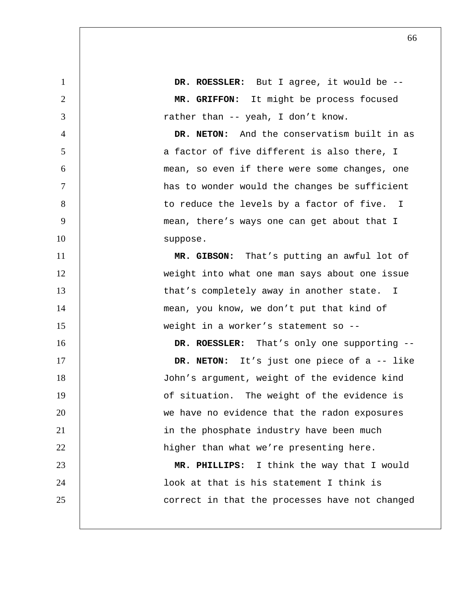1 **DR. ROESSLER:** But I agree, it would be --2 **MR. GRIFFON:** It might be process focused 3 a rather than -- yeah, I don't know. 4 **DR. NETON:** And the conservatism built in as 5 a factor of five different is also there, I 6 mean, so even if there were some changes, one 7 has to wonder would the changes be sufficient 8 | to reduce the levels by a factor of five. I 9 | mean, there's ways one can get about that I 10 | suppose. 11 **MR. GIBSON:** That's putting an awful lot of 12 weight into what one man says about one issue 13 | that's completely away in another state. I 14 | mean, you know, we don't put that kind of 15 weight in a worker's statement so -- 16 **DR. ROESSLER:** That's only one supporting --17 **DR. NETON:** It's just one piece of a -- like 18 John's argument, weight of the evidence kind 19 | of situation. The weight of the evidence is 20 we have no evidence that the radon exposures 21 | in the phosphate industry have been much 22 | higher than what we're presenting here. 23 **MR. PHILLIPS:** I think the way that I would 24 look at that is his statement I think is 25 **correct** in that the processes have not changed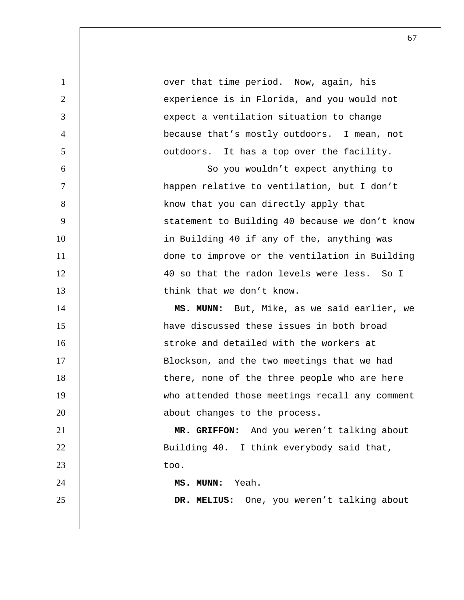| $\mathbf{1}$   | over that time period. Now, again, his         |
|----------------|------------------------------------------------|
| 2              | experience is in Florida, and you would not    |
| 3              | expect a ventilation situation to change       |
| $\overline{4}$ | because that's mostly outdoors. I mean, not    |
| 5              | outdoors. It has a top over the facility.      |
| 6              | So you wouldn't expect anything to             |
| $\tau$         | happen relative to ventilation, but I don't    |
| 8              | know that you can directly apply that          |
| 9              | statement to Building 40 because we don't know |
| 10             | in Building 40 if any of the, anything was     |
| 11             | done to improve or the ventilation in Building |
| 12             | 40 so that the radon levels were less. So I    |
| 13             | think that we don't know.                      |
| 14             | MS. MUNN: But, Mike, as we said earlier, we    |
|                |                                                |
| 15             | have discussed these issues in both broad      |
| 16             | stroke and detailed with the workers at        |
| 17             | Blockson, and the two meetings that we had     |
| 18             | there, none of the three people who are here   |
| 19             | who attended those meetings recall any comment |
| 20             | about changes to the process.                  |
| 21             | MR. GRIFFON: And you weren't talking about     |
| 22             | Building 40. I think everybody said that,      |
| 23             | too.                                           |
| 24             | MS. MUNN: Yeah.                                |
| 25             | DR. MELIUS: One, you weren't talking about     |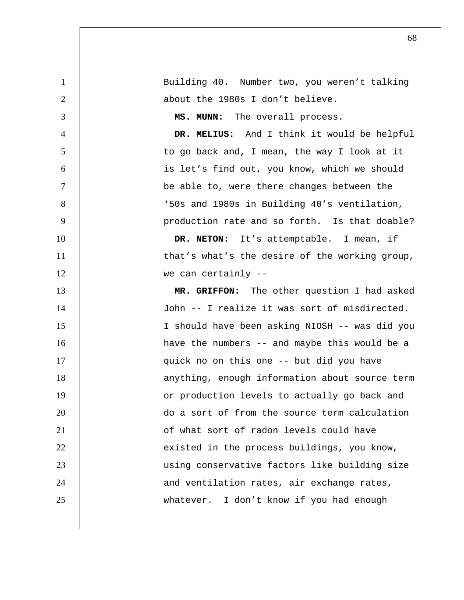| $\mathbf{1}$   | Building 40. Number two, you weren't talking   |
|----------------|------------------------------------------------|
| $\overline{2}$ | about the 1980s I don't believe.               |
| 3              | MS. MUNN: The overall process.                 |
| $\overline{4}$ | DR. MELIUS: And I think it would be helpful    |
| 5              | to go back and, I mean, the way I look at it   |
| 6              | is let's find out, you know, which we should   |
| $\tau$         | be able to, were there changes between the     |
| 8              | '50s and 1980s in Building 40's ventilation,   |
| 9              | production rate and so forth. Is that doable?  |
| 10             | DR. NETON: It's attemptable. I mean, if        |
| 11             | that's what's the desire of the working group, |
| 12             | we can certainly --                            |
| 13             | MR. GRIFFON: The other question I had asked    |
| 14             | John -- I realize it was sort of misdirected.  |
| 15             | I should have been asking NIOSH -- was did you |
| 16             | have the numbers -- and maybe this would be a  |
| 17             | quick no on this one -- but did you have       |
| 18             | anything, enough information about source term |
| 19             | or production levels to actually go back and   |
| 20             | do a sort of from the source term calculation  |
| 21             | of what sort of radon levels could have        |
| 22             | existed in the process buildings, you know,    |
| 23             | using conservative factors like building size  |
| 24             | and ventilation rates, air exchange rates,     |
| 25             | whatever. I don't know if you had enough       |
|                |                                                |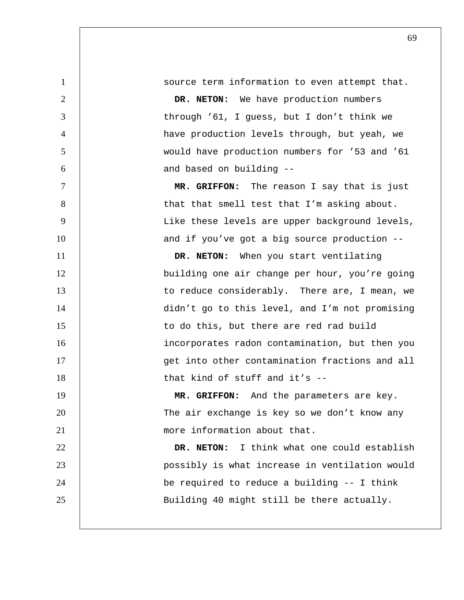1 source term information to even attempt that. 2 **DR. NETON:** We have production numbers 3 through '61, I guess, but I don't think we 4 have production levels through, but yeah, we 5 would have production numbers for '53 and '61 6 and based on building --7 **MR. GRIFFON:** The reason I say that is just 8 | that that smell test that I'm asking about. 9 | Like these levels are upper background levels, 10 | and if you've got a big source production --11 **DR. NETON:** When you start ventilating 12 building one air change per hour, you're going 13 | to reduce considerably. There are, I mean, we 14 didn't go to this level, and I'm not promising 15 | to do this, but there are red rad build 16 incorporates radon contamination, but then you 17 | Get into other contamination fractions and all 18 | that kind of stuff and it's --19 **MR. GRIFFON:** And the parameters are key. 20 | The air exchange is key so we don't know any 21 | more information about that. 22 **DR. NETON:** I think what one could establish 23 possibly is what increase in ventilation would 24 be required to reduce a building -- I think

25 | Building 40 might still be there actually.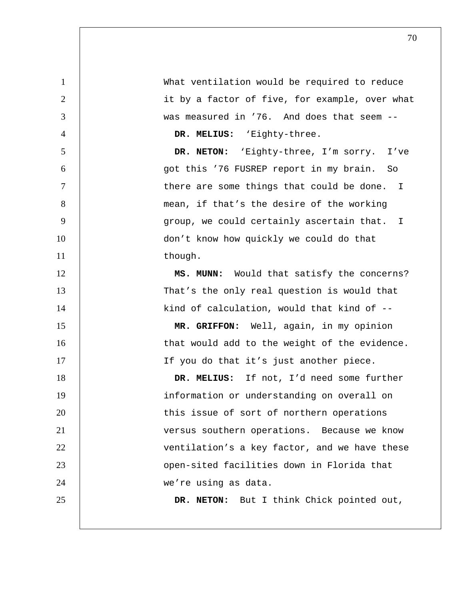What ventilation would be required to reduce 2 | it by a factor of five, for example, over what was measured in '76. And does that seem -- **DR. MELIUS:** 'Eighty-three. **DR. NETON:** 'Eighty-three, I'm sorry. I've got this '76 FUSREP report in my brain. So 7 | Chere are some things that could be done. I 8 | mean, if that's the desire of the working

9 group, we could certainly ascertain that. I 10 | don't know how quickly we could do that 11 | though.

12 | **MS. MUNN:** Would that satisfy the concerns? 13 That's the only real question is would that 14 | kind of calculation, would that kind of --

15 **MR. GRIFFON:** Well, again, in my opinion 16 | that would add to the weight of the evidence. 17 | If you do that it's just another piece.

18 **DR. MELIUS:** If not, I'd need some further 19 | information or understanding on overall on 20 This issue of sort of northern operations 21 versus southern operations. Because we know 22 | ventilation's a key factor, and we have these 23 open-sited facilities down in Florida that 24 | we're using as data.

25 **DR. NETON:** But I think Chick pointed out,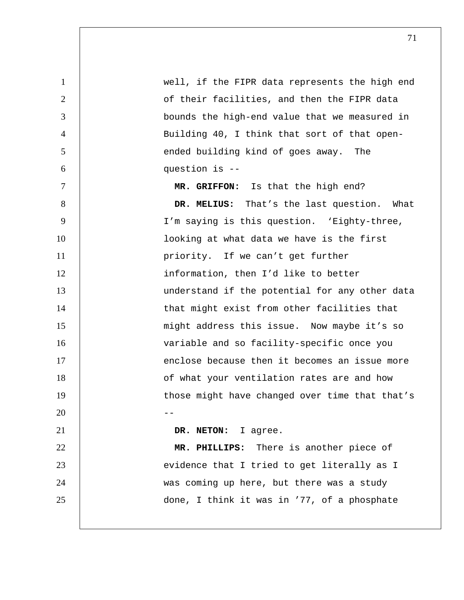| $\mathbf{1}$   | well, if the FIPR data represents the high end |
|----------------|------------------------------------------------|
| $\overline{2}$ | of their facilities, and then the FIPR data    |
| 3              | bounds the high-end value that we measured in  |
| $\overline{4}$ | Building 40, I think that sort of that open-   |
| 5              | ended building kind of goes away. The          |
| 6              | question is --                                 |
| $\tau$         | MR. GRIFFON: Is that the high end?             |
| 8              | DR. MELIUS: That's the last question. What     |
| 9              | I'm saying is this question. 'Eighty-three,    |
| 10             | looking at what data we have is the first      |
| 11             | priority. If we can't get further              |
| 12             | information, then I'd like to better           |
| 13             | understand if the potential for any other data |
| 14             | that might exist from other facilities that    |
| 15             | might address this issue. Now maybe it's so    |
| 16             | variable and so facility-specific once you     |
| 17             | enclose because then it becomes an issue more  |
| 18             | of what your ventilation rates are and how     |
| 19             | those might have changed over time that that's |
| 20             |                                                |
| 21             | DR. NETON:<br>I agree.                         |
| 22             | MR. PHILLIPS: There is another piece of        |
| 23             | evidence that I tried to get literally as I    |
| 24             | was coming up here, but there was a study      |
| 25             | done, I think it was in '77, of a phosphate    |
|                |                                                |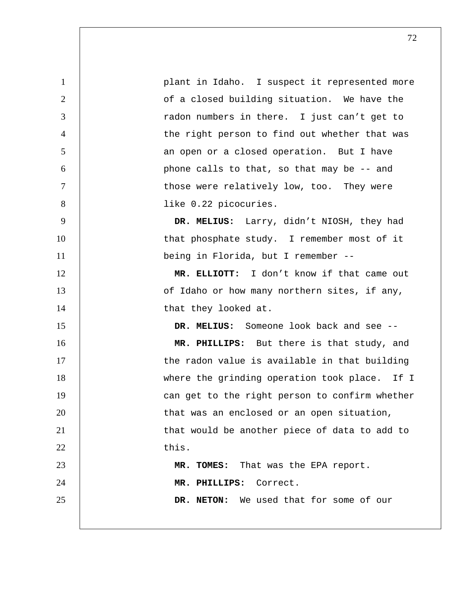1 **plant in Idaho.** I suspect it represented more 2 | cf a closed building situation. We have the 3 Tradon numbers in there. I just can't get to 4 | the right person to find out whether that was 5 an open or a closed operation. But I have 6 phone calls to that, so that may be -- and 7 T interpretence were relatively low, too. They were 8 | like 0.22 picocuries. 9 **DR. MELIUS:** Larry, didn't NIOSH, they had 10 | that phosphate study. I remember most of it 11 | being in Florida, but I remember --12 **MR. ELLIOTT:** I don't know if that came out 13 **13** of Idaho or how many northern sites, if any, 14 | that they looked at. 15 **DR. MELIUS:** Someone look back and see -- 16 **MR. PHILLIPS:** But there is that study, and 17 | the radon value is available in that building 18 | where the grinding operation took place. If I 19 | can get to the right person to confirm whether 20 | that was an enclosed or an open situation, 21 | that would be another piece of data to add to  $22$  this. 23 **MR. TOMES:** That was the EPA report. 24 **MR. PHILLIPS:** Correct. 25 **DR. NETON:** We used that for some of our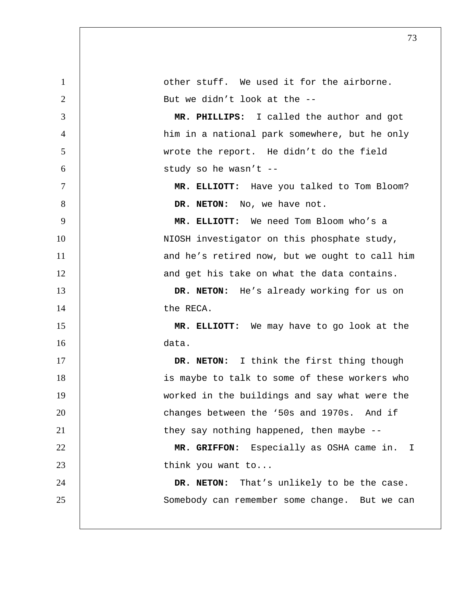| $\mathbf{1}$   | other stuff. We used it for the airborne.      |
|----------------|------------------------------------------------|
| $\overline{2}$ | But we didn't look at the --                   |
| 3              | MR. PHILLIPS: I called the author and got      |
| $\overline{4}$ | him in a national park somewhere, but he only  |
| 5              | wrote the report. He didn't do the field       |
| 6              | study so he wasn't --                          |
| $\tau$         | MR. ELLIOTT: Have you talked to Tom Bloom?     |
| 8              | DR. NETON: No, we have not.                    |
| 9              | MR. ELLIOTT: We need Tom Bloom who's a         |
| 10             | NIOSH investigator on this phosphate study,    |
| 11             | and he's retired now, but we ought to call him |
| 12             | and get his take on what the data contains.    |
| 13             | DR. NETON: He's already working for us on      |
| 14             | the RECA.                                      |
| 15             | MR. ELLIOTT: We may have to go look at the     |
| 16             | data.                                          |
| 17             | DR. NETON: I think the first thing though      |
| 18             | is maybe to talk to some of these workers who  |
| 19             | worked in the buildings and say what were the  |
| 20             | changes between the '50s and 1970s. And if     |
| 21             | they say nothing happened, then maybe $-$ -    |
| 22             | MR. GRIFFON: Especially as OSHA came in.<br>T. |
| 23             | think you want to                              |
| 24             | DR. NETON: That's unlikely to be the case.     |
| 25             | Somebody can remember some change. But we can  |
|                |                                                |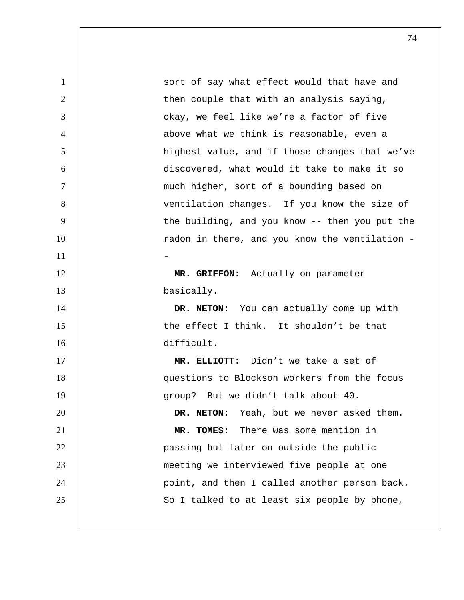1 | sort of say what effect would that have and 2 | then couple that with an analysis saying, 3 **J** okay, we feel like we're a factor of five 4 above what we think is reasonable, even a 5 | highest value, and if those changes that we've 6 discovered, what would it take to make it so 7 much higher, sort of a bounding based on 8 | ventilation changes. If you know the size of 9 | the building, and you know -- then you put the 10 | radon in there, and you know the ventilation - $11$   $-$ 12 **MR. GRIFFON:** Actually on parameter 13 basically. 14 **DR. NETON:** You can actually come up with 15 | the effect I think. It shouldn't be that 16 difficult. 17 **MR. ELLIOTT:** Didn't we take a set of 18 questions to Blockson workers from the focus 19 | group? But we didn't talk about 40. 20 **DR. NETON:** Yeah, but we never asked them. 21 **MR. TOMES:** There was some mention in 22 **passing but later on outside the public** 23 meeting we interviewed five people at one 24 | point, and then I called another person back. 25 | So I talked to at least six people by phone,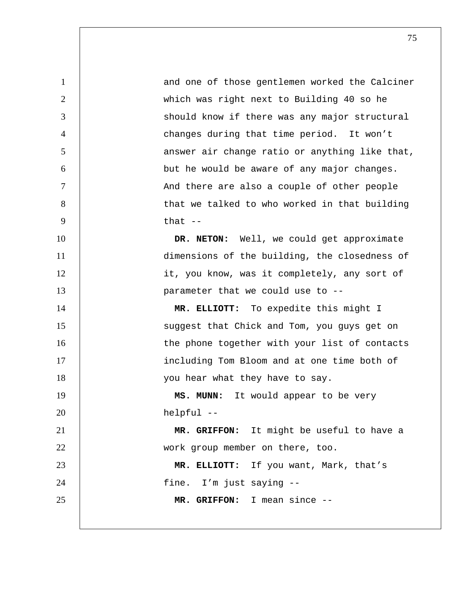1 and one of those gentlemen worked the Calciner 2 which was right next to Building 40 so he 3 | Should know if there was any major structural 4 changes during that time period. It won't 5 | answer air change ratio or anything like that, 6 but he would be aware of any major changes. 7 | And there are also a couple of other people 8 | that we talked to who worked in that building  $9 \t\t \t that -$ 10 **DR. NETON:** Well, we could get approximate 11 dimensions of the building, the closedness of 12 | it, you know, was it completely, any sort of 13 **parameter that we could use to --**14 **MR. ELLIOTT:** To expedite this might I 15 | Suggest that Chick and Tom, you guys get on 16 | the phone together with your list of contacts 17 | including Tom Bloom and at one time both of 18 | vou hear what they have to say. 19 **MS. MUNN:** It would appear to be very 20 helpful -- 21 **MR. GRIFFON:** It might be useful to have a 22 work group member on there, too. 23 **MR. ELLIOTT:** If you want, Mark, that's 24 | fine. I'm just saying --25 **MR. GRIFFON:** I mean since --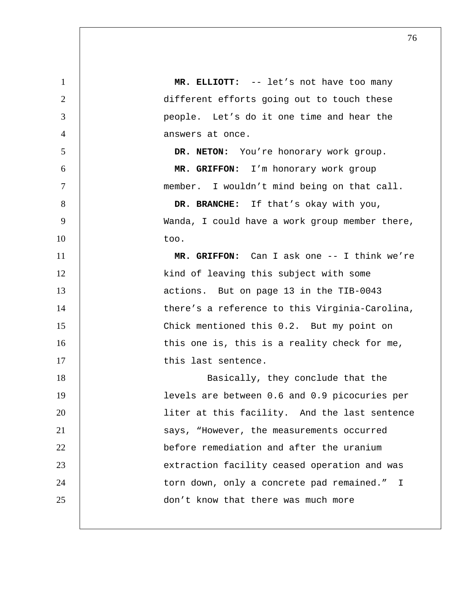1 **MR. ELLIOTT:** -- let's not have too many 2 | different efforts going out to touch these 3 people. Let's do it one time and hear the 4 answers at once. 5 **DR. NETON:** You're honorary work group. 6 **MR. GRIFFON:** I'm honorary work group 7 | member. I wouldn't mind being on that call. 8 **DR. BRANCHE:** If that's okay with you, 9 Wanda, I could have a work group member there,  $10 \quad | \quad \text{too.}$ 11 **MR. GRIFFON:** Can I ask one -- I think we're 12 | kind of leaving this subject with some 13 | actions. But on page 13 in the TIB-0043 14 | there's a reference to this Virginia-Carolina, 15 Chick mentioned this 0.2. But my point on 16 | this one is, this is a reality check for me, 17 | this last sentence. 18 | Basically, they conclude that the 19 levels are between 0.6 and 0.9 picocuries per 20 liter at this facility. And the last sentence 21 | Says, "However, the measurements occurred 22 **before remediation and after the uranium** 23 | extraction facility ceased operation and was 24 | torn down, only a concrete pad remained." I 25 **don't know that there was much more**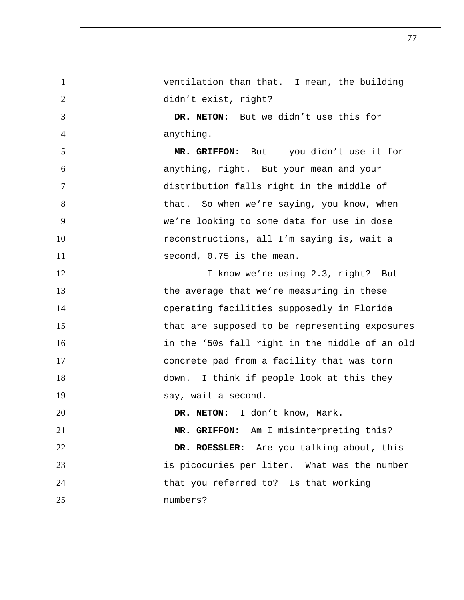1 ventilation than that. I mean, the building 2 didn't exist, right? 3 **DR. NETON:** But we didn't use this for 4 anything. 5 **MR. GRIFFON:** But -- you didn't use it for 6 anything, right. But your mean and your 7 distribution falls right in the middle of 8 | that. So when we're saying, you know, when 9 we're looking to some data for use in dose 10 | reconstructions, all I'm saying is, wait a 11 | second, 0.75 is the mean. 12 | I know we're using 2.3, right? But 13 | the average that we're measuring in these 14 | Operating facilities supposedly in Florida 15 | that are supposed to be representing exposures 16 | in the '50s fall right in the middle of an old 17 | concrete pad from a facility that was torn 18 down. I think if people look at this they 19 | say, wait a second. 20 **DR. NETON:** I don't know, Mark. 21 **MR. GRIFFON:** Am I misinterpreting this? 22 **DR. ROESSLER:** Are you talking about, this 23 | is picocuries per liter. What was the number 24 | that you referred to? Is that working 25 numbers?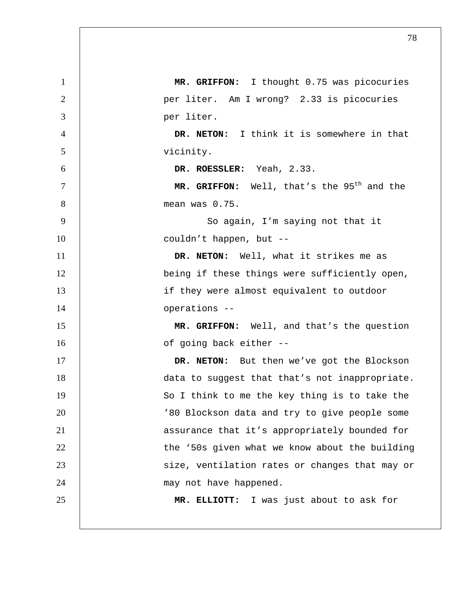| $\mathbf{1}$   | MR. GRIFFON: I thought 0.75 was picocuries             |
|----------------|--------------------------------------------------------|
| $\overline{2}$ | per liter. Am I wrong? 2.33 is picocuries              |
| 3              | per liter.                                             |
| $\overline{4}$ | DR. NETON: I think it is somewhere in that             |
| 5              | vicinity.                                              |
| 6              | DR. ROESSLER: Yeah, 2.33.                              |
| $\tau$         | MR. GRIFFON: Well, that's the 95 <sup>th</sup> and the |
| 8              | mean was 0.75.                                         |
| 9              | So again, I'm saying not that it                       |
| 10             | couldn't happen, but --                                |
| 11             | DR. NETON: Well, what it strikes me as                 |
| 12             | being if these things were sufficiently open,          |
| 13             | if they were almost equivalent to outdoor              |
| 14             | operations --                                          |
| 15             | MR. GRIFFON: Well, and that's the question             |
| 16             | of going back either --                                |
| 17             | DR. NETON: But then we've got the Blockson             |
| 18             | data to suggest that that's not inappropriate.         |
| 19             | So I think to me the key thing is to take the          |
| 20             | '80 Blockson data and try to give people some          |
| 21             | assurance that it's appropriately bounded for          |
| 22             | the '50s given what we know about the building         |
| 23             | size, ventilation rates or changes that may or         |
| 24             | may not have happened.                                 |
| 25             | MR. ELLIOTT: I was just about to ask for               |
|                |                                                        |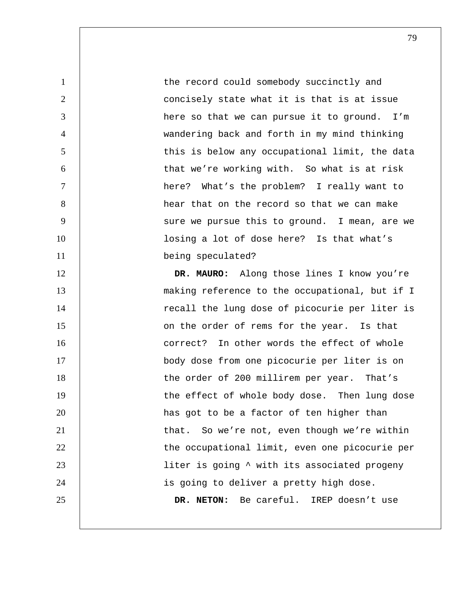1 the record could somebody succinctly and 2 | concisely state what it is that is at issue 3 here so that we can pursue it to ground. I'm 4 wandering back and forth in my mind thinking 5 | this is below any occupational limit, the data 6 that we're working with. So what is at risk 7 here? What's the problem? I really want to 8 hear that on the record so that we can make 9 | Sure we pursue this to ground. I mean, are we 10 | losing a lot of dose here? Is that what's 11 | being speculated?

12 | DR. MAURO: Along those lines I know you're 13 **13** making reference to the occupational, but if I 14 | recall the lung dose of picocurie per liter is 15 | Conthe order of rems for the year. Is that 16 **correct?** In other words the effect of whole 17 | body dose from one picocurie per liter is on 18 | the order of 200 millirem per year. That's 19 | the effect of whole body dose. Then lung dose 20 **has got to be a factor of ten higher than** 21 | that. So we're not, even though we're within 22 | the occupational limit, even one picocurie per 23 | liter is going  $\sim$  with its associated progeny 24 | is going to deliver a pretty high dose. 25 **DR. NETON:** Be careful. IREP doesn't use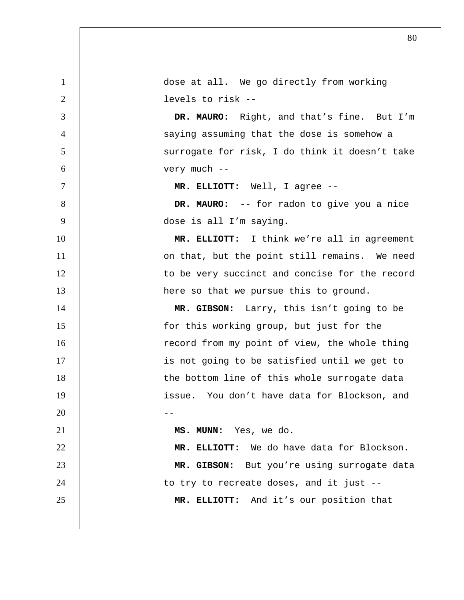| $\mathbf{1}$   | dose at all. We go directly from working       |
|----------------|------------------------------------------------|
| 2              | levels to risk --                              |
| 3              | DR. MAURO: Right, and that's fine. But I'm     |
| $\overline{4}$ | saying assuming that the dose is somehow a     |
| 5              | surrogate for risk, I do think it doesn't take |
| 6              | very much --                                   |
| $\tau$         | MR. ELLIOTT: Well, I agree --                  |
| 8              | DR. MAURO: -- for radon to give you a nice     |
| 9              | dose is all I'm saying.                        |
| 10             | MR. ELLIOTT: I think we're all in agreement    |
| 11             | on that, but the point still remains. We need  |
| 12             | to be very succinct and concise for the record |
| 13             | here so that we pursue this to ground.         |
| 14             | MR. GIBSON: Larry, this isn't going to be      |
| 15             | for this working group, but just for the       |
| 16             | record from my point of view, the whole thing  |
| 17             | is not going to be satisfied until we get to   |
| 18             | the bottom line of this whole surrogate data   |
| 19             | issue. You don't have data for Blockson, and   |
| 20             |                                                |
| 21             | MS. MUNN: Yes, we do.                          |
| 22             | MR. ELLIOTT: We do have data for Blockson.     |
| 23             | MR. GIBSON: But you're using surrogate data    |
| 24             | to try to recreate doses, and it just --       |
| 25             | MR. ELLIOTT: And it's our position that        |
|                |                                                |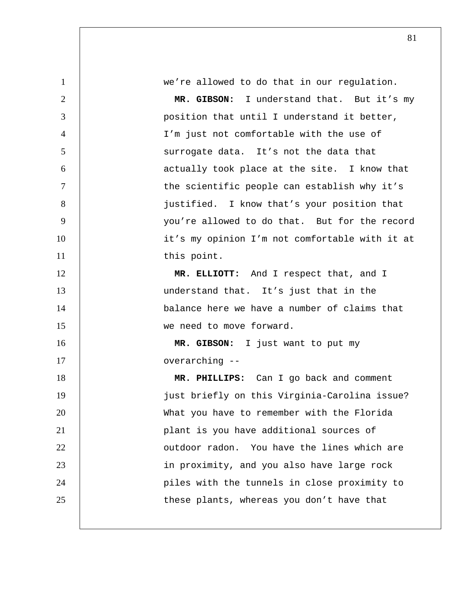we're allowed to do that in our regulation. **MR. GIBSON:** I understand that. But it's my 3 | position that until I understand it better, I'm just not comfortable with the use of 5 | Surrogate data. It's not the data that **6 b** actually took place at the site. I know that the scientific people can establish why it's 8 | justified. I know that's your position that 9 | vou're allowed to do that. But for the record 10 | it's my opinion I'm not comfortable with it at 11 this point. **MR. ELLIOTT:** And I respect that, and I understand that. It's just that in the **balance here we have a number of claims that** 15 | we need to move forward. **MR. GIBSON:** I just want to put my **b** overarching --**MR. PHILLIPS:** Can I go back and comment just briefly on this Virginia-Carolina issue? What you have to remember with the Florida plant is you have additional sources of **1** outdoor radon. You have the lines which are in proximity, and you also have large rock 24 | piles with the tunnels in close proximity to 25 | these plants, whereas you don't have that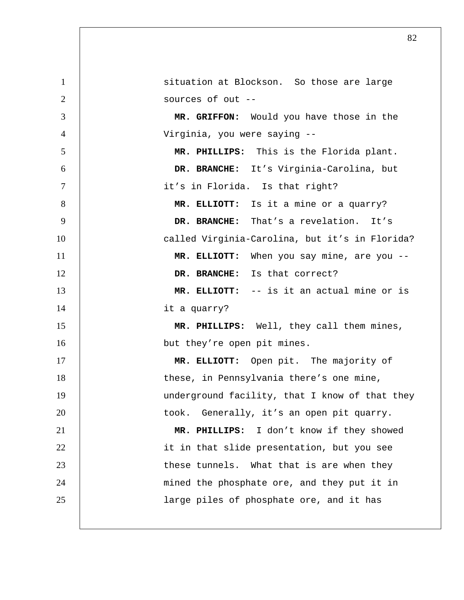| $\mathbf{1}$ | situation at Blockson. So those are large      |
|--------------|------------------------------------------------|
| 2            | sources of out --                              |
| 3            | MR. GRIFFON: Would you have those in the       |
| 4            | Virginia, you were saying --                   |
| 5            | MR. PHILLIPS: This is the Florida plant.       |
| 6            | DR. BRANCHE: It's Virginia-Carolina, but       |
| $\tau$       | it's in Florida. Is that right?                |
| 8            | MR. ELLIOTT: Is it a mine or a quarry?         |
| 9            | DR. BRANCHE: That's a revelation. It's         |
| 10           | called Virginia-Carolina, but it's in Florida? |
| 11           | MR. ELLIOTT: When you say mine, are you --     |
| 12           | DR. BRANCHE: Is that correct?                  |
| 13           | MR. ELLIOTT: -- is it an actual mine or is     |
| 14           | it a quarry?                                   |
| 15           | MR. PHILLIPS: Well, they call them mines,      |
| 16           | but they're open pit mines.                    |
| 17           | MR. ELLIOTT: Open pit. The majority of         |
| 18           | these, in Pennsylvania there's one mine,       |
| 19           | underground facility, that I know of that they |
| 20           | Generally, it's an open pit quarry.<br>took.   |
| 21           | MR. PHILLIPS: I don't know if they showed      |
| 22           | it in that slide presentation, but you see     |
| 23           | these tunnels. What that is are when they      |
| 24           | mined the phosphate ore, and they put it in    |
| 25           | large piles of phosphate ore, and it has       |
|              |                                                |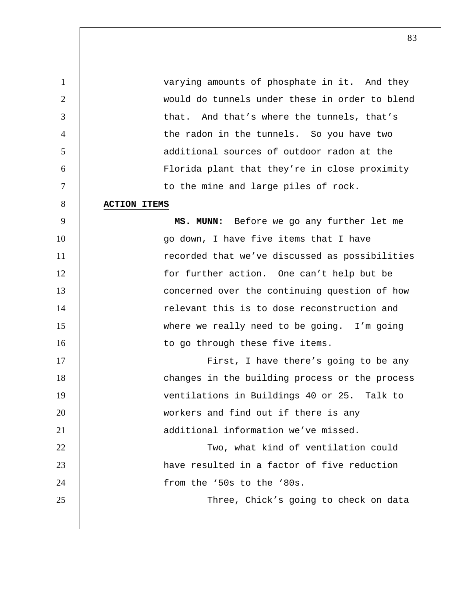varying amounts of phosphate in it. And they would do tunnels under these in order to blend that. And that's where the tunnels, that's the radon in the tunnels. So you have two additional sources of outdoor radon at the Florida plant that they're in close proximity 7 | to the mine and large piles of rock. **ACTION ITEMS MS. MUNN:** Before we go any further let me 10 | Go down, I have five items that I have 11 | recorded that we've discussed as possibilities 12 | for further action. One can't help but be 13 | concerned over the continuing question of how relevant this is to dose reconstruction and where we really need to be going. I'm going 16 | to go through these five items. 17 | First, I have there's going to be any 18 | changes in the building process or the process ventilations in Buildings 40 or 25. Talk to workers and find out if there is any additional information we've missed. 22 | Two, what kind of ventilation could have resulted in a factor of five reduction

25 | Three, Chick's going to check on data

from the '50s to the '80s.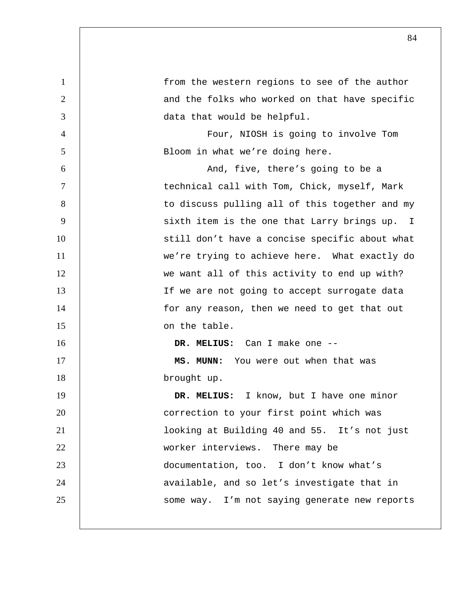| $\mathbf{1}$   | from the western regions to see of the author  |
|----------------|------------------------------------------------|
| $\overline{2}$ | and the folks who worked on that have specific |
| 3              | data that would be helpful.                    |
| 4              | Four, NIOSH is going to involve Tom            |
| 5              | Bloom in what we're doing here.                |
| 6              | And, five, there's going to be a               |
| $\tau$         | technical call with Tom, Chick, myself, Mark   |
| 8              | to discuss pulling all of this together and my |
| 9              | sixth item is the one that Larry brings up. I  |
| 10             | still don't have a concise specific about what |
| 11             | we're trying to achieve here. What exactly do  |
| 12             | we want all of this activity to end up with?   |
| 13             | If we are not going to accept surrogate data   |
| 14             | for any reason, then we need to get that out   |
| 15             | on the table.                                  |
| 16             | DR. MELIUS: Can I make one --                  |
| 17             | MS. MUNN: You were out when that was           |
| 18             | brought up.                                    |
| 19             | I know, but I have one minor<br>DR. MELIUS:    |
| 20             | correction to your first point which was       |
| 21             | looking at Building 40 and 55. It's not just   |
| 22             | worker interviews. There may be                |
| 23             | documentation, too. I don't know what's        |
| 24             | available, and so let's investigate that in    |
| 25             | some way. I'm not saying generate new reports  |
|                |                                                |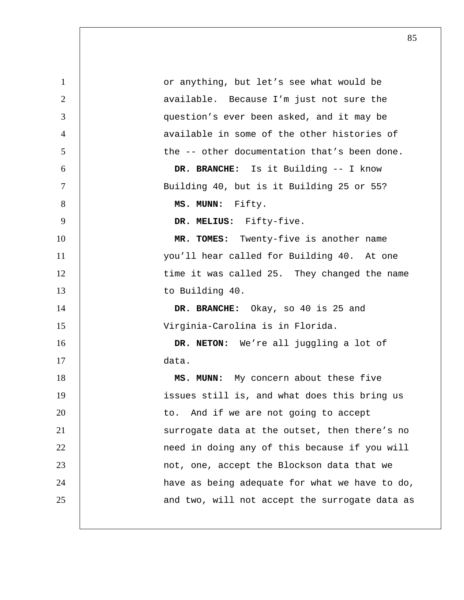1 or anything, but let's see what would be 2 | available. Because I'm just not sure the 3 question's ever been asked, and it may be 4 available in some of the other histories of 5 the -- other documentation that's been done. 6 **DR. BRANCHE:** Is it Building -- I know 7 Building 40, but is it Building 25 or 55? 8 **MS. MUNN:** Fifty. 9 **DR. MELIUS:** Fifty-five. 10 **MR. TOMES:** Twenty-five is another name 11 you'll hear called for Building 40. At one 12 | time it was called 25. They changed the name 13 to Building 40. 14 **DR. BRANCHE:** Okay, so 40 is 25 and 15 Virginia-Carolina is in Florida. 16 **DR. NETON:** We're all juggling a lot of 17 data. 18 **MS. MUNN:** My concern about these five 19 | issues still is, and what does this bring us 20 | to. And if we are not going to accept 21 | Surrogate data at the outset, then there's no 22 | need in doing any of this because if you will 23 | not, one, accept the Blockson data that we 24 | have as being adequate for what we have to do, 25 | and two, will not accept the surrogate data as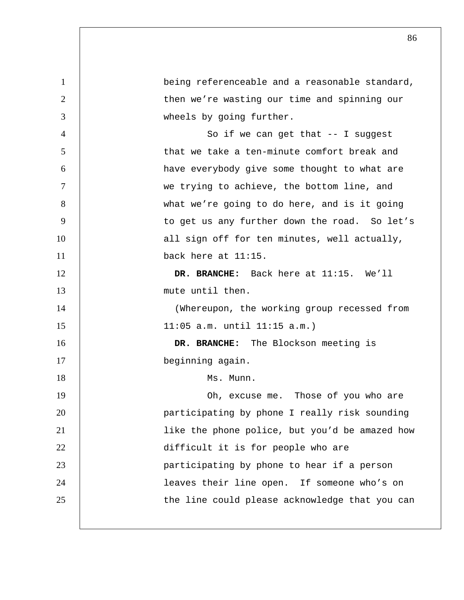| $\mathbf{1}$   | being referenceable and a reasonable standard, |
|----------------|------------------------------------------------|
| $\overline{2}$ | then we're wasting our time and spinning our   |
| 3              | wheels by going further.                       |
| $\overline{4}$ | So if we can get that $--$ I suggest           |
| 5              | that we take a ten-minute comfort break and    |
| 6              | have everybody give some thought to what are   |
| 7              | we trying to achieve, the bottom line, and     |
| 8              | what we're going to do here, and is it going   |
| 9              | to get us any further down the road. So let's  |
| 10             | all sign off for ten minutes, well actually,   |
| 11             | back here at 11:15.                            |
| 12             | DR. BRANCHE: Back here at 11:15. We'll         |
| 13             | mute until then.                               |
| 14             | (Whereupon, the working group recessed from    |
| 15             | $11:05$ a.m. until $11:15$ a.m.)               |
| 16             | DR. BRANCHE: The Blockson meeting is           |
| 17             | beginning again.                               |
| 18             | Ms. Munn.                                      |
| 19             | Oh, excuse me. Those of you who are            |
| 20             | participating by phone I really risk sounding  |
| 21             | like the phone police, but you'd be amazed how |
| 22             | difficult it is for people who are             |
| 23             | participating by phone to hear if a person     |
| 24             | leaves their line open. If someone who's on    |
| 25             | the line could please acknowledge that you can |
|                |                                                |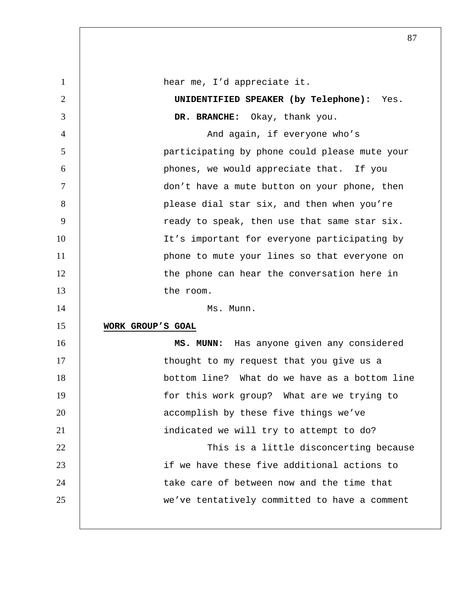1 | hear me, I'd appreciate it. 2 **UNIDENTIFIED SPEAKER (by Telephone):** Yes. 3 **DR. BRANCHE:** Okay, thank you. 4 | Robert Mand again, if everyone who's 5 participating by phone could please mute your 6 phones, we would appreciate that. If you 7 don't have a mute button on your phone, then 8 | please dial star six, and then when you're 9 | ready to speak, then use that same star six. 10 | It's important for everyone participating by 11 | phone to mute your lines so that everyone on 12 | the phone can hear the conversation here in 13 the room. 14 Ms. Munn. 15 **WORK GROUP'S GOAL** 16 **MS. MUNN:** Has anyone given any considered 17 | thought to my request that you give us a 18 bottom line? What do we have as a bottom line 19 | for this work group? What are we trying to 20 **1 accomplish by these five things we've** 21 | indicated we will try to attempt to do? 22 | This is a little disconcerting because 23 if we have these five additional actions to 24 | take care of between now and the time that 25 we've tentatively committed to have a comment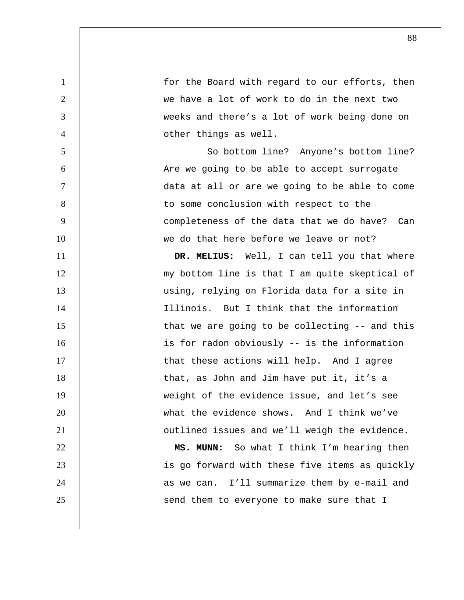1 for the Board with regard to our efforts, then 2 we have a lot of work to do in the next two 3 weeks and there's a lot of work being done on 4 other things as well. 5 So bottom line? Anyone's bottom line? 6 Are we going to be able to accept surrogate 7 data at all or are we going to be able to come 8 | to some conclusion with respect to the 9 completeness of the data that we do have? Can 10 we do that here before we leave or not? 11 **DR. MELIUS:** Well, I can tell you that where 12 | my bottom line is that I am quite skeptical of 13 | using, relying on Florida data for a site in 14 Illinois. But I think that the information 15 | that we are going to be collecting -- and this 16 | is for radon obviously -- is the information 17 | that these actions will help. And I agree 18 | that, as John and Jim have put it, it's a 19 weight of the evidence issue, and let's see 20 what the evidence shows. And I think we've 21 | outlined issues and we'll weigh the evidence. 22 **MS. MUNN:** So what I think I'm hearing then 23 | is go forward with these five items as quickly 24 | as we can. I'll summarize them by e-mail and 25 | Send them to everyone to make sure that I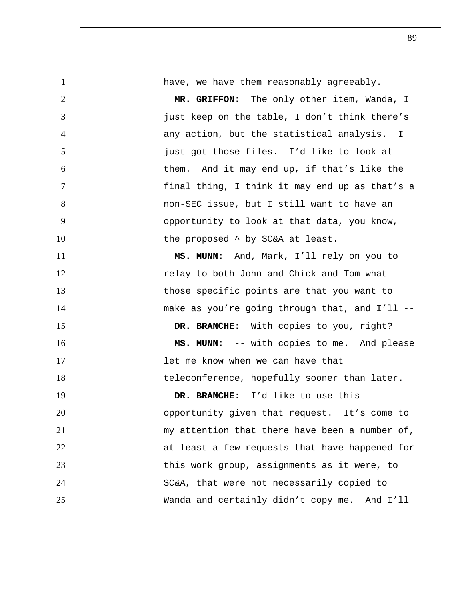| $\mathbf{1}$   | have, we have them reasonably agreeably.       |
|----------------|------------------------------------------------|
| $\overline{2}$ | MR. GRIFFON: The only other item, Wanda, I     |
| 3              | just keep on the table, I don't think there's  |
| $\overline{4}$ | any action, but the statistical analysis. I    |
| 5              | just got those files. I'd like to look at      |
| 6              | them. And it may end up, if that's like the    |
| $\overline{7}$ | final thing, I think it may end up as that's a |
| 8              | non-SEC issue, but I still want to have an     |
| 9              | opportunity to look at that data, you know,    |
| 10             | the proposed ^ by SC&A at least.               |
| 11             | MS. MUNN: And, Mark, I'll rely on you to       |
| 12             | relay to both John and Chick and Tom what      |
| 13             | those specific points are that you want to     |
| 14             | make as you're going through that, and I'll -- |
| 15             | DR. BRANCHE: With copies to you, right?        |
| 16             | MS. MUNN: -- with copies to me. And please     |
| 17             | let me know when we can have that              |
| 18             | teleconference, hopefully sooner than later.   |
| 19             | DR. BRANCHE: I'd like to use this              |
| 20             | opportunity given that request. It's come to   |
| 21             | my attention that there have been a number of, |
| 22             | at least a few requests that have happened for |
| 23             | this work group, assignments as it were, to    |
| 24             | SC&A, that were not necessarily copied to      |
| 25             | Wanda and certainly didn't copy me. And I'll   |
|                |                                                |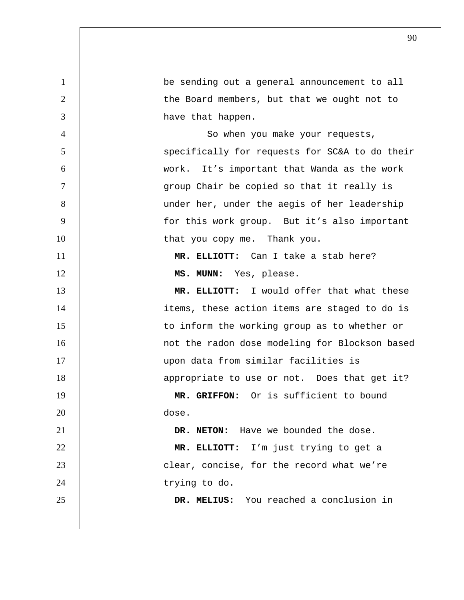1 be sending out a general announcement to all 2 | the Board members, but that we ought not to 3 have that happen. 4 So when you make your requests, 5 | Specifically for requests for SC&A to do their 6 work. It's important that Wanda as the work 7 group Chair be copied so that it really is 8 | under her, under the aegis of her leadership 9 | for this work group. But it's also important 10 | that you copy me. Thank you. 11 **MR. ELLIOTT:** Can I take a stab here? 12 | **MS. MUNN:** Yes, please. 13 **MR. ELLIOTT:** I would offer that what these 14 | items, these action items are staged to do is 15 | to inform the working group as to whether or 16 | mot the radon dose modeling for Blockson based 17 upon data from similar facilities is 18 | appropriate to use or not. Does that get it? 19 **MR. GRIFFON:** Or is sufficient to bound 20 dose. 21 **DR. NETON:** Have we bounded the dose. 22 **MR. ELLIOTT:** I'm just trying to get a 23 **clear, concise, for the record what we're** 24 | trying to do. 25 **DR. MELIUS:** You reached a conclusion in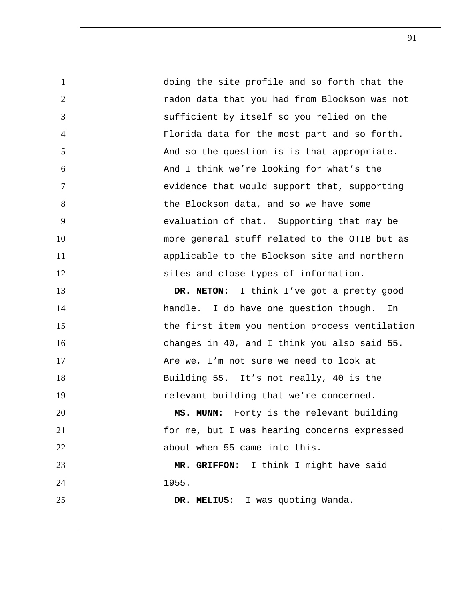1 doing the site profile and so forth that the 2 radon data that you had from Blockson was not 3 Sufficient by itself so you relied on the 4 Florida data for the most part and so forth. 5 | And so the question is is that appropriate. 6 And I think we're looking for what's the 7 | evidence that would support that, supporting 8 | the Blockson data, and so we have some 9 | evaluation of that. Supporting that may be 10 | more general stuff related to the OTIB but as 11 applicable to the Blockson site and northern 12 | sites and close types of information. 13 **DR. NETON:** I think I've got a pretty good 14 | handle. I do have one question though. In 15 | the first item you mention process ventilation 16 | Changes in 40, and I think you also said 55. 17 | Are we, I'm not sure we need to look at 18 | Building 55. It's not really, 40 is the 19 | relevant building that we're concerned. 20 **MS. MUNN:** Forty is the relevant building 21 for me, but I was hearing concerns expressed 22 **b** about when 55 came into this. 23 **MR. GRIFFON:** I think I might have said 24 1955. 25 **DR. MELIUS:** I was quoting Wanda.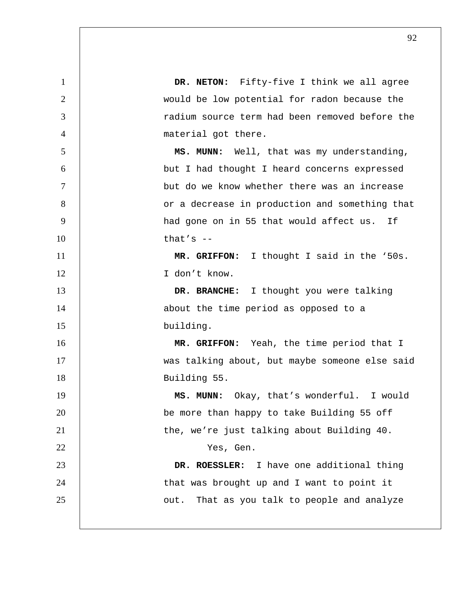**DR. NETON:** Fifty-five I think we all agree 2 | would be low potential for radon because the radium source term had been removed before the 4 | material got there. 5 | **MS. MUNN:** Well, that was my understanding, but I had thought I heard concerns expressed but do we know whether there was an increase 8 | Corra decrease in production and something that 9 | had gone on in 55 that would affect us. If  $\qquad$  that's  $-$ **MR. GRIFFON:** I thought I said in the '50s. I don't know. **DR. BRANCHE:** I thought you were talking 14 | about the time period as opposed to a building. **MR. GRIFFON:** Yeah, the time period that I was talking about, but maybe someone else said Building 55. **MS. MUNN:** Okay, that's wonderful. I would 20 | be more than happy to take Building 55 off 21 | the, we're just talking about Building 40. Yes, Gen. **DR. ROESSLER:** I have one additional thing 24 | that was brought up and I want to point it **July 25** out. That as you talk to people and analyze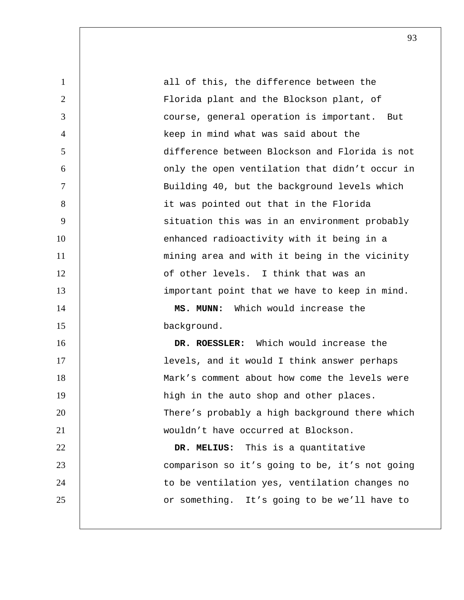1 all of this, the difference between the 2 Florida plant and the Blockson plant, of 3 course, general operation is important. But 4 keep in mind what was said about the 5 difference between Blockson and Florida is not 6 only the open ventilation that didn't occur in 7 Building 40, but the background levels which 8 it was pointed out that in the Florida 9 | Situation this was in an environment probably 10 | enhanced radioactivity with it being in a 11 | mining area and with it being in the vicinity 12 **12** of other levels. I think that was an 13 | important point that we have to keep in mind. 14 **MS. MUNN:** Which would increase the 15 background. 16 **DR. ROESSLER:** Which would increase the 17 | levels, and it would I think answer perhaps 18 Mark's comment about how come the levels were 19 | high in the auto shop and other places. 20 There's probably a high background there which 21 wouldn't have occurred at Blockson. 22 **DR. MELIUS:** This is a quantitative 23 comparison so it's going to be, it's not going 24 | to be ventilation yes, ventilation changes no 25 | or something. It's going to be we'll have to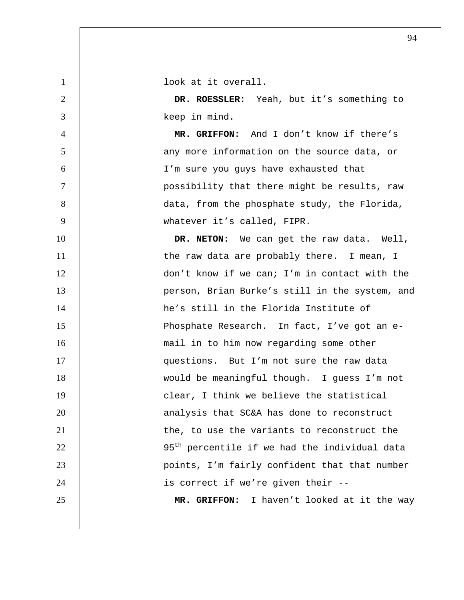look at it overall. **DR. ROESSLER:** Yeah, but it's something to keep in mind. **MR. GRIFFON:** And I don't know if there's 5 | any more information on the source data, or I'm sure you guys have exhausted that possibility that there might be results, raw 8 | data, from the phosphate study, the Florida, 9 | whatever it's called, FIPR. **DR. NETON:** We can get the raw data. Well, 11 | the raw data are probably there. I mean, I don't know if we can; I'm in contact with the 13 | person, Brian Burke's still in the system, and he's still in the Florida Institute of 15 | Phosphate Research. In fact, I've got an e-16 | mail in to him now regarding some other 17 | questions. But I'm not sure the raw data would be meaningful though. I guess I'm not **clear, I think we believe the statistical 1 analysis that SC&A has done to reconstruct the, to use the variants to reconstruct the**  |  $95<sup>th</sup>$  percentile if we had the individual data points, I'm fairly confident that that number 24 | is correct if we're given their --**MR. GRIFFON:** I haven't looked at it the way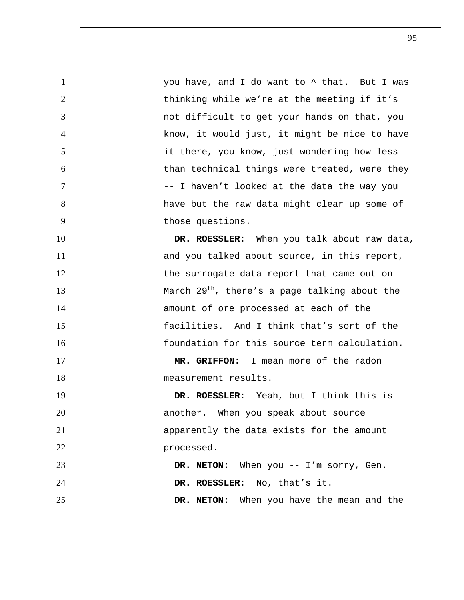1 | vou have, and I do want to  $\uparrow$  that. But I was 2 | thinking while we're at the meeting if it's 3 not difficult to get your hands on that, you 4 | know, it would just, it might be nice to have 5 it there, you know, just wondering how less 6 | than technical things were treated, were they 7 | I haven't looked at the data the way you 8 | have but the raw data might clear up some of 9 | those questions. 10 **DR. ROESSLER:** When you talk about raw data, 11 | and you talked about source, in this report, 12 | the surrogate data report that came out on 13  $\vert$  March 29<sup>th</sup>, there's a page talking about the 14 | amount of ore processed at each of the 15 facilities. And I think that's sort of the 16 foundation for this source term calculation. 17 **MR. GRIFFON:** I mean more of the radon 18 measurement results. 19 **DR. ROESSLER:** Yeah, but I think this is 20 | another. When you speak about source 21 | apparently the data exists for the amount 22 **processed.** 23 **DR. NETON:** When you -- I'm sorry, Gen. 24 **DR. ROESSLER:** No, that's it. 25 **DR. NETON:** When you have the mean and the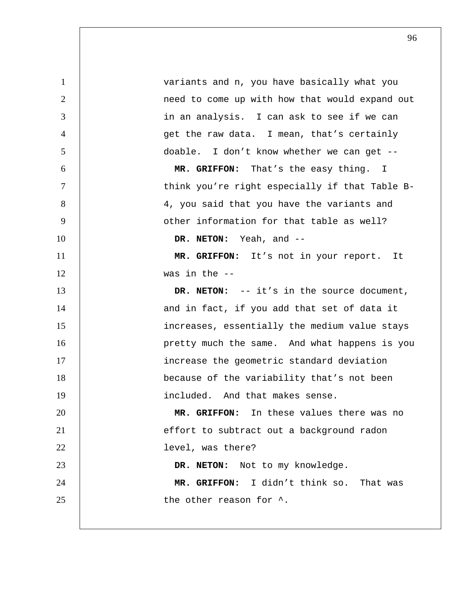variants and n, you have basically what you 2 | need to come up with how that would expand out 3 | in an analysis. I can ask to see if we can get the raw data. I mean, that's certainly doable. I don't know whether we can get -- **MR. GRIFFON:** That's the easy thing. I think you're right especially if that Table B-8 | 4, you said that you have the variants and 9 | other information for that table as well? **DR. NETON:** Yeah, and -- **MR. GRIFFON:** It's not in your report. It was in the -- **DR. NETON:** -- it's in the source document, 14 | and in fact, if you add that set of data it increases, essentially the medium value stays 16 | pretty much the same. And what happens is you **increase the geometric standard deviation** because of the variability that's not been 19 | included. And that makes sense. **MR. GRIFFON:** In these values there was no 21 | effort to subtract out a background radon **level**, was there? **DR. NETON:** Not to my knowledge. **MR. GRIFFON:** I didn't think so. That was **b** the other reason for  $\hat{\ }$ .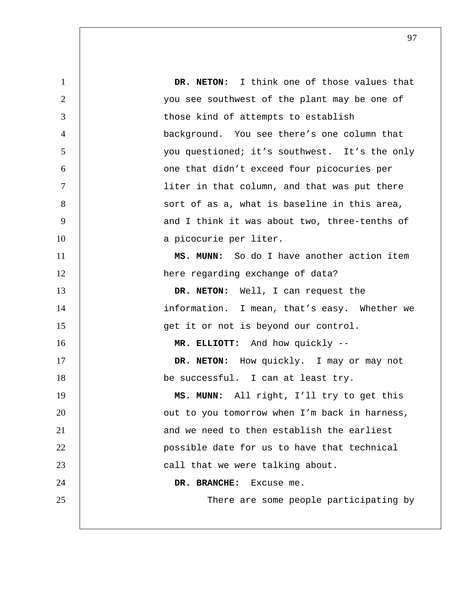**DR. NETON:** I think one of those values that you see southwest of the plant may be one of 3 those kind of attempts to establish background. You see there's one column that you questioned; it's southwest. It's the only one that didn't exceed four picocuries per liter in that column, and that was put there 8 | sort of as a, what is baseline in this area, 9 | and I think it was about two, three-tenths of 10 a picocurie per liter. **MS. MUNN:** So do I have another action item 12 | here regarding exchange of data? **DR. NETON:** Well, I can request the 14 | information. I mean, that's easy. Whether we 15 | get it or not is beyond our control. **MR. ELLIOTT:** And how quickly --**DR. NETON:** How quickly. I may or may not **be successful.** I can at least try. **MS. MUNN:** All right, I'll try to get this 20 | cut to you tomorrow when I'm back in harness, 21 and we need to then establish the earliest possible date for us to have that technical **call that we were talking about. DR. BRANCHE:** Excuse me. 25 | There are some people participating by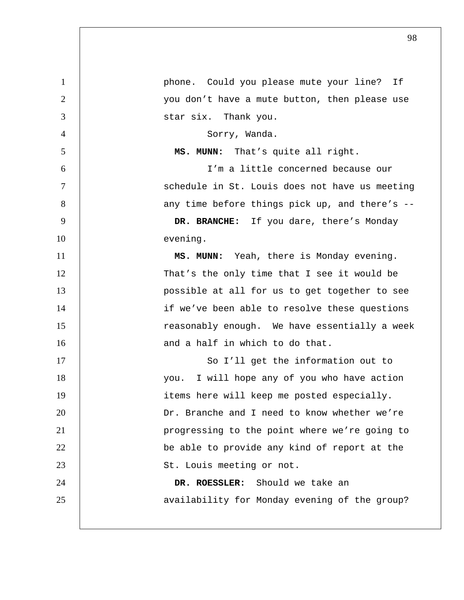| $\mathbf{1}$   | phone. Could you please mute your line? If     |
|----------------|------------------------------------------------|
| $\overline{2}$ | you don't have a mute button, then please use  |
| 3              | star six. Thank you.                           |
| $\overline{4}$ | Sorry, Wanda.                                  |
| 5              | MS. MUNN: That's quite all right.              |
| 6              | I'm a little concerned because our             |
| $\overline{7}$ | schedule in St. Louis does not have us meeting |
| 8              | any time before things pick up, and there's -- |
| 9              | DR. BRANCHE: If you dare, there's Monday       |
| 10             | evening.                                       |
| 11             | MS. MUNN: Yeah, there is Monday evening.       |
| 12             | That's the only time that I see it would be    |
| 13             | possible at all for us to get together to see  |
| 14             | if we've been able to resolve these questions  |
| 15             | reasonably enough. We have essentially a week  |
| 16             | and a half in which to do that.                |
| 17             | So I'll get the information out to             |
| 18             | I will hope any of you who have action<br>you. |
| 19             | items here will keep me posted especially.     |
| 20             | Dr. Branche and I need to know whether we're   |
| 21             | progressing to the point where we're going to  |
| 22             | be able to provide any kind of report at the   |
| 23             | St. Louis meeting or not.                      |
| 24             | DR. ROESSLER: Should we take an                |
| 25             | availability for Monday evening of the group?  |
|                |                                                |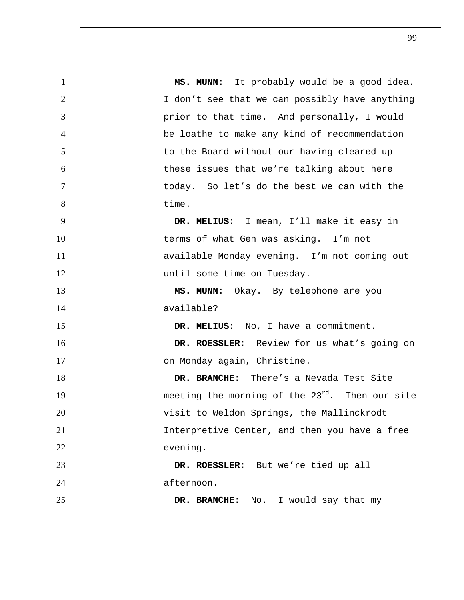1 **MS. MUNN:** It probably would be a good idea. 2 I don't see that we can possibly have anything 3 | prior to that time. And personally, I would 4 be loathe to make any kind of recommendation 5 to the Board without our having cleared up 6 these issues that we're talking about here 7 today. So let's do the best we can with the 8 time. 9 **DR. MELIUS:** I mean, I'll make it easy in 10 | terms of what Gen was asking. I'm not 11 | available Monday evening. I'm not coming out 12 | until some time on Tuesday. 13 **MS. MUNN:** Okay. By telephone are you 14 available? 15 **DR. MELIUS:** No, I have a commitment. 16 **DR. ROESSLER:** Review for us what's going on 17 | Christine. Christine. 18 **DR. BRANCHE:** There's a Nevada Test Site 19  $\vert$  meeting the morning of the 23 $^{rd}$ . Then our site 20 | visit to Weldon Springs, the Mallinckrodt 21 | Interpretive Center, and then you have a free 22 evening. 23 **DR. ROESSLER:** But we're tied up all 24 afternoon. 25 **DR. BRANCHE:** No. I would say that my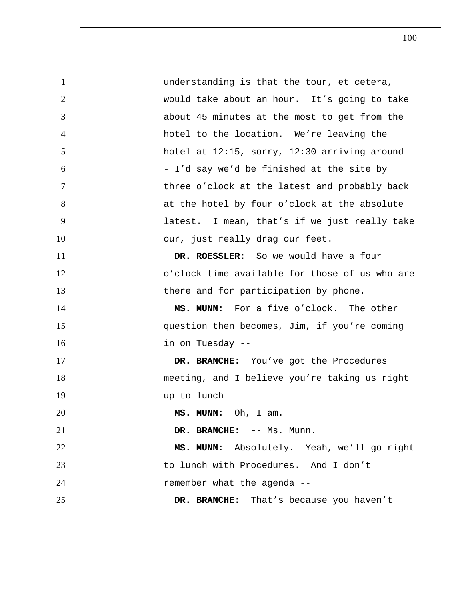1 understanding is that the tour, et cetera, 2 would take about an hour. It's going to take 3 3 about 45 minutes at the most to get from the 4 hotel to the location. We're leaving the 5 hotel at 12:15, sorry, 12:30 arriving around - 6 | South T'd say we'd be finished at the site by 7 | three o'clock at the latest and probably back 8 | at the hotel by four o'clock at the absolute 9 latest. I mean, that's if we just really take 10 | our, just really drag our feet. 11 **DR. ROESSLER:** So we would have a four 12 | colock time available for those of us who are 13 | there and for participation by phone. 14 **MS. MUNN:** For a five o'clock. The other 15 question then becomes, Jim, if you're coming 16 in on Tuesday -- 17 **DR. BRANCHE:** You've got the Procedures 18 meeting, and I believe you're taking us right 19 up to lunch -- 20 **MS. MUNN:** Oh, I am. 21 **DR. BRANCHE:**  $--$  Ms. Munn. 22 **MS. MUNN:** Absolutely. Yeah, we'll go right 23 | to lunch with Procedures. And I don't 24 | remember what the agenda --25 **DR. BRANCHE:** That's because you haven't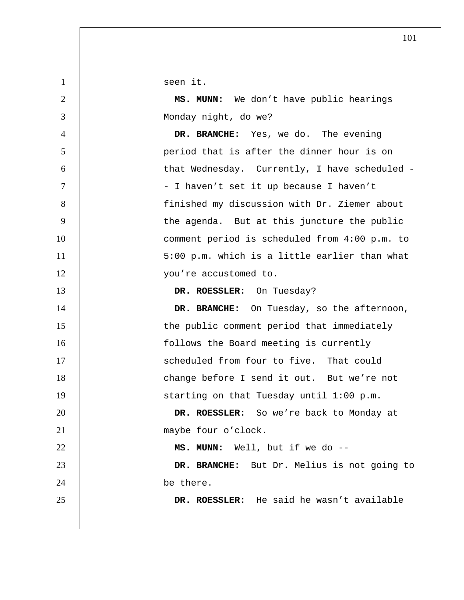1 | seen it.

2 **MS. MUNN:** We don't have public hearings 3 Monday night, do we?

4 **DR. BRANCHE:** Yes, we do. The evening 5 period that is after the dinner hour is on 6 that Wednesday. Currently, I have scheduled - 7 | Southeast Order Thaven't set it up because I haven't 8 finished my discussion with Dr. Ziemer about 9 | the agenda. But at this juncture the public 10 | comment period is scheduled from 4:00 p.m. to 11 | 5:00 p.m. which is a little earlier than what 12 | vou're accustomed to.

13 **DR. ROESSLER:** On Tuesday?

14 **DR. BRANCHE:** On Tuesday, so the afternoon, 15 | the public comment period that immediately 16 **follows** the Board meeting is currently 17 | Scheduled from four to five. That could 18 change before I send it out. But we're not 19 | starting on that Tuesday until 1:00 p.m. 20 **DR. ROESSLER:** So we're back to Monday at

21 | maybe four o'clock.

22 **MS. MUNN:** Well, but if we do --

23 **DR. BRANCHE:** But Dr. Melius is not going to 24 be there.

25 **DR. ROESSLER:** He said he wasn't available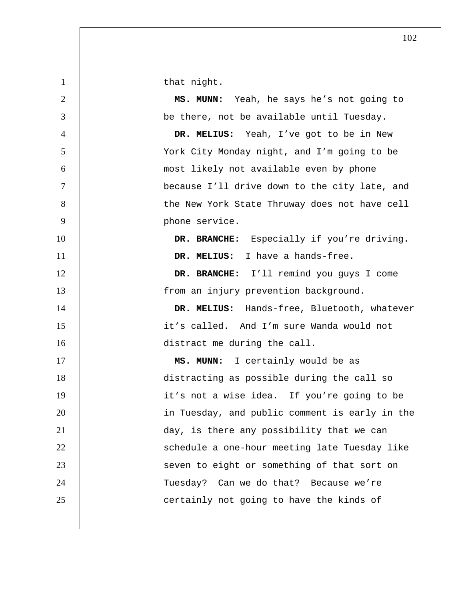1 | that night.

**MS. MUNN:** Yeah, he says he's not going to be there, not be available until Tuesday. **DR. MELIUS:** Yeah, I've got to be in New York City Monday night, and I'm going to be most likely not available even by phone because I'll drive down to the city late, and 8 | the New York State Thruway does not have cell **phone service. DR. BRANCHE:** Especially if you're driving. **DR. MELIUS:** I have a hands-free. **DR. BRANCHE:** I'll remind you guys I come 13 | from an injury prevention background. **DR. MELIUS:** Hands-free, Bluetooth, whatever it's called. And I'm sure Wanda would not 16 distract me during the call. 17 | **MS. MUNN:** I certainly would be as distracting as possible during the call so 19 | it's not a wise idea. If you're going to be 20 | in Tuesday, and public comment is early in the day, is there any possibility that we can 22 | Schedule a one-hour meeting late Tuesday like 23 | Seven to eight or something of that sort on 24 | Tuesday? Can we do that? Because we're **certainly not going to have the kinds of**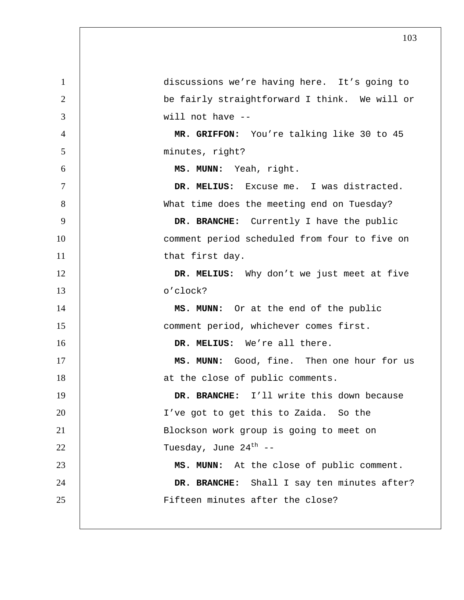| $\mathbf{1}$   | discussions we're having here. It's going to  |
|----------------|-----------------------------------------------|
| $\overline{2}$ | be fairly straightforward I think. We will or |
| 3              | will not have --                              |
| $\overline{4}$ | MR. GRIFFON: You're talking like 30 to 45     |
| 5              | minutes, right?                               |
| 6              | MS. MUNN: Yeah, right.                        |
| $\tau$         | DR. MELIUS: Excuse me. I was distracted.      |
| 8              | What time does the meeting end on Tuesday?    |
| 9              | DR. BRANCHE: Currently I have the public      |
| 10             | comment period scheduled from four to five on |
| 11             | that first day.                               |
| 12             | DR. MELIUS: Why don't we just meet at five    |
| 13             | o'clock?                                      |
| 14             | MS. MUNN: Or at the end of the public         |
| 15             | comment period, whichever comes first.        |
| 16             | DR. MELIUS: We're all there.                  |
| 17             | MS. MUNN: Good, fine. Then one hour for us    |
| 18             | at the close of public comments.              |
| 19             | DR. BRANCHE: I'll write this down because     |
| 20             | I've got to get this to Zaida. So the         |
| 21             | Blockson work group is going to meet on       |
| 22             | Tuesday, June 24 <sup>th</sup> --             |
| 23             | MS. MUNN: At the close of public comment.     |
| 24             | DR. BRANCHE: Shall I say ten minutes after?   |
| 25             | Fifteen minutes after the close?              |
|                |                                               |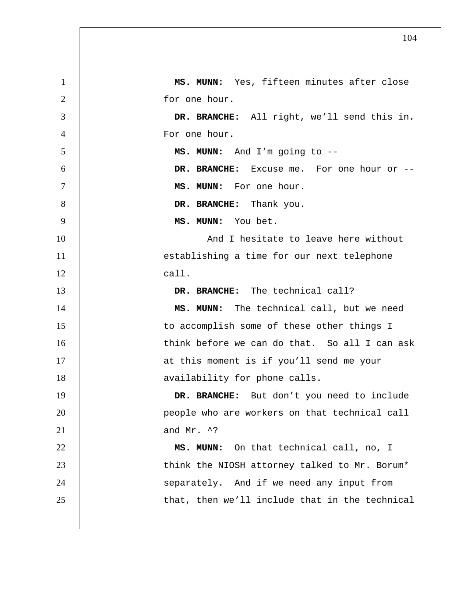1 **MS. MUNN:** Yes, fifteen minutes after close 2 for one hour. 3 **DR. BRANCHE:** All right, we'll send this in. 4 For one hour. 5 **MS. MUNN:** And I'm going to --6 **DR. BRANCHE:** Excuse me. For one hour or -- 7 **MS. MUNN:** For one hour. 8 **DR. BRANCHE:** Thank you. 9 **MS. MUNN:** You bet. 10 | And I hesitate to leave here without 11 | establishing a time for our next telephone 12 call. 13 **DR. BRANCHE:** The technical call? 14 **MS. MUNN:** The technical call, but we need 15 | to accomplish some of these other things I 16 | think before we can do that. So all I can ask 17 | at this moment is if you'll send me your 18 | availability for phone calls. 19 **DR. BRANCHE:** But don't you need to include 20 | people who are workers on that technical call 21  $\vert$  and Mr. ^? 22 **MS. MUNN:** On that technical call, no, I 23 | think the NIOSH attorney talked to Mr. Borum\* 24 | separately. And if we need any input from 25 | that, then we'll include that in the technical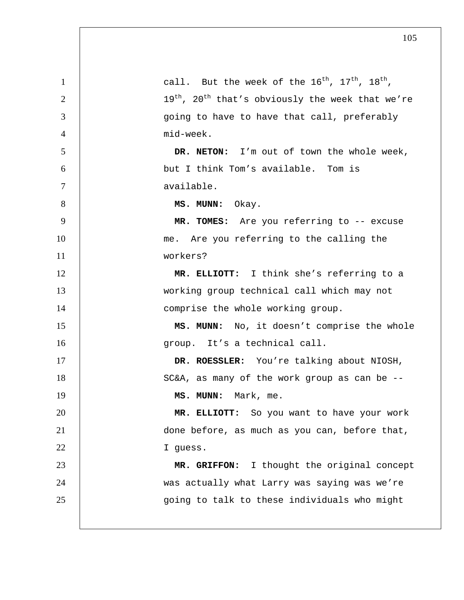| $\mathbf{1}$   | call. But the week of the $16^{\text{th}}$ , $17^{\text{th}}$ , $18^{\text{th}}$ , |
|----------------|------------------------------------------------------------------------------------|
| $\overline{2}$ | 19 <sup>th</sup> , 20 <sup>th</sup> that's obviously the week that we're           |
| 3              | going to have to have that call, preferably                                        |
| $\overline{4}$ | mid-week.                                                                          |
| 5              | DR. NETON: I'm out of town the whole week,                                         |
| 6              | but I think Tom's available. Tom is                                                |
| $\tau$         | available.                                                                         |
| 8              | MS. MUNN: Okay.                                                                    |
| 9              | MR. TOMES: Are you referring to -- excuse                                          |
| 10             | me. Are you referring to the calling the                                           |
| 11             | workers?                                                                           |
| 12             | MR. ELLIOTT: I think she's referring to a                                          |
| 13             | working group technical call which may not                                         |
| 14             | comprise the whole working group.                                                  |
| 15             | MS. MUNN: No, it doesn't comprise the whole                                        |
| 16             | group. It's a technical call.                                                      |
| 17             | DR. ROESSLER: You're talking about NIOSH,                                          |
| 18             | SC&A, as many of the work group as can be --                                       |
| 19             | MS. MUNN: Mark, me.                                                                |
| 20             | MR. ELLIOTT: So you want to have your work                                         |
| 21             | done before, as much as you can, before that,                                      |
| 22             | I guess.                                                                           |
| 23             | MR. GRIFFON: I thought the original concept                                        |
| 24             | was actually what Larry was saying was we're                                       |
| 25             | going to talk to these individuals who might                                       |
|                |                                                                                    |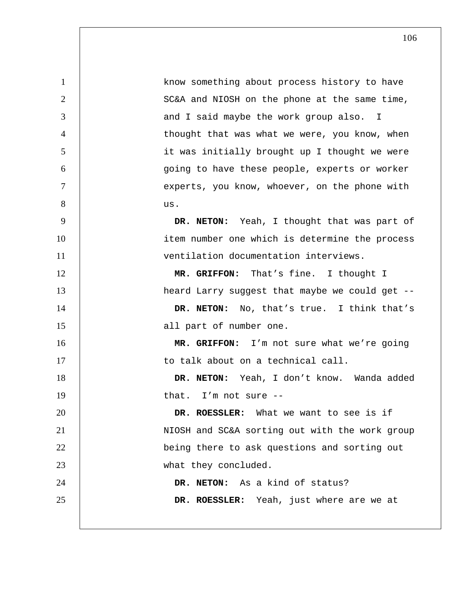1 know something about process history to have 2 | SC&A and NIOSH on the phone at the same time, 3 and I said maybe the work group also. I 4 thought that was what we were, you know, when 5 it was initially brought up I thought we were 6 going to have these people, experts or worker 7 | experts, you know, whoever, on the phone with  $8 \quad | \quad \text{us.}$ 9 **DR. NETON:** Yeah, I thought that was part of 10 | item number one which is determine the process 11 ventilation documentation interviews. 12 **MR. GRIFFON:** That's fine. I thought I 13 **heard Larry suggest that maybe we could get --**14 **DR. NETON:** No, that's true. I think that's 15 | all part of number one. 16 **MR. GRIFFON:** I'm not sure what we're going 17 | to talk about on a technical call. 18 **DR. NETON:** Yeah, I don't know. Wanda added 19 | that. I'm not sure --20 **DR. ROESSLER:** What we want to see is if 21 | NIOSH and SC&A sorting out with the work group 22 **being there to ask questions and sorting out** 23 what they concluded. 24 **DR. NETON:** As a kind of status? 25 **DR. ROESSLER:** Yeah, just where are we at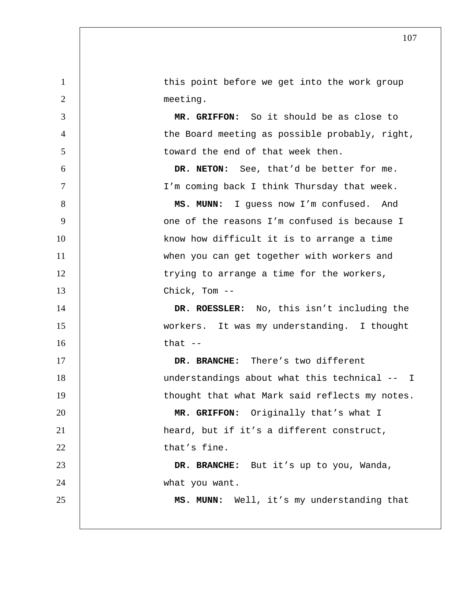1 | this point before we get into the work group 2 meeting. 3 **MR. GRIFFON:** So it should be as close to 4 | the Board meeting as possible probably, right, 5 toward the end of that week then. 6 **DR. NETON:** See, that'd be better for me. 7 I'm coming back I think Thursday that week. 8 | MS. MUNN: I guess now I'm confused. And 9 |  $\Box$  one of the reasons I'm confused is because I 10 | know how difficult it is to arrange a time 11 | when you can get together with workers and 12 | trying to arrange a time for the workers, 13 Chick, Tom -- 14 **DR. ROESSLER:** No, this isn't including the 15 workers. It was my understanding. I thought  $16$  that  $-$ 17 **DR. BRANCHE:** There's two different 18 | understandings about what this technical -- I 19 | thought that what Mark said reflects my notes. 20 **MR. GRIFFON:** Originally that's what I 21 | heard, but if it's a different construct,  $22$  that's fine. 23 **DR. BRANCHE:** But it's up to you, Wanda, 24 what you want. 25 **MS. MUNN:** Well, it's my understanding that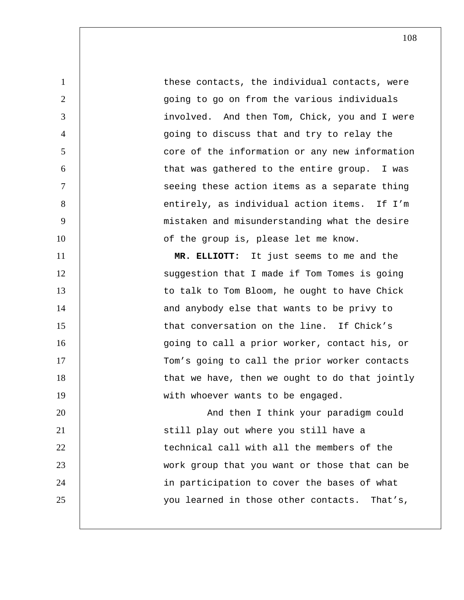1 these contacts, the individual contacts, were 2 | source going to go on from the various individuals 3 involved. And then Tom, Chick, you and I were 4 going to discuss that and try to relay the 5 core of the information or any new information 6 that was gathered to the entire group. I was 7 | Seeing these action items as a separate thing 8 | entirely, as individual action items. If I'm 9 mistaken and misunderstanding what the desire 10 | of the group is, please let me know.

11 **MR. ELLIOTT:** It just seems to me and the 12 | Suggestion that I made if Tom Tomes is going 13 | to talk to Tom Bloom, he ought to have Chick 14 | and anybody else that wants to be privy to 15 | that conversation on the line. If Chick's 16 going to call a prior worker, contact his, or 17 | Tom's going to call the prior worker contacts 18 | that we have, then we ought to do that jointly 19 | with whoever wants to be engaged. 20 | And then I think your paradigm could 21 | still play out where you still have a 22 **technical call with all the members of the** 23 work group that you want or those that can be

24 in participation to cover the bases of what

25 | vou learned in those other contacts. That's,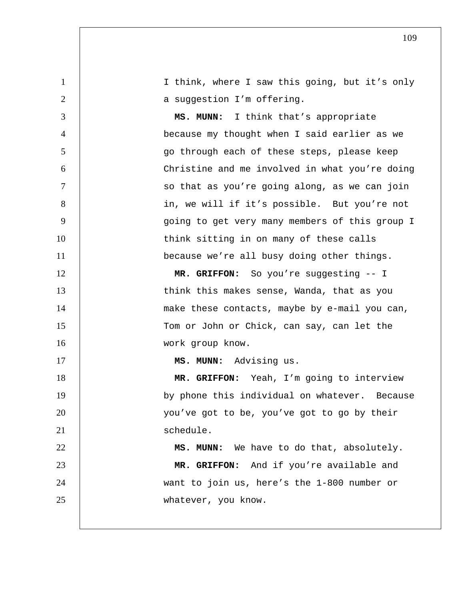1 I think, where I saw this going, but it's only 2 | a suggestion I'm offering. 3 **MS. MUNN:** I think that's appropriate 4 because my thought when I said earlier as we 5 go through each of these steps, please keep 6 Christine and me involved in what you're doing 7 | so that as you're going along, as we can join 8 | in, we will if it's possible. But you're not 9 going to get very many members of this group I 10 | think sitting in on many of these calls 11 | because we're all busy doing other things. 12 | **MR. GRIFFON:** So you're suggesting -- I 13 | think this makes sense, Wanda, that as you 14 | make these contacts, maybe by e-mail you can, 15 | Tom or John or Chick, can say, can let the 16 work group know. 17 **MS. MUNN:** Advising us. 18 **MR. GRIFFON:** Yeah, I'm going to interview 19 | by phone this individual on whatever. Because 20 | vou've got to be, you've got to go by their 21 Schedule. 22 **MS. MUNN:** We have to do that, absolutely. 23 **MR. GRIFFON:** And if you're available and 24 want to join us, here's the 1-800 number or 25 whatever, you know.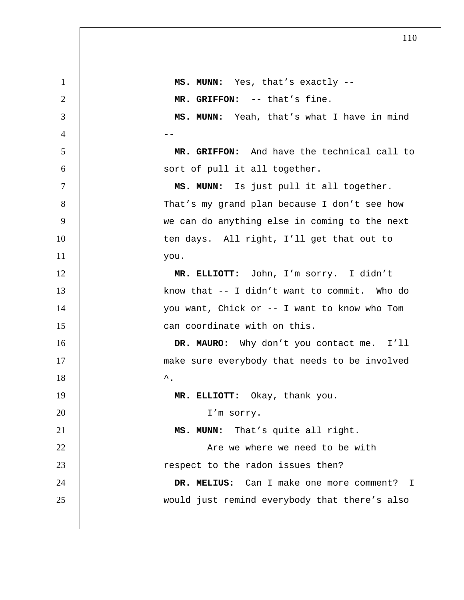**MS. MUNN:** Yes, that's exactly --**MR. GRIFFON:** -- that's fine. **MS. MUNN:** Yeah, that's what I have in mind 4 --**MR. GRIFFON:** And have the technical call to sort of pull it all together. **MS. MUNN:** Is just pull it all together. 8 | That's my grand plan because I don't see how we can do anything else in coming to the next 10 | ten days. All right, I'll get that out to you. **MR. ELLIOTT:** John, I'm sorry. I didn't **know that -- I didn't want to commit.** Who do you want, Chick or -- I want to know who Tom 15 | can coordinate with on this. **DR. MAURO:** Why don't you contact me. I'll 17 | make sure everybody that needs to be involved  $\sim$ **MR. ELLIOTT:** Okay, thank you. 20 I'm sorry. **MS. MUNN:** That's quite all right. **Are we where we need to be with** 23 | respect to the radon issues then? **DR. MELIUS:** Can I make one more comment? I would just remind everybody that there's also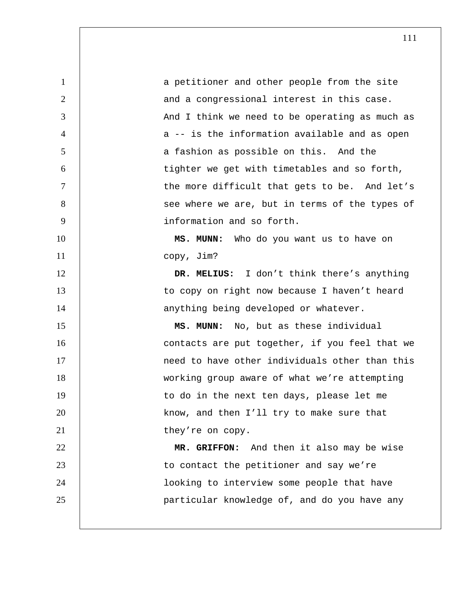1 a petitioner and other people from the site 2 and a congressional interest in this case. 3 | And I think we need to be operating as much as 4 decreedence of  $a -$  is the information available and as open 5 a fashion as possible on this. And the 6 tighter we get with timetables and so forth, 7 | the more difficult that gets to be. And let's 8 | see where we are, but in terms of the types of 9 information and so forth. 10 **MS. MUNN:** Who do you want us to have on 11 copy, Jim? 12 **DR. MELIUS:** I don't think there's anything 13 | to copy on right now because I haven't heard 14 | anything being developed or whatever. 15 **MS. MUNN:** No, but as these individual 16 | contacts are put together, if you feel that we 17 | **need to have other individuals other than this** 18 working group aware of what we're attempting 19 | to do in the next ten days, please let me 20 **know, and then I'll try to make sure that** 21 | they're on copy. 22 **MR. GRIFFON:** And then it also may be wise 23 | to contact the petitioner and say we're 24 looking to interview some people that have 25 particular knowledge of, and do you have any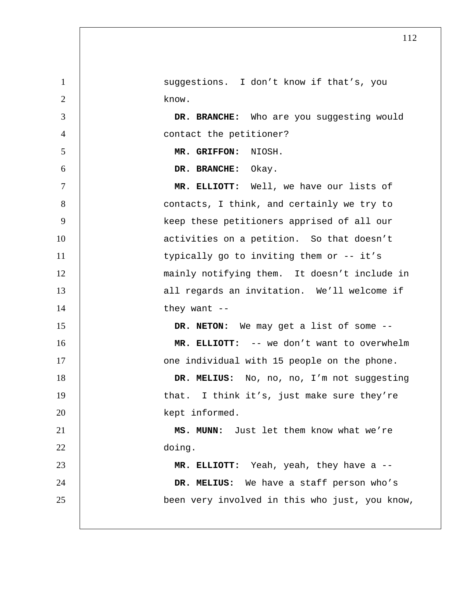1 | suggestions. I don't know if that's, you 2 know. 3 **DR. BRANCHE:** Who are you suggesting would 4 contact the petitioner? 5 **MR. GRIFFON:** NIOSH. 6 **DR. BRANCHE:** Okay. 7 **MR. ELLIOTT:** Well, we have our lists of 8 **8** contacts, I think, and certainly we try to 9 | keep these petitioners apprised of all our 10 | activities on a petition. So that doesn't 11 | typically go to inviting them or -- it's 12 | mainly notifying them. It doesn't include in 13 | all regards an invitation. We'll welcome if 14 they want --15 **DR. NETON:** We may get a list of some -- 16 **MR. ELLIOTT:** -- we don't want to overwhelm 17 | one individual with 15 people on the phone. 18 | DR. MELIUS: No, no, no, I'm not suggesting 19 | that. I think it's, just make sure they're 20 kept informed. 21 **MS. MUNN:** Just let them know what we're 22 doing. 23 **MR. ELLIOTT:** Yeah, yeah, they have a -- 24 **DR. MELIUS:** We have a staff person who's 25 been very involved in this who just, you know,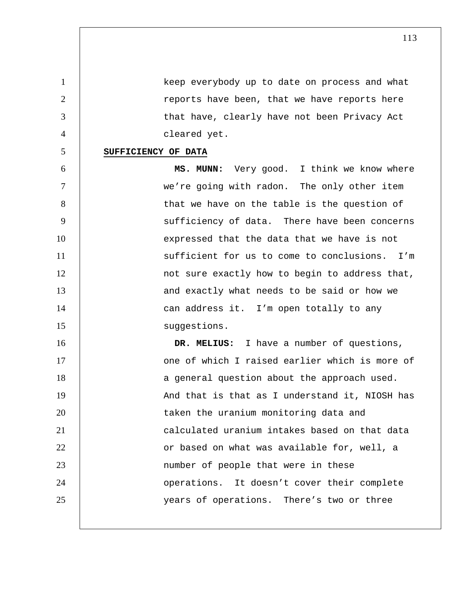1 keep everybody up to date on process and what 2 | reports have been, that we have reports here 3 | that have, clearly have not been Privacy Act 4 cleared yet.

## 5 **SUFFICIENCY OF DATA**

6 **MS. MUNN:** Very good. I think we know where 7 we're going with radon. The only other item 8 | that we have on the table is the question of 9 | sufficiency of data. There have been concerns 10 | expressed that the data that we have is not 11 | sufficient for us to come to conclusions. I'm 12 | not sure exactly how to begin to address that, 13 | and exactly what needs to be said or how we 14 | can address it. I'm open totally to any 15 | suggestions.

16 **DR. MELIUS:** I have a number of questions, 17 | Come of which I raised earlier which is more of 18 | a general question about the approach used. 19 | And that is that as I understand it, NIOSH has 20 | taken the uranium monitoring data and 21 calculated uranium intakes based on that data 22 **dege** or based on what was available for, well, a 23 | number of people that were in these 24 | operations. It doesn't cover their complete 25 | vears of operations. There's two or three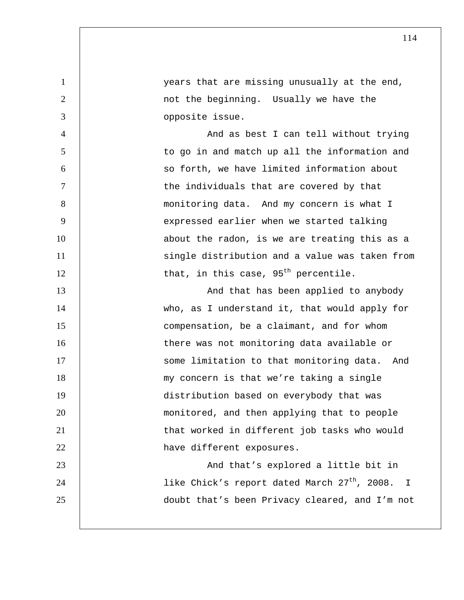1 years that are missing unusually at the end, 2 | not the beginning. Usually we have the 3 opposite issue. 4 And as best I can tell without trying 5 to go in and match up all the information and 6 so forth, we have limited information about 7 | the individuals that are covered by that 8 | monitoring data. And my concern is what I 9 | expressed earlier when we started talking 10 | about the radon, is we are treating this as a 11 | single distribution and a value was taken from  $12$  that, in this case,  $95<sup>th</sup>$  percentile. 13 | And that has been applied to anybody 14 who, as I understand it, that would apply for 15 **compensation, be a claimant, and for whom** 16 | there was not monitoring data available or 17 | Some limitation to that monitoring data. And 18 | my concern is that we're taking a single 19 distribution based on everybody that was 20 monitored, and then applying that to people 21 **that worked in different job tasks who would** 22 **have different exposures.** 23 | And that's explored a little bit in  $24$  |  $\,$  like Chick's report dated March 27<sup>th</sup>, 2008. I 25 doubt that's been Privacy cleared, and I'm not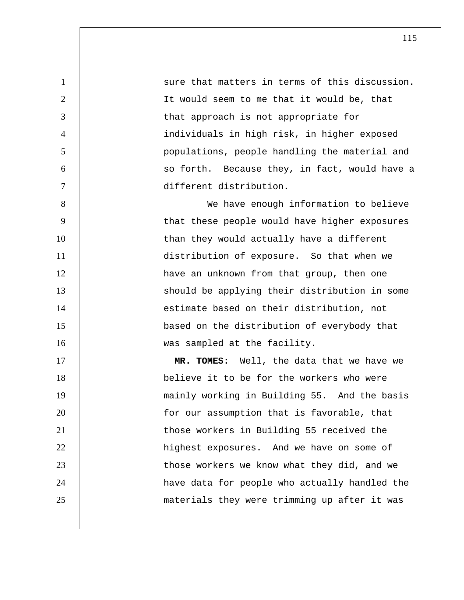1 | sure that matters in terms of this discussion. 2 It would seem to me that it would be, that 3 **decision** that approach is not appropriate for 4 individuals in high risk, in higher exposed 5 populations, people handling the material and 6 | so forth. Because they, in fact, would have a 7 different distribution. 8 We have enough information to believe 9 | that these people would have higher exposures 10 | than they would actually have a different

11 distribution of exposure. So that when we 12 | have an unknown from that group, then one 13 | Should be applying their distribution in some 14 **Fig.** 2 estimate based on their distribution, not 15 based on the distribution of everybody that 16 | was sampled at the facility. 17 **MR. TOMES:** Well, the data that we have we 18 believe it to be for the workers who were 19 | mainly working in Building 55. And the basis

20 **for our assumption that is favorable, that** 21 **those workers in Building 55 received the** 22 | highest exposures. And we have on some of 23 | those workers we know what they did, and we 24 | have data for people who actually handled the 25 materials they were trimming up after it was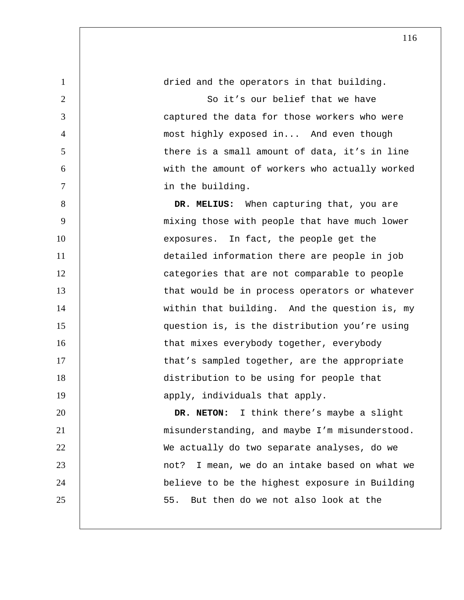1 dried and the operators in that building. 2 So it's our belief that we have 3 captured the data for those workers who were 4 most highly exposed in... And even though 5 | there is a small amount of data, it's in line 6 with the amount of workers who actually worked 7 | in the building. 8 **B DR. MELIUS:** When capturing that, you are 9 | mixing those with people that have much lower 10 | exposures. In fact, the people get the 11 detailed information there are people in job 12 | categories that are not comparable to people 13 | that would be in process operators or whatever 14 | within that building. And the question is, my 15 question is, is the distribution you're using 16 | that mixes everybody together, everybody 17 | that's sampled together, are the appropriate 18 distribution to be using for people that 19 | apply, individuals that apply. 20 **DR. NETON:** I think there's maybe a slight 21 | misunderstanding, and maybe I'm misunderstood. 22 | We actually do two separate analyses, do we 23 not? I mean, we do an intake based on what we 24 believe to be the highest exposure in Building 25  $\vert$  55. But then do we not also look at the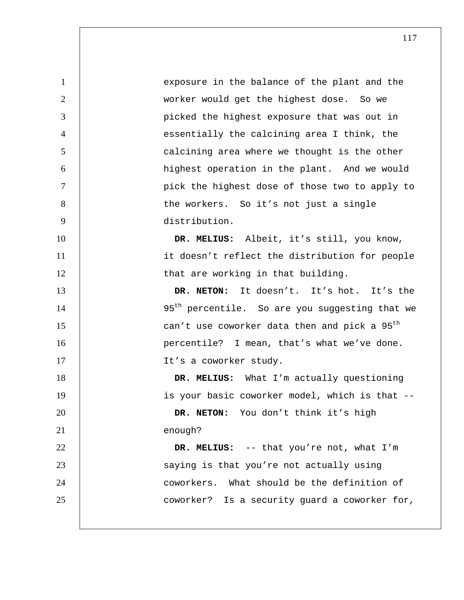1 exposure in the balance of the plant and the 2 worker would get the highest dose. So we 3 picked the highest exposure that was out in 4 | essentially the calcining area I think, the 5 calcining area where we thought is the other 6 highest operation in the plant. And we would 7 pick the highest dose of those two to apply to 8 | the workers. So it's not just a single 9 distribution. 10 **DR. MELIUS:** Albeit, it's still, you know, 11 | it doesn't reflect the distribution for people 12 | that are working in that building. 13 **DR. NETON:** It doesn't. It's hot. It's the  $14$  | 95<sup>th</sup> percentile. So are you suggesting that we 15  $\parallel$  can't use coworker data then and pick a 95<sup>th</sup> 16 | percentile? I mean, that's what we've done. 17 | It's a coworker study. 18 **DR. MELIUS:** What I'm actually questioning 19 | is your basic coworker model, which is that --20 **DR. NETON:** You don't think it's high 21 enough? 22 **DR. MELIUS:** -- that you're not, what I'm 23 | Saying is that you're not actually using 24 | coworkers. What should be the definition of 25 **coworker?** Is a security guard a coworker for,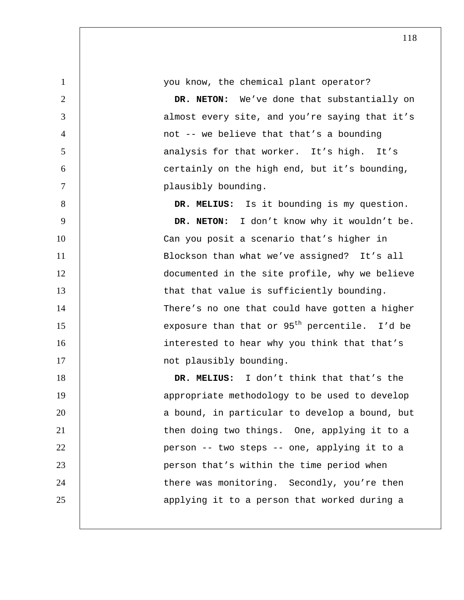1 you know, the chemical plant operator?

**DR. NETON:** We've done that substantially on 3 almost every site, and you're saying that it's not -- we believe that that's a bounding 5 | analysis for that worker. It's high. It's certainly on the high end, but it's bounding, plausibly bounding.

8 **DR. MELIUS:** Is it bounding is my question. 9 **DR. NETON:** I don't know why it wouldn't be. 10 | Can you posit a scenario that's higher in 11 | Blockson than what we've assigned? It's all 12 documented in the site profile, why we believe 13 | that that value is sufficiently bounding. 14 | There's no one that could have gotten a higher 15 |  $exposure than that or 95<sup>th</sup> percentile. I'd be$ 16 | interested to hear why you think that that's 17 | not plausibly bounding.

18 **DR. MELIUS:** I don't think that that's the 19 | appropriate methodology to be used to develop 20 | a bound, in particular to develop a bound, but 21 | then doing two things. One, applying it to a 22 | person -- two steps -- one, applying it to a 23 person that's within the time period when 24 | there was monitoring. Secondly, you're then 25 | applying it to a person that worked during a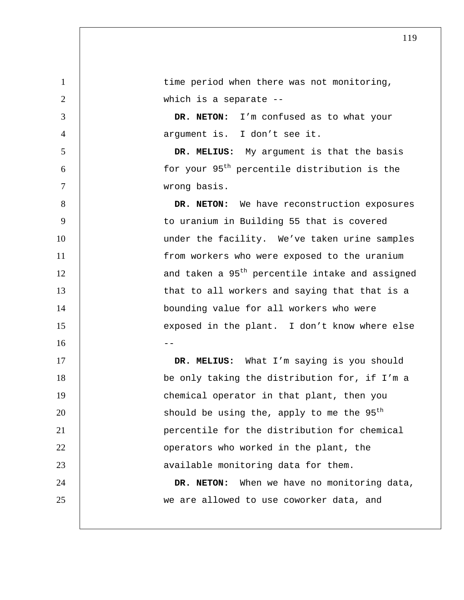1 time period when there was not monitoring, 2 | which is a separate --3 **DR. NETON:** I'm confused as to what your 4 argument is. I don't see it. 5 **DR. MELIUS:** My argument is that the basis  $\begin{array}{ccc} 6 & | & \text{for your 95}^{\text{th}} \text{ percentile distribution is the} \end{array}$ 7 wrong basis. 8 **DR. NETON:** We have reconstruction exposures 9 | to uranium in Building 55 that is covered 10 | under the facility. We've taken urine samples 11 | from workers who were exposed to the uranium  $12$  | and taken a  $95<sup>th</sup>$  percentile intake and assigned 13 | that to all workers and saying that that is a 14 | bounding value for all workers who were 15 | exposed in the plant. I don't know where else  $16$  --17 | DR. MELIUS: What I'm saying is you should 18 be only taking the distribution for, if I'm a 19 **chemical operator in that plant, then you** 20  $\vert$  should be using the, apply to me the 95<sup>th</sup> 21 percentile for the distribution for chemical 22 **dege is a constructed** in the plant, the 23 | available monitoring data for them. 24 **DR. NETON:** When we have no monitoring data, 25 | we are allowed to use coworker data, and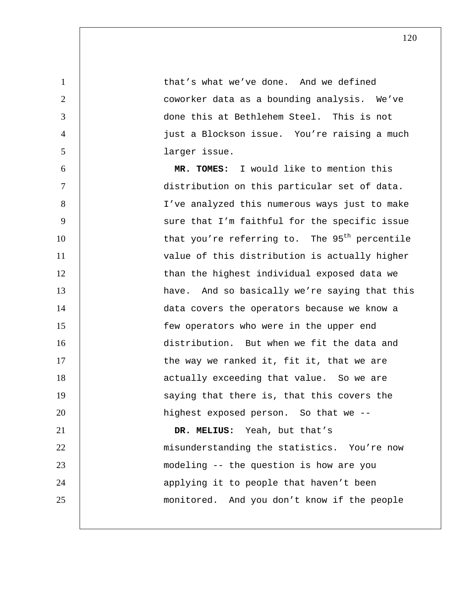1 **that's what we've done.** And we defined 2 | coworker data as a bounding analysis. We've 3 done this at Bethlehem Steel. This is not 4 just a Blockson issue. You're raising a much 5 larger issue. 6 **MR. TOMES:** I would like to mention this 7 distribution on this particular set of data. 8 I've analyzed this numerous ways just to make 9 | Sure that I'm faithful for the specific issue  $10$  | that you're referring to. The 95<sup>th</sup> percentile 11 | value of this distribution is actually higher 12 | than the highest individual exposed data we 13 | have. And so basically we're saying that this 14 | data covers the operators because we know a 15 few operators who were in the upper end 16 distribution. But when we fit the data and 17 | the way we ranked it, fit it, that we are 18 | actually exceeding that value. So we are 19 | saying that there is, that this covers the 20 | highest exposed person. So that we --21 **DR. MELIUS:** Yeah, but that's 22 | misunderstanding the statistics. You're now 23 modeling -- the question is how are you 24 | applying it to people that haven't been 25 monitored. And you don't know if the people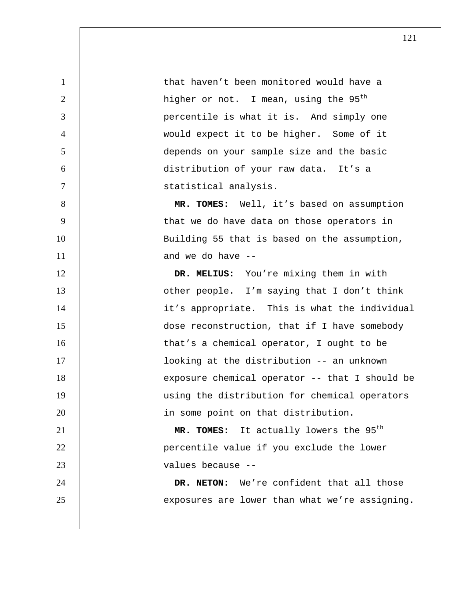**that haven't been monitored would have a** 2 | higher or not. I mean, using the 95<sup>th</sup> percentile is what it is. And simply one would expect it to be higher. Some of it depends on your sample size and the basic distribution of your raw data. It's a statistical analysis. **MR. TOMES:** Well, it's based on assumption 9 | that we do have data on those operators in 10 | Building 55 that is based on the assumption, and we do have  $-$ **DR. MELIUS:** You're mixing them in with 13 | other people. I'm saying that I don't think 14 | it's appropriate. This is what the individual dose reconstruction, that if I have somebody 16 16 that's a chemical operator, I ought to be looking at the distribution -- an unknown 18 | exposure chemical operator -- that I should be using the distribution for chemical operators 20 | in some point on that distribution. 21 | **MR. TOMES:** It actually lowers the 95<sup>th</sup> **percentile value if you exclude the lower** values because -- **DR. NETON:** We're confident that all those 25 exposures are lower than what we're assigning.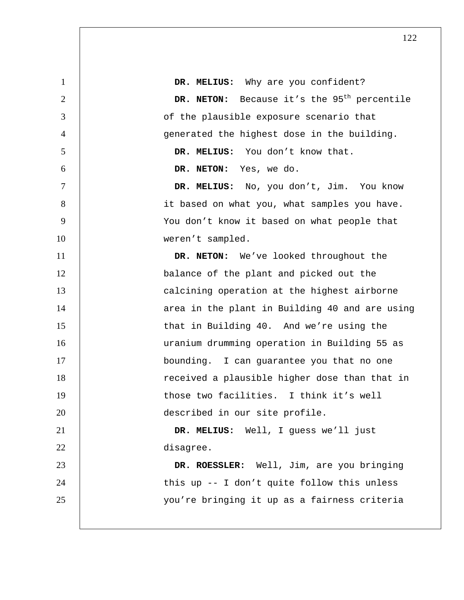**DR. MELIUS:** Why are you confident? **DR. NETON:** Because it's the 95<sup>th</sup> percentile of the plausible exposure scenario that 4 | generated the highest dose in the building. **DR. MELIUS:** You don't know that. **DR. NETON:** Yes, we do. **DR. MELIUS:** No, you don't, Jim. You know 8 | it based on what you, what samples you have. 9 | You don't know it based on what people that 10 | weren't sampled. **DR. NETON:** We've looked throughout the balance of the plant and picked out the **calcining operation at the highest airborne** 14 | area in the plant in Building 40 and are using 15 that in Building 40. And we're using the uranium drumming operation in Building 55 as 17 | bounding. I can guarantee you that no one 18 | received a plausible higher dose than that in 19 | those two facilities. I think it's well described in our site profile. **DR. MELIUS:** Well, I guess we'll just disagree. **DR. ROESSLER:** Well, Jim, are you bringing 24 | this up -- I don't quite follow this unless you're bringing it up as a fairness criteria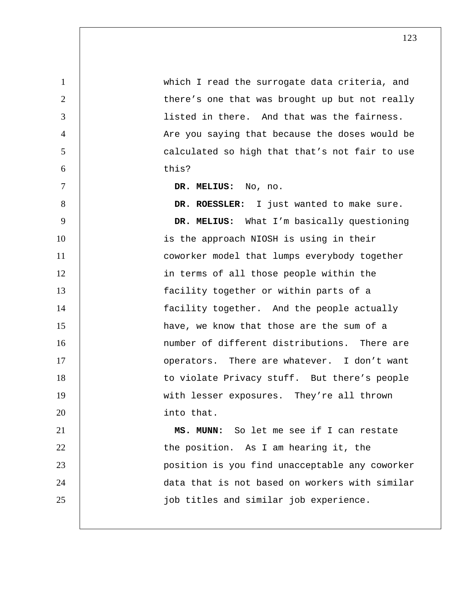1 which I read the surrogate data criteria, and 2 | there's one that was brought up but not really 3 listed in there. And that was the fairness. 4 | Are you saying that because the doses would be 5 calculated so high that that's not fair to use 6 this? 7 **DR. MELIUS:** No, no. 8 **DR. ROESSLER:** I just wanted to make sure. 9 **DR. MELIUS:** What I'm basically questioning 10 | is the approach NIOSH is using in their 11 | coworker model that lumps everybody together 12 | in terms of all those people within the 13 **facility together or within parts of a** 14 | facility together. And the people actually 15 **have, we know that those are the sum of a** 16 | number of different distributions. There are 17 | operators. There are whatever. I don't want 18 | to violate Privacy stuff. But there's people 19 with lesser exposures. They're all thrown 20 | into that. 21 **MS. MUNN:** So let me see if I can restate 22 | the position. As I am hearing it, the 23 position is you find unacceptable any coworker 24 data that is not based on workers with similar 25 job titles and similar job experience.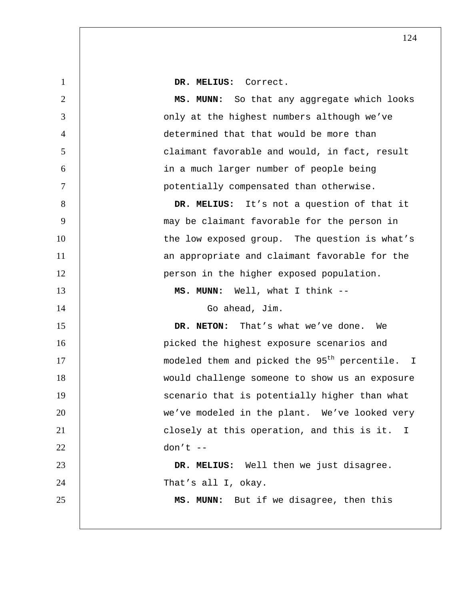| $\mathbf{1}$   | DR. MELIUS: Correct.                                       |
|----------------|------------------------------------------------------------|
| $\overline{2}$ | MS. MUNN: So that any aggregate which looks                |
| 3              | only at the highest numbers although we've                 |
| $\overline{4}$ | determined that that would be more than                    |
| 5              | claimant favorable and would, in fact, result              |
| 6              | in a much larger number of people being                    |
| $\overline{7}$ | potentially compensated than otherwise.                    |
| 8              | DR. MELIUS: It's not a question of that it                 |
| 9              | may be claimant favorable for the person in                |
| 10             | the low exposed group. The question is what's              |
| 11             | an appropriate and claimant favorable for the              |
| 12             | person in the higher exposed population.                   |
| 13             | MS. MUNN: Well, what I think --                            |
| 14             | Go ahead, Jim.                                             |
| 15             | DR. NETON: That's what we've done. We                      |
| 16             | picked the highest exposure scenarios and                  |
| 17             | modeled them and picked the 95 <sup>th</sup> percentile. I |
| 18             | would challenge someone to show us an exposure             |
| 19             | scenario that is potentially higher than what              |
| 20             | we've modeled in the plant. We've looked very              |
| 21             | closely at this operation, and this is it. I               |
| 22             | $don't --$                                                 |
| 23             | DR. MELIUS: Well then we just disagree.                    |
| 24             | That's all I, okay.                                        |
| 25             | MS. MUNN: But if we disagree, then this                    |
|                |                                                            |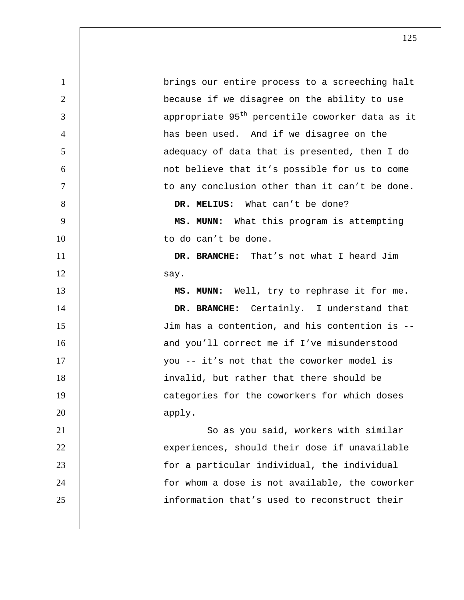1 brings our entire process to a screeching halt 2 | because if we disagree on the ability to use  $3$  | appropriate 95<sup>th</sup> percentile coworker data as it 4 has been used. And if we disagree on the 5 | adequacy of data that is presented, then I do 6 not believe that it's possible for us to come 7 | to any conclusion other than it can't be done. 8 **B. MELIUS:** What can't be done? 9 **MS. MUNN:** What this program is attempting 10 | to do can't be done. 11 **DR. BRANCHE:** That's not what I heard Jim 12 say. 13 **MS. MUNN:** Well, try to rephrase it for me. 14 **DR. BRANCHE:** Certainly. I understand that 15 Jim has a contention, and his contention is -- 16 and you'll correct me if I've misunderstood 17 you -- it's not that the coworker model is 18 | invalid, but rather that there should be 19 | Categories for the coworkers for which doses 20 apply. 21 | So as you said, workers with similar 22 | experiences, should their dose if unavailable 23 for a particular individual, the individual 24 | for whom a dose is not available, the coworker 25 information that's used to reconstruct their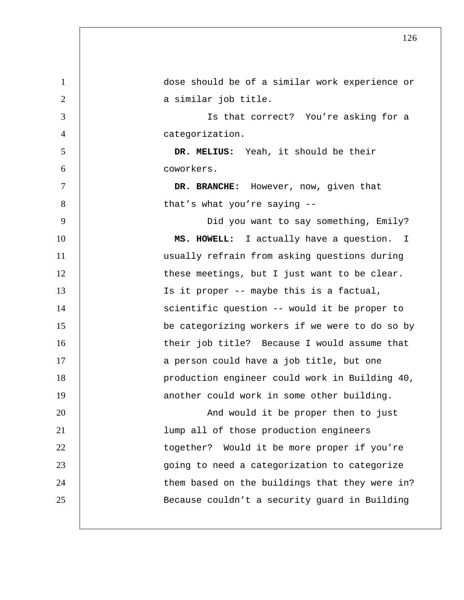1 dose should be of a similar work experience or 2 | a similar job title. 3 Is that correct? You're asking for a 4 categorization. 5 **DR. MELIUS:** Yeah, it should be their 6 coworkers. 7 **DR. BRANCHE:** However, now, given that 8 | that's what you're saying --9 Did you want to say something, Emily? 10 | **MS. HOWELL:** I actually have a question. I 11 usually refrain from asking questions during 12 | these meetings, but I just want to be clear. 13 | Is it proper -- maybe this is a factual, 14 | scientific question -- would it be proper to 15 be categorizing workers if we were to do so by 16 | their job title? Because I would assume that 17 | a person could have a job title, but one 18 production engineer could work in Building 40, 19 | another could work in some other building. 20 | And would it be proper then to just 21 lump all of those production engineers 22 | together? Would it be more proper if you're 23 | going to need a categorization to categorize 24 | them based on the buildings that they were in? 25 Because couldn't a security guard in Building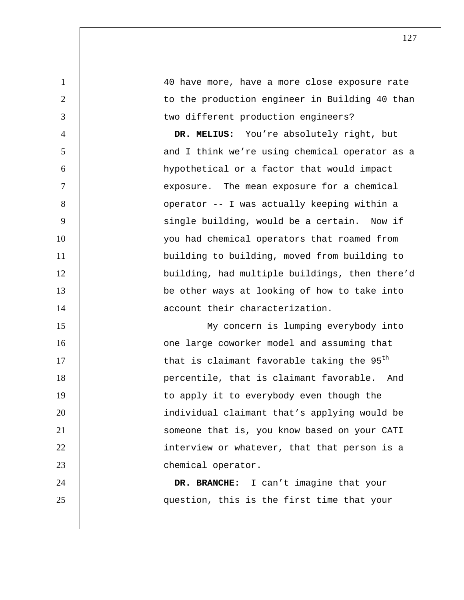1 40 have more, have a more close exposure rate 2 | to the production engineer in Building 40 than 3 | two different production engineers? 4 **DR. MELIUS:** You're absolutely right, but 5 | and I think we're using chemical operator as a 6 hypothetical or a factor that would impact 7 | exposure. The mean exposure for a chemical 8 | Coperator -- I was actually keeping within a 9 | single building, would be a certain. Now if 10 | vou had chemical operators that roamed from 11 | building to building, moved from building to 12 building, had multiple buildings, then there'd 13 **be other ways at looking of how to take into** 14 **14 14 account their characterization.** 15 | My concern is lumping everybody into 16 | Cone large coworker model and assuming that

17  $\parallel$  that is claimant favorable taking the 95<sup>th</sup> 18 | percentile, that is claimant favorable. And 19 | to apply it to everybody even though the 20 | individual claimant that's applying would be 21 | Someone that is, you know based on your CATI 22 **interview or whatever, that that person is a** 23 chemical operator.

24 **DR. BRANCHE:** I can't imagine that your 25 question, this is the first time that your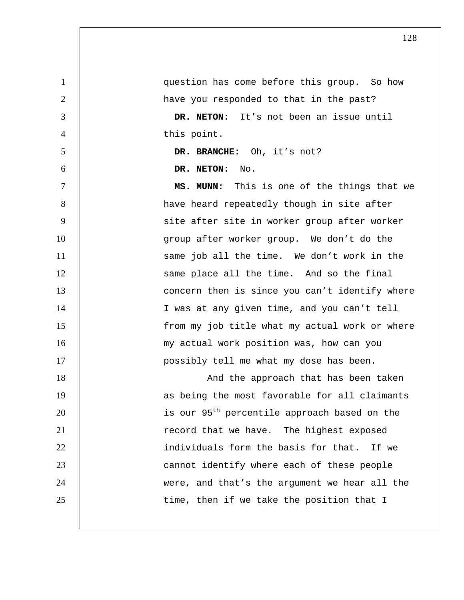1 question has come before this group. So how 2 | have you responded to that in the past? 3 **DR. NETON:** It's not been an issue until 4 this point. 5 **DR. BRANCHE:** Oh, it's not? 6 **DR. NETON:** No. 7 **MS. MUNN:** This is one of the things that we 8 | have heard repeatedly though in site after 9 | site after site in worker group after worker 10 | group after worker group. We don't do the 11 | same job all the time. We don't work in the 12 | Same place all the time. And so the final 13 | Concern then is since you can't identify where 14 | I was at any given time, and you can't tell 15 | from my job title what my actual work or where 16 | my actual work position was, how can you 17 | possibly tell me what my dose has been. 18 | And the approach that has been taken 19 | as being the most favorable for all claimants 20 | is our 95<sup>th</sup> percentile approach based on the 21 | record that we have. The highest exposed 22 **individuals form the basis for that.** If we 23 **cannot** identify where each of these people 24 were, and that's the argument we hear all the 25 | time, then if we take the position that I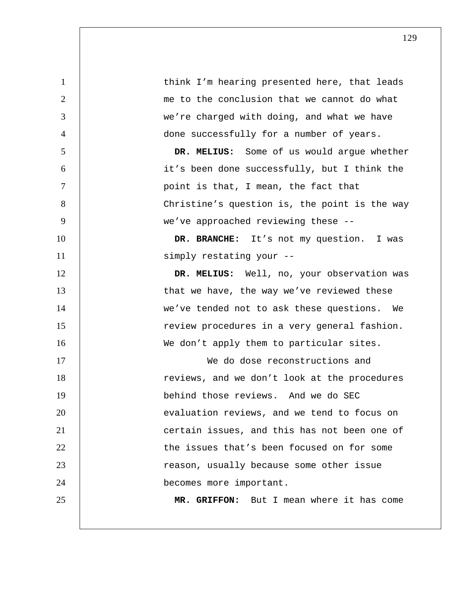| $\mathbf{1}$   | think I'm hearing presented here, that leads   |
|----------------|------------------------------------------------|
| $\overline{2}$ | me to the conclusion that we cannot do what    |
| 3              | we're charged with doing, and what we have     |
| $\overline{4}$ | done successfully for a number of years.       |
| 5              | DR. MELIUS: Some of us would argue whether     |
| 6              | it's been done successfully, but I think the   |
| 7              | point is that, I mean, the fact that           |
| 8              | Christine's question is, the point is the way  |
| 9              | we've approached reviewing these --            |
| 10             | DR. BRANCHE: It's not my question. I was       |
| 11             | simply restating your --                       |
| 12             | DR. MELIUS: Well, no, your observation was     |
| 13             | that we have, the way we've reviewed these     |
| 14             | we've tended not to ask these questions.<br>We |
| 15             | review procedures in a very general fashion.   |
| 16             | We don't apply them to particular sites.       |
| 17             | We do dose reconstructions and                 |
| 18             | reviews, and we don't look at the procedures   |
| 19             | behind those reviews. And we do SEC            |
| 20             | evaluation reviews, and we tend to focus on    |
| 21             | certain issues, and this has not been one of   |
| 22             | the issues that's been focused on for some     |
| 23             | reason, usually because some other issue       |
| 24             | becomes more important.                        |
| 25             | MR. GRIFFON: But I mean where it has come      |
|                |                                                |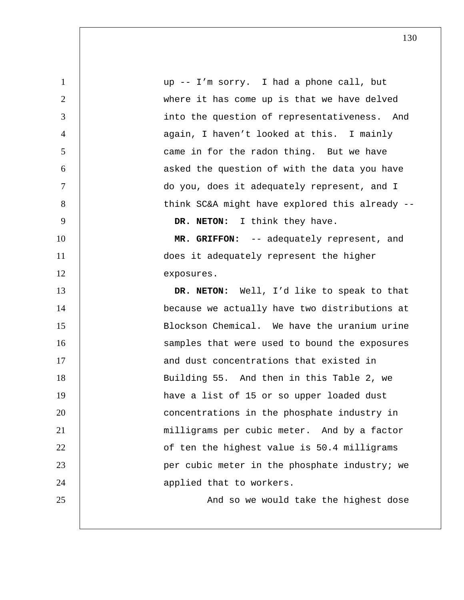1 up -- I'm sorry. I had a phone call, but 2 where it has come up is that we have delved 3 | into the question of representativeness. And 4 | again, I haven't looked at this. I mainly 5 came in for the radon thing. But we have 6 asked the question of with the data you have 7 do you, does it adequately represent, and I 8 | think SC&A might have explored this already --9 **DR. NETON:** I think they have. 10 **MR. GRIFFON:** -- adequately represent, and 11 does it adequately represent the higher 12 exposures. 13 **DR. NETON:** Well, I'd like to speak to that 14 | because we actually have two distributions at 15 | Blockson Chemical. We have the uranium urine 16 | Samples that were used to bound the exposures 17 | and dust concentrations that existed in 18 | Building 55. And then in this Table 2, we 19 | have a list of 15 or so upper loaded dust 20 **concentrations** in the phosphate industry in 21 | milligrams per cubic meter. And by a factor 22 | of ten the highest value is 50.4 milligrams 23 | per cubic meter in the phosphate industry; we 24 | applied that to workers. 25 | And so we would take the highest dose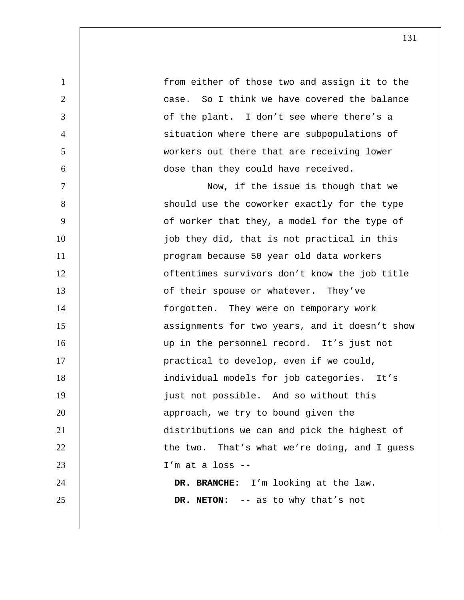| $\mathbf{1}$   | from either of those two and assign it to the  |
|----------------|------------------------------------------------|
| $\overline{2}$ | case. So I think we have covered the balance   |
| 3              | of the plant. I don't see where there's a      |
| $\overline{4}$ | situation where there are subpopulations of    |
| 5              | workers out there that are receiving lower     |
| 6              | dose than they could have received.            |
| $\overline{7}$ | Now, if the issue is though that we            |
| 8              | should use the coworker exactly for the type   |
| 9              | of worker that they, a model for the type of   |
| 10             | job they did, that is not practical in this    |
| 11             | program because 50 year old data workers       |
| 12             | oftentimes survivors don't know the job title  |
| 13             | of their spouse or whatever. They've           |
| 14             | forgotten. They were on temporary work         |
| 15             | assignments for two years, and it doesn't show |
| 16             | up in the personnel record. It's just not      |
| 17             | practical to develop, even if we could,        |
| 18             | individual models for job categories. It's     |
| 19             | just not possible. And so without this         |
| 20             | approach, we try to bound given the            |
| 21             | distributions we can and pick the highest of   |
| 22             | the two. That's what we're doing, and I guess  |
| 23             | $I'm$ at a loss $-$                            |
| 24             | DR. BRANCHE: I'm looking at the law.           |
| 25             | DR. NETON: -- as to why that's not             |
|                |                                                |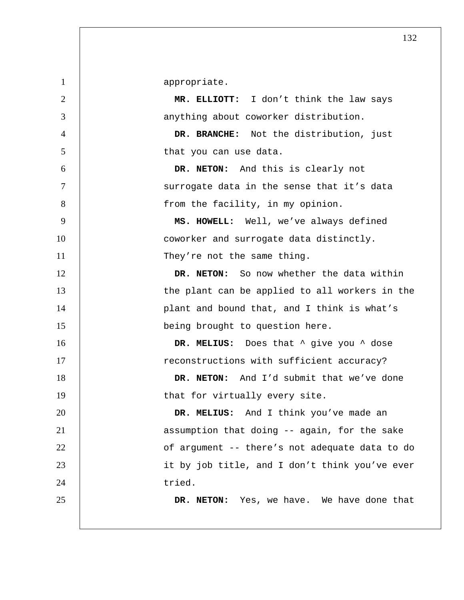1 appropriate. 2 **MR. ELLIOTT:** I don't think the law says 3 anything about coworker distribution. 4 **DR. BRANCHE:** Not the distribution, just 5 | that you can use data. 6 **DR. NETON:** And this is clearly not 7 Surrogate data in the sense that it's data 8 | from the facility, in my opinion. 9 **MS. HOWELL:** Well, we've always defined 10 | coworker and surrogate data distinctly. 11 | They're not the same thing. 12 **DR. NETON:** So now whether the data within 13 | the plant can be applied to all workers in the 14 | plant and bound that, and I think is what's 15 | being brought to question here. 16 **DR. MELIUS:** Does that  $\hat{ }$  give you  $\hat{ }$  dose 17 **17 example 17** reconstructions with sufficient accuracy? 18 **DR. NETON:** And I'd submit that we've done 19 | that for virtually every site. 20 **DR. MELIUS:** And I think you've made an 21 | assumption that doing -- again, for the sake 22 | of argument -- there's not adequate data to do 23 | it by job title, and I don't think you've ever 24 bried. 25 **DR. NETON:** Yes, we have. We have done that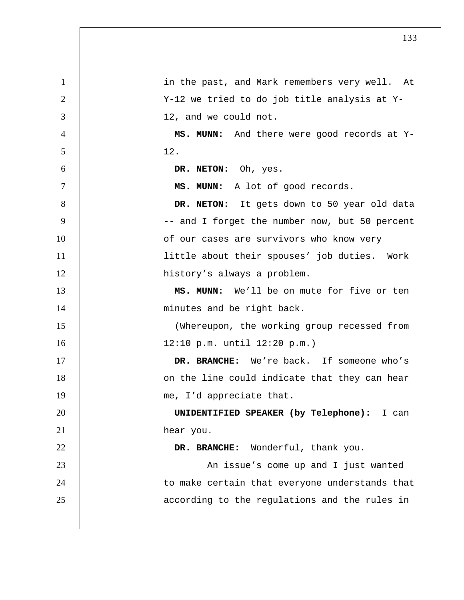| $\mathbf{1}$   | in the past, and Mark remembers very well. At  |
|----------------|------------------------------------------------|
| $\overline{2}$ | Y-12 we tried to do job title analysis at Y-   |
| 3              | 12, and we could not.                          |
| $\overline{4}$ | MS. MUNN: And there were good records at Y-    |
| 5              | 12.                                            |
| 6              | DR. NETON: Oh, yes.                            |
| $\overline{7}$ | MS. MUNN: A lot of good records.               |
| 8              | DR. NETON: It gets down to 50 year old data    |
| 9              | -- and I forget the number now, but 50 percent |
| 10             | of our cases are survivors who know very       |
| 11             | little about their spouses' job duties. Work   |
| 12             | history's always a problem.                    |
| 13             | MS. MUNN: We'll be on mute for five or ten     |
| 14             | minutes and be right back.                     |
| 15             | (Whereupon, the working group recessed from    |
| 16             | 12:10 p.m. until 12:20 p.m.)                   |
| 17             | DR. BRANCHE: We're back. If someone who's      |
| 18             | on the line could indicate that they can hear  |
| 19             | me, I'd appreciate that.                       |
| 20             | UNIDENTIFIED SPEAKER (by Telephone): I can     |
| 21             | hear you.                                      |
| 22             | DR. BRANCHE: Wonderful, thank you.             |
| 23             | An issue's come up and I just wanted           |
| 24             | to make certain that everyone understands that |
| 25             | according to the regulations and the rules in  |
|                |                                                |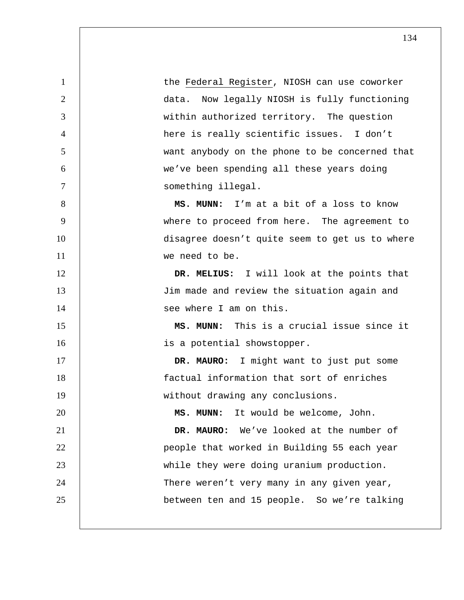1 | the Federal Register, NIOSH can use coworker data. Now legally NIOSH is fully functioning within authorized territory. The question here is really scientific issues. I don't want anybody on the phone to be concerned that we've been spending all these years doing 7 | something illegal. **MS. MUNN:** I'm at a bit of a loss to know where to proceed from here. The agreement to 10 | disagree doesn't quite seem to get us to where we need to be. **DR. MELIUS:** I will look at the points that Jim made and review the situation again and 14 | see where I am on this. **MS. MUNN:** This is a crucial issue since it **is a potential showstopper. DR. MAURO:** I might want to just put some factual information that sort of enriches 19 | without drawing any conclusions. **MS. MUNN:** It would be welcome, John. **DR. MAURO:** We've looked at the number of 22 | people that worked in Building 55 each year while they were doing uranium production. 24 | There weren't very many in any given year, between ten and 15 people. So we're talking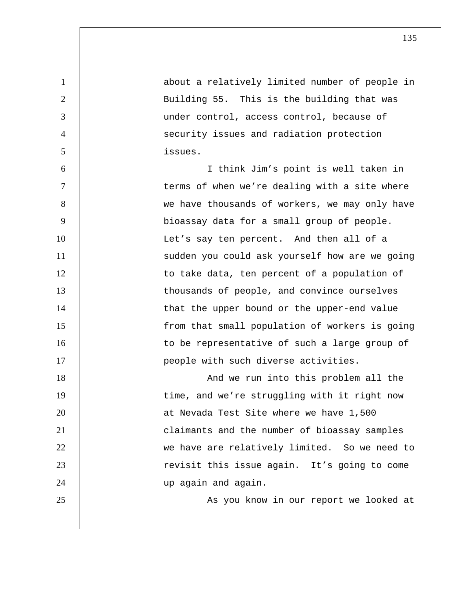| $\mathbf{1}$   | about a relatively limited number of people in |
|----------------|------------------------------------------------|
| $\overline{2}$ | Building 55. This is the building that was     |
| 3              | under control, access control, because of      |
| $\overline{4}$ | security issues and radiation protection       |
| 5              | issues.                                        |
| 6              | I think Jim's point is well taken in           |
| 7              | terms of when we're dealing with a site where  |
| 8              | we have thousands of workers, we may only have |
| 9              | bioassay data for a small group of people.     |
| 10             | Let's say ten percent. And then all of a       |
| 11             | sudden you could ask yourself how are we going |
| 12             | to take data, ten percent of a population of   |
| 13             | thousands of people, and convince ourselves    |
| 14             | that the upper bound or the upper-end value    |
| 15             | from that small population of workers is going |
| 16             | to be representative of such a large group of  |
| 17             | people with such diverse activities.           |
| 18             | And we run into this problem all the           |
| 19             | time, and we're struggling with it right now   |
| 20             | at Nevada Test Site where we have 1,500        |
| 21             | claimants and the number of bioassay samples   |
| 22             | we have are relatively limited. So we need to  |
| 23             | revisit this issue again. It's going to come   |
| 24             | up again and again.                            |
| 25             | As you know in our report we looked at         |
|                |                                                |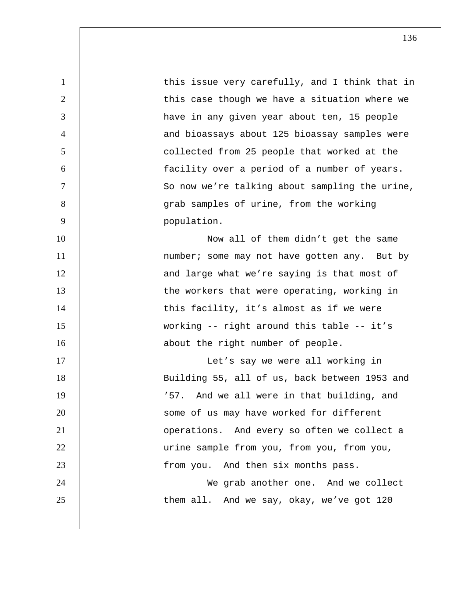1 this issue very carefully, and I think that in 2 | this case though we have a situation where we 3 have in any given year about ten, 15 people 4 decrement of the bioassays about 125 bioassay samples were 5 collected from 25 people that worked at the 6 facility over a period of a number of years. 7 So now we're talking about sampling the urine, 8 grab samples of urine, from the working 9 population. 10 | Now all of them didn't get the same 11 | number; some may not have gotten any. But by 12 | and large what we're saying is that most of 13 | the workers that were operating, working in 14 | this facility, it's almost as if we were 15 working -- right around this table -- it's 16 | about the right number of people. 17 | Let's say we were all working in 18 | Building 55, all of us, back between 1953 and 19 | '57. And we all were in that building, and 20 | Some of us may have worked for different 21 | Operations. And every so often we collect a 22 | urine sample from you, from you, from you, 23 | from you. And then six months pass. 24 | We grab another one. And we collect 25 | them all. And we say, okay, we've got 120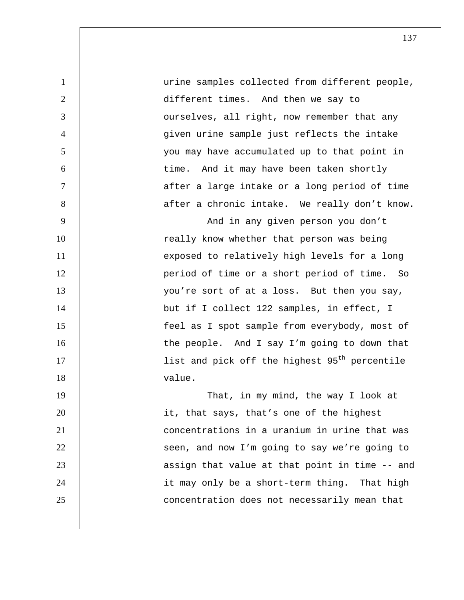1 urine samples collected from different people, 2 | different times. And then we say to 3 **J** ourselves, all right, now remember that any 4 given urine sample just reflects the intake 5 you may have accumulated up to that point in 6 time. And it may have been taken shortly 7 | after a large intake or a long period of time 8 | after a chronic intake. We really don't know. 9 | And in any given person you don't 10 | really know whether that person was being 11 | exposed to relatively high levels for a long 12 | period of time or a short period of time. So 13 | vou're sort of at a loss. But then you say, 14 | but if I collect 122 samples, in effect, I 15 feel as I spot sample from everybody, most of 16 | the people. And I say I'm going to down that 17  $|$  11st and pick off the highest 95<sup>th</sup> percentile 18 value. 19 | That, in my mind, the way I look at 20 | it, that says, that's one of the highest 21 concentrations in a uranium in urine that was 22 | seen, and now I'm going to say we're going to 23 | assign that value at that point in time -- and 24 | it may only be a short-term thing. That high 25 **concentration does not necessarily mean that**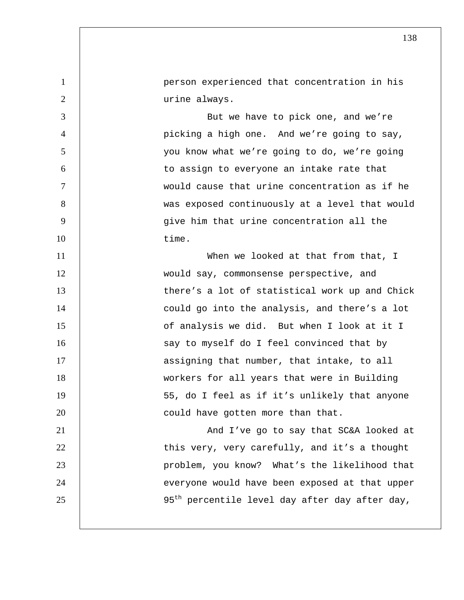1 person experienced that concentration in his 2 | urine always. 3 | But we have to pick one, and we're 4 picking a high one. And we're going to say, 5 you know what we're going to do, we're going 6 to assign to everyone an intake rate that 7 would cause that urine concentration as if he 8 | was exposed continuously at a level that would 9 give him that urine concentration all the 10 time. 11 | When we looked at that from that, I 12 would say, commonsense perspective, and 13 | there's a lot of statistical work up and Chick 14 | could go into the analysis, and there's a lot 15 **b** of analysis we did. But when I look at it I 16 | say to myself do I feel convinced that by 17 | assigning that number, that intake, to all 18 workers for all years that were in Building 19 | S5, do I feel as if it's unlikely that anyone 20 **could have gotten more than that.** 21 | And I've go to say that SC&A looked at 22 | this very, very carefully, and it's a thought 23 problem, you know? What's the likelihood that 24 | everyone would have been exposed at that upper 25 |  $95<sup>th</sup>$  percentile level day after day after day,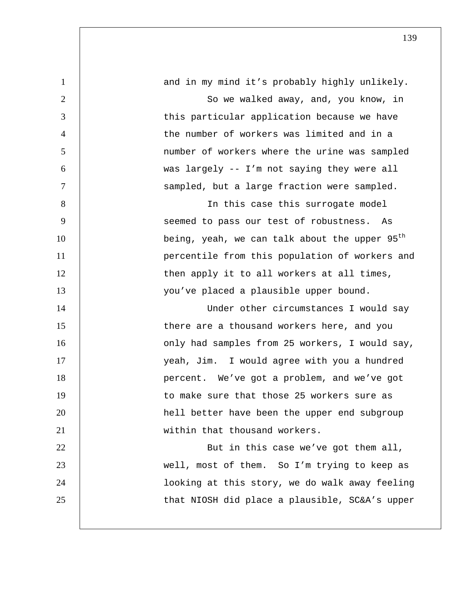| $\mathbf{1}$   | and in my mind it's probably highly unlikely.             |
|----------------|-----------------------------------------------------------|
| $\overline{2}$ | So we walked away, and, you know, in                      |
| 3              | this particular application because we have               |
| $\overline{4}$ | the number of workers was limited and in a                |
| 5              | number of workers where the urine was sampled             |
| 6              | was largely -- I'm not saying they were all               |
| $\overline{7}$ | sampled, but a large fraction were sampled.               |
| 8              | In this case this surrogate model                         |
| 9              | seemed to pass our test of robustness.<br>As              |
| 10             | being, yeah, we can talk about the upper 95 <sup>th</sup> |
| 11             | percentile from this population of workers and            |
| 12             | then apply it to all workers at all times,                |
| 13             | you've placed a plausible upper bound.                    |
| 14             | Under other circumstances I would say                     |
| 15             | there are a thousand workers here, and you                |
| 16             | only had samples from 25 workers, I would say,            |
| 17             | yeah, Jim. I would agree with you a hundred               |
| 18             | percent. We've got a problem, and we've got               |
| 19             | to make sure that those 25 workers sure as                |
| 20             | hell better have been the upper end subgroup              |
| 21             | within that thousand workers.                             |
| 22             | But in this case we've got them all,                      |
| 23             | well, most of them. So I'm trying to keep as              |
| 24             | looking at this story, we do walk away feeling            |
| 25             | that NIOSH did place a plausible, SC&A's upper            |
|                |                                                           |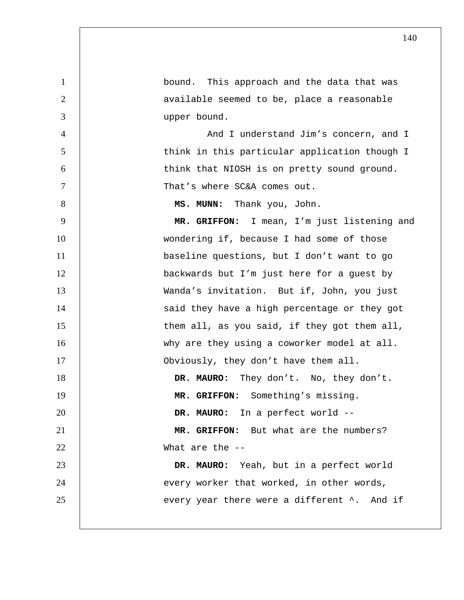1 bound. This approach and the data that was 2 | available seemed to be, place a reasonable 3 upper bound. 4 And I understand Jim's concern, and I 5 | think in this particular application though I 6 | think that NIOSH is on pretty sound ground. 7 | That's where SC&A comes out. 8 **MS. MUNN:** Thank you, John. 9 **MR. GRIFFON:** I mean, I'm just listening and 10 | wondering if, because I had some of those 11 | baseline questions, but I don't want to go 12 backwards but I'm just here for a guest by 13 Wanda's invitation. But if, John, you just 14 | said they have a high percentage or they got 15 | them all, as you said, if they got them all, 16 why are they using a coworker model at all. 17 | Obviously, they don't have them all. 18 **DR. MAURO:** They don't. No, they don't. 19 **MR. GRIFFON:** Something's missing. 20 **DR. MAURO:** In a perfect world --21 **MR. GRIFFON:** But what are the numbers? 22 What are the --23 **DR. MAURO:** Yeah, but in a perfect world 24 | every worker that worked, in other words, 25 every year there were a different  $\lambda$ . And if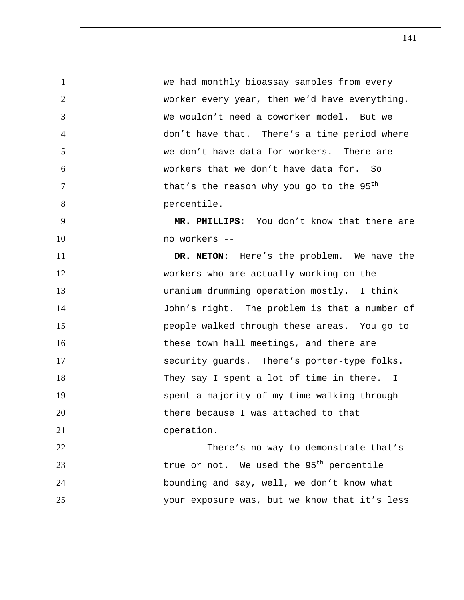1 we had monthly bioassay samples from every worker every year, then we'd have everything. We wouldn't need a coworker model. But we don't have that. There's a time period where we don't have data for workers. There are workers that we don't have data for. So | that's the reason why you go to the  $95^{\text{th}}$ 8 percentile.

**MR. PHILLIPS:** You don't know that there are no workers --

**DR. NETON:** Here's the problem. We have the workers who are actually working on the uranium drumming operation mostly. I think 14 | John's right. The problem is that a number of people walked through these areas. You go to 16 | these town hall meetings, and there are 17 | security guards. There's porter-type folks. 18 | They say I spent a lot of time in there. I 19 | spent a majority of my time walking through 20 | there because I was attached to that **b** operation. 22 | There's no way to demonstrate that's | true or not. We used the 95<sup>th</sup> percentile bounding and say, well, we don't know what your exposure was, but we know that it's less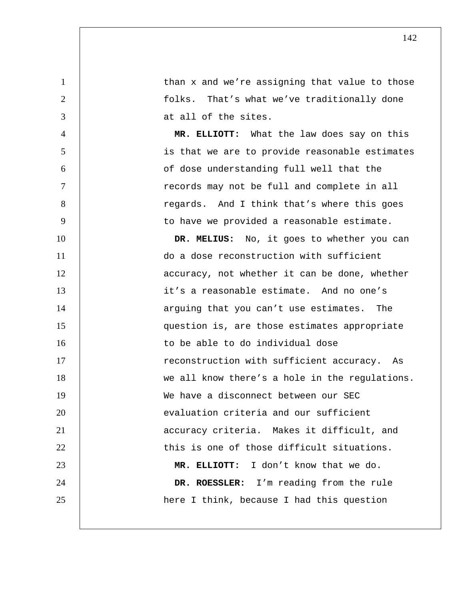1 **than x and we're assigning that value to those** 2 | tolks. That's what we've traditionally done 3 at all of the sites.

4 **MR. ELLIOTT:** What the law does say on this 5 is that we are to provide reasonable estimates 6 of dose understanding full well that the 7 | records may not be full and complete in all 8 | Tegards. And I think that's where this goes 9 | to have we provided a reasonable estimate.

10 **DR. MELIUS:** No, it goes to whether you can 11 do a dose reconstruction with sufficient 12 | accuracy, not whether it can be done, whether 13 **it's a reasonable estimate.** And no one's 14 | arguing that you can't use estimates. The 15 question is, are those estimates appropriate 16 16 to be able to do individual dose 17 **17 example 17** reconstruction with sufficient accuracy. As 18 | we all know there's a hole in the regulations. 19 We have a disconnect between our SEC 20 **evaluation** criteria and our sufficient 21 | accuracy criteria. Makes it difficult, and 22 1 this is one of those difficult situations. 23 **MR. ELLIOTT:** I don't know that we do. 24 **DR. ROESSLER:** I'm reading from the rule 25 | here I think, because I had this question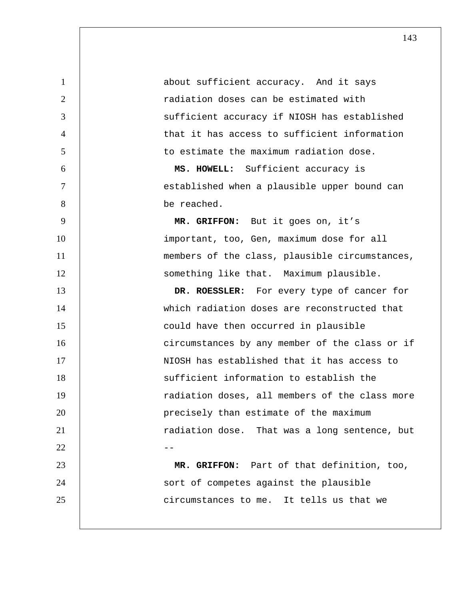1 about sufficient accuracy. And it says radiation doses can be estimated with sufficient accuracy if NIOSH has established that it has access to sufficient information to estimate the maximum radiation dose. **MS. HOWELL:** Sufficient accuracy is

7 | established when a plausible upper bound can 8 be reached.

9 **MR. GRIFFON:** But it goes on, it's 10 | important, too, Gen, maximum dose for all 11 | members of the class, plausible circumstances, 12 | something like that. Maximum plausible.

13 **DR. ROESSLER:** For every type of cancer for 14 which radiation doses are reconstructed that 15 **could have then occurred in plausible** 16 | circumstances by any member of the class or if 17 | NIOSH has established that it has access to 18 | Sufficient information to establish the 19 | radiation doses, all members of the class more 20 **precisely** than estimate of the maximum 21 | radiation dose. That was a long sentence, but  $22$  --23 **MR. GRIFFON:** Part of that definition, too,

24 | sort of competes against the plausible 25 **circumstances to me.** It tells us that we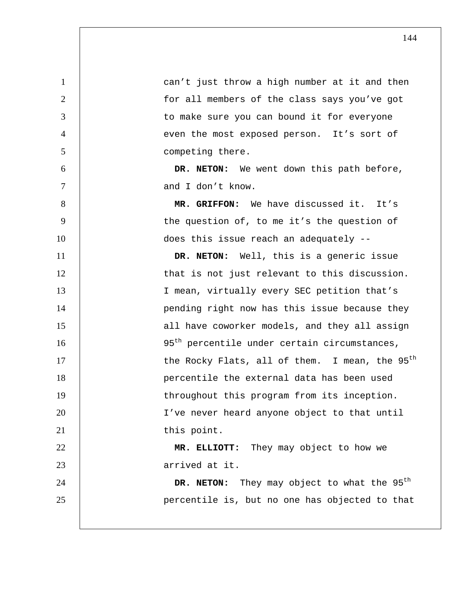| $\mathbf{1}$   | can't just throw a high number at it and then              |
|----------------|------------------------------------------------------------|
| 2              | for all members of the class says you've got               |
| 3              | to make sure you can bound it for everyone                 |
| $\overline{4}$ | even the most exposed person. It's sort of                 |
| 5              | competing there.                                           |
| 6              | DR. NETON: We went down this path before,                  |
| $\overline{7}$ | and I don't know.                                          |
| 8              | MR. GRIFFON: We have discussed it. It's                    |
| 9              | the question of, to me it's the question of                |
| 10             | does this issue reach an adequately --                     |
| 11             | DR. NETON: Well, this is a generic issue                   |
| 12             | that is not just relevant to this discussion.              |
| 13             | I mean, virtually every SEC petition that's                |
| 14             | pending right now has this issue because they              |
| 15             | all have coworker models, and they all assign              |
| 16             | 95 <sup>th</sup> percentile under certain circumstances,   |
| 17             | the Rocky Flats, all of them. I mean, the 95 <sup>th</sup> |
| 18             | percentile the external data has been used                 |
| 19             | throughout this program from its inception.                |
| 20             | I've never heard anyone object to that until               |
| 21             | this point.                                                |
| 22             | MR. ELLIOTT: They may object to how we                     |
| 23             | arrived at it.                                             |
| 24             | DR. NETON: They may object to what the 95 <sup>th</sup>    |
| 25             | percentile is, but no one has objected to that             |
|                |                                                            |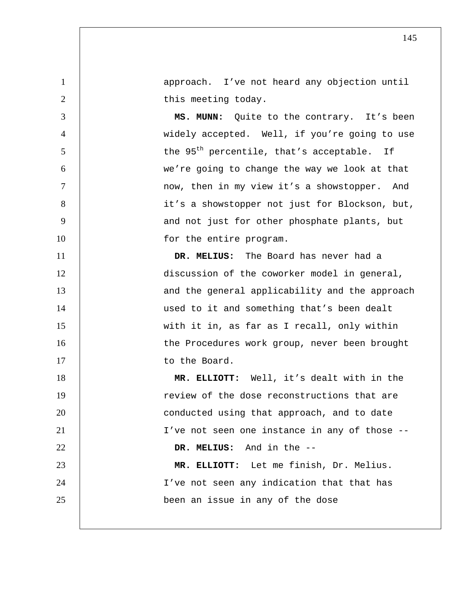1 approach. I've not heard any objection until 2 | this meeting today.

3 **MS. MUNN:** Quite to the contrary. It's been 4 widely accepted. Well, if you're going to use  $5$   $\parallel$  the 95<sup>th</sup> percentile, that's acceptable. If 6 we're going to change the way we look at that 7 | mow, then in my view it's a showstopper. And 8 | it's a showstopper not just for Blockson, but, 9 | and not just for other phosphate plants, but 10 | for the entire program.

11 **DR. MELIUS:** The Board has never had a 12 discussion of the coworker model in general, 13 | and the general applicability and the approach 14 | used to it and something that's been dealt 15 with it in, as far as I recall, only within 16 | the Procedures work group, never been brought 17 | to the Board.

**MR. ELLIOTT:** Well, it's dealt with in the 19 The state of the dose reconstructions that are **conducted using that approach, and to date** 21 | I've not seen one instance in any of those --**DR. MELIUS:** And in the -- **MR. ELLIOTT:** Let me finish, Dr. Melius. 24 | I've not seen any indication that that has been an issue in any of the dose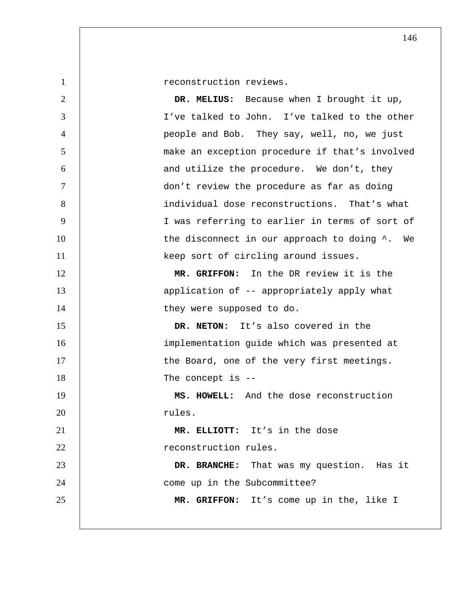1 | reconstruction reviews.

**DR. MELIUS:** Because when I brought it up, I've talked to John. I've talked to the other people and Bob. They say, well, no, we just make an exception procedure if that's involved 6 and utilize the procedure. We don't, they don't review the procedure as far as doing individual dose reconstructions. That's what I was referring to earlier in terms of sort of 10 | the disconnect in our approach to doing  $\lambda$ . We 11 | keep sort of circling around issues. **MR. GRIFFON:** In the DR review it is the 13 | application of -- appropriately apply what 14 | they were supposed to do.

**DR. NETON:** It's also covered in the 16 | implementation guide which was presented at 17 | the Board, one of the very first meetings. 18 | The concept is --

**MS. HOWELL:** And the dose reconstruction 20 | rules.

**MR. ELLIOTT:** It's in the dose **december 12** reconstruction rules.

**DR. BRANCHE:** That was my question. Has it **come** up in the Subcommittee?

**MR. GRIFFON:** It's come up in the, like I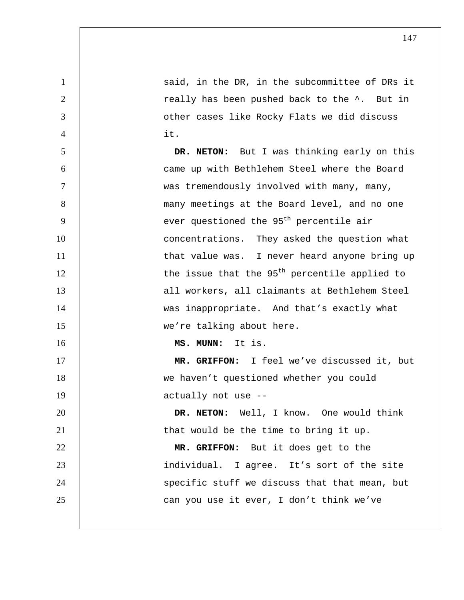1 **1** Said, in the DR, in the subcommittee of DRs it 2 | really has been pushed back to the  $\hat{ }$ . But in 3 other cases like Rocky Flats we did discuss 4 it. 5 **DR. NETON:** But I was thinking early on this 6 came up with Bethlehem Steel where the Board 7 | was tremendously involved with many, many, 8 | many meetings at the Board level, and no one  $9$  | ever questioned the  $95<sup>th</sup>$  percentile air 10 | concentrations. They asked the question what 11 | that value was. I never heard anyone bring up  $12$  | the issue that the 95<sup>th</sup> percentile applied to 13 | all workers, all claimants at Bethlehem Steel 14 | was inappropriate. And that's exactly what 15 | we're talking about here. 16 **MS. MUNN:** It is. 17 **MR. GRIFFON:** I feel we've discussed it, but 18 we haven't questioned whether you could 19 actually not use --20 **DR. NETON:** Well, I know. One would think 21 | that would be the time to bring it up. 22 **MR. GRIFFON:** But it does get to the 23 | individual. I agree. It's sort of the site 24 | specific stuff we discuss that that mean, but 25 **can you use it ever, I don't think we've**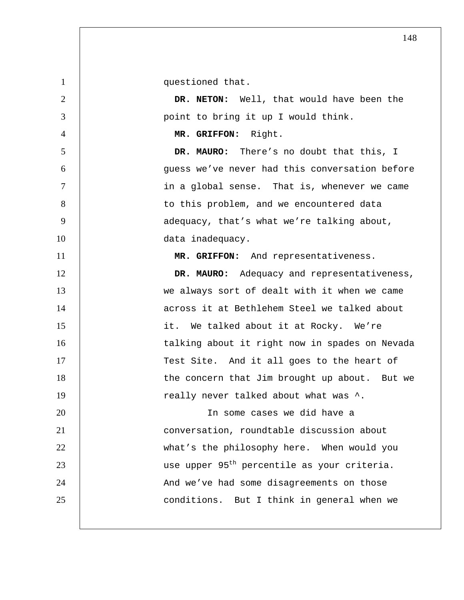1 | questioned that.

2 **DR. NETON:** Well, that would have been the 3 point to bring it up I would think.

4 **MR. GRIFFON:** Right.

5 **DR. MAURO:** There's no doubt that this, I 6 guess we've never had this conversation before 7 in a global sense. That is, whenever we came 8 | to this problem, and we encountered data 9 | adequacy, that's what we're talking about, 10 | data inadequacy.

11 **MR. GRIFFON:** And representativeness. 12 **DR. MAURO:** Adequacy and representativeness, 13 We always sort of dealt with it when we came 14 | across it at Bethlehem Steel we talked about 15 | it. We talked about it at Rocky. We're 16 | talking about it right now in spades on Nevada 17 | Test Site. And it all goes to the heart of 18 | the concern that Jim brought up about. But we 19 | really never talked about what was  $\hat{\ }$ .

In some cases we did have a conversation, roundtable discussion about what's the philosophy here. When would you  $\vert$  use upper 95<sup>th</sup> percentile as your criteria. 24 | And we've had some disagreements on those **conditions.** But I think in general when we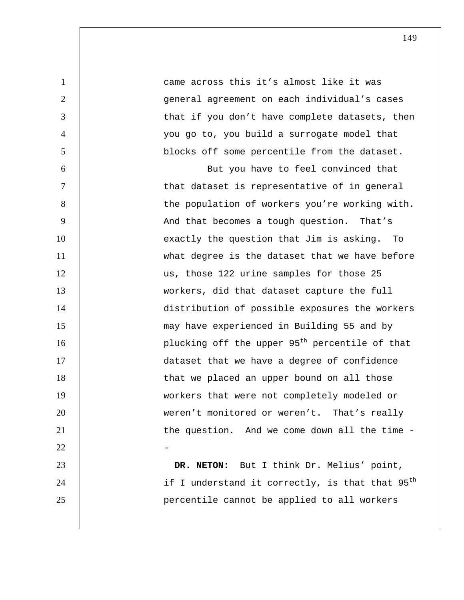1 decrease 1 came across this it's almost like it was 2 general agreement on each individual's cases 3 | that if you don't have complete datasets, then 4 you go to, you build a surrogate model that 5 blocks off some percentile from the dataset.

6 But you have to feel convinced that 7 | that dataset is representative of in general 8 | the population of workers you're working with. 9 | And that becomes a tough question. That's 10 | exactly the question that Jim is asking. To 11 what degree is the dataset that we have before 12 | us, those 122 urine samples for those 25 13 workers, did that dataset capture the full 14 distribution of possible exposures the workers 15 may have experienced in Building 55 and by 16 | plucking off the upper  $95<sup>th</sup>$  percentile of that 17 dataset that we have a degree of confidence 18 | that we placed an upper bound on all those 19 workers that were not completely modeled or 20 | weren't monitored or weren't. That's really 21 | the question. And we come down all the time - $22$  -

23 **DR. NETON:** But I think Dr. Melius' point, 24  $\parallel$  if I understand it correctly, is that that 95<sup>th</sup> 25 percentile cannot be applied to all workers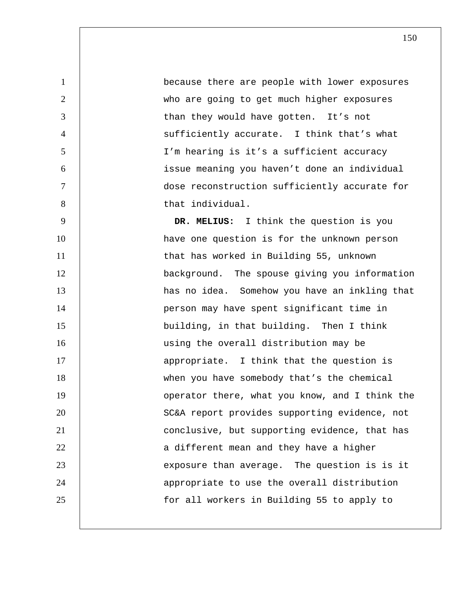because there are people with lower exposures who are going to get much higher exposures 3 | than they would have gotten. It's not sufficiently accurate. I think that's what I'm hearing is it's a sufficient accuracy issue meaning you haven't done an individual dose reconstruction sufficiently accurate for 8 | that individual.

9 **DR. MELIUS:** I think the question is you 10 | have one question is for the unknown person 11 | that has worked in Building 55, unknown 12 | background. The spouse giving you information 13 | has no idea. Somehow you have an inkling that 14 | person may have spent significant time in 15 building, in that building. Then I think 16 | using the overall distribution may be 17 | appropriate. I think that the question is 18 | when you have somebody that's the chemical 19 | operator there, what you know, and I think the 20 | SC&A report provides supporting evidence, not 21 conclusive, but supporting evidence, that has 22 | a different mean and they have a higher 23 | exposure than average. The question is is it 24 | appropriate to use the overall distribution 25 | tor all workers in Building 55 to apply to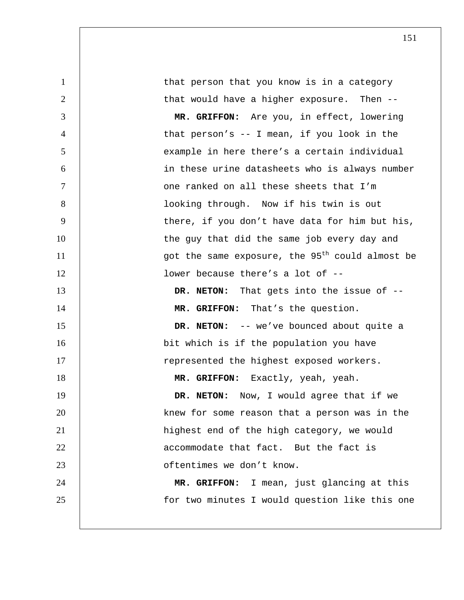1 that person that you know is in a category 2 | that would have a higher exposure. Then --3 **MR. GRIFFON:** Are you, in effect, lowering 4 that person's -- I mean, if you look in the 5 example in here there's a certain individual 6 in these urine datasheets who is always number 7 one ranked on all these sheets that I'm 8 | Cooking through. Now if his twin is out 9 | there, if you don't have data for him but his, 10 | the guy that did the same job every day and 11  $\vert$  got the same exposure, the 95<sup>th</sup> could almost be 12 | **lower because there's a lot of --**13 **DR. NETON:** That gets into the issue of -- 14 **MR. GRIFFON:** That's the question. 15 **DR. NETON:** -- we've bounced about quite a 16 | bit which is if the population you have 17 | represented the highest exposed workers. 18 **MR. GRIFFON:** Exactly, yeah, yeah. 19 **DR. NETON:** Now, I would agree that if we 20 | knew for some reason that a person was in the 21 | highest end of the high category, we would 22 **1** accommodate that fact. But the fact is 23 **b** oftentimes we don't know. 24 **MR. GRIFFON:** I mean, just glancing at this 25 | tor two minutes I would question like this one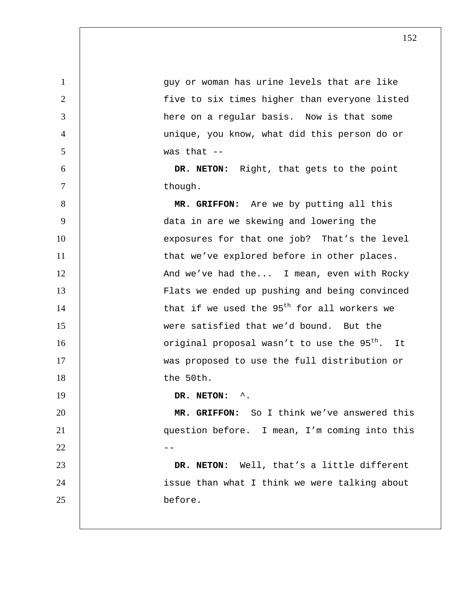1 guy or woman has urine levels that are like 2 five to six times higher than everyone listed 3 here on a regular basis. Now is that some 4 unique, you know, what did this person do or  $5 \t\t \sqrt{5}$  was that  $-$ 6 **DR. NETON:** Right, that gets to the point 7 though. 8 **MR. GRIFFON:** Are we by putting all this 9 data in are we skewing and lowering the 10 | exposures for that one job? That's the level 11 | that we've explored before in other places. 12 | And we've had the... I mean, even with Rocky 13 Flats we ended up pushing and being convinced 14  $\vert$  that if we used the 95<sup>th</sup> for all workers we 15 were satisfied that we'd bound. But the 16  $\parallel$  0riginal proposal wasn't to use the 95<sup>th</sup>. It 17 | was proposed to use the full distribution or 18 the 50th. 19 **DR. NETON:** ^. 20 **MR. GRIFFON:** So I think we've answered this 21 question before. I mean, I'm coming into this  $22$  --23 **DR. NETON:** Well, that's a little different 24 | issue than what I think we were talking about 25 before.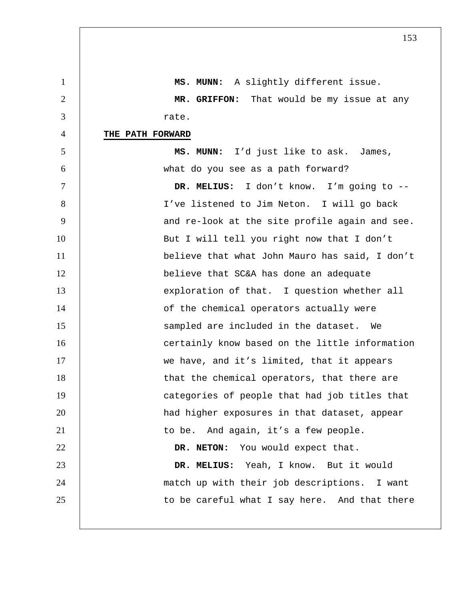1 **MS. MUNN:** A slightly different issue. 2 **MR. GRIFFON:** That would be my issue at any 3 rate. 4 **THE PATH FORWARD** 5 **MS. MUNN:** I'd just like to ask. James, 6 what do you see as a path forward? 7 **DR. MELIUS:** I don't know. I'm going to -- 8 | I've listened to Jim Neton. I will go back 9 | and re-look at the site profile again and see. 10 | But I will tell you right now that I don't 11 believe that what John Mauro has said, I don't 12 | believe that SC&A has done an adequate 13 exploration of that. I question whether all 14 | contract of the chemical operators actually were 15 | Sampled are included in the dataset. We 16 | certainly know based on the little information 17 | we have, and it's limited, that it appears 18 | that the chemical operators, that there are 19 | categories of people that had job titles that 20 | had higher exposures in that dataset, appear 21 | to be. And again, it's a few people. 22 **DR. NETON:** You would expect that. 23 **DR. MELIUS:** Yeah, I know. But it would 24 match up with their job descriptions. I want  $25$   $\vert$  to be careful what I say here. And that there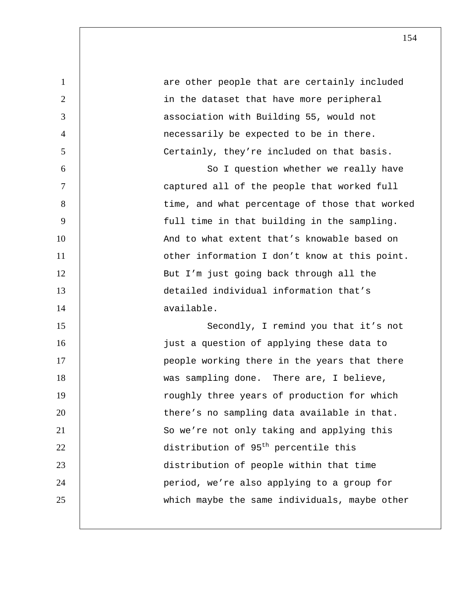| $\mathbf{1}$   | are other people that are certainly included     |
|----------------|--------------------------------------------------|
| $\overline{2}$ | in the dataset that have more peripheral         |
| 3              | association with Building 55, would not          |
| $\overline{4}$ | necessarily be expected to be in there.          |
| 5              | Certainly, they're included on that basis.       |
| 6              | So I question whether we really have             |
| $\tau$         | captured all of the people that worked full      |
| 8              | time, and what percentage of those that worked   |
| 9              | full time in that building in the sampling.      |
| 10             | And to what extent that's knowable based on      |
| 11             | other information I don't know at this point.    |
| 12             | But I'm just going back through all the          |
| 13             | detailed individual information that's           |
| 14             | available.                                       |
| 15             | Secondly, I remind you that it's not             |
| 16             | just a question of applying these data to        |
| 17             | people working there in the years that there     |
| 18             | was sampling done. There are, I believe,         |
| 19             | roughly three years of production for which      |
| 20             | there's no sampling data available in that.      |
| 21             | So we're not only taking and applying this       |
| 22             | distribution of 95 <sup>th</sup> percentile this |
| 23             | distribution of people within that time          |
| 24             | period, we're also applying to a group for       |
| 25             | which maybe the same individuals, maybe other    |
|                |                                                  |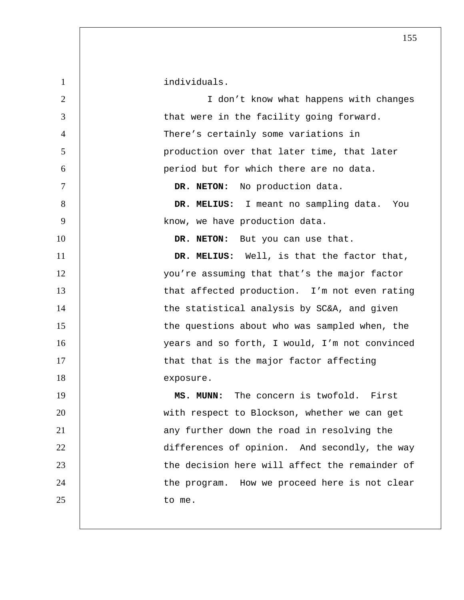1 individuals. 2 I don't know what happens with changes 3 decrease in the facility going forward. 4 There's certainly some variations in 5 production over that later time, that later 6 period but for which there are no data. 7 **DR. NETON:** No production data. 8 **DR. MELIUS:** I meant no sampling data. You 9 | know, we have production data. 10 **DR. NETON:** But you can use that. 11 **DR. MELIUS:** Well, is that the factor that, 12 | vou're assuming that that's the major factor 13 | that affected production. I'm not even rating 14 | the statistical analysis by SC&A, and given 15 | the questions about who was sampled when, the 16 years and so forth, I would, I'm not convinced 17 | that that is the major factor affecting 18 exposure. 19 **MS. MUNN:** The concern is twofold. First 20 | with respect to Blockson, whether we can get 21 | any further down the road in resolving the 22 **differences of opinion.** And secondly, the way 23 **the decision here will affect the remainder of** 24 | the program. How we proceed here is not clear 25 to me.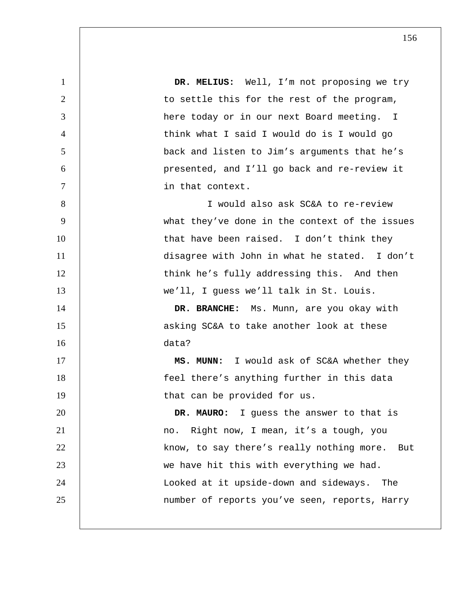**DR. MELIUS:** Well, I'm not proposing we try 2 | to settle this for the rest of the program, here today or in our next Board meeting. I think what I said I would do is I would go back and listen to Jim's arguments that he's presented, and I'll go back and re-review it in that context. I would also ask SC&A to re-review what they've done in the context of the issues 10 that have been raised. I don't think they 11 | disagree with John in what he stated. I don't 12 | think he's fully addressing this. And then we'll, I guess we'll talk in St. Louis. **DR. BRANCHE:** Ms. Munn, are you okay with **b** asking SC&A to take another look at these data? **MS. MUNN:** I would ask of SC&A whether they feel there's anything further in this data 19 | that can be provided for us. **DR. MAURO:** I guess the answer to that is 21 | no. Right now, I mean, it's a tough, you 22 | know, to say there's really nothing more. But 23 | we have hit this with everything we had. Looked at it upside-down and sideways. The number of reports you've seen, reports, Harry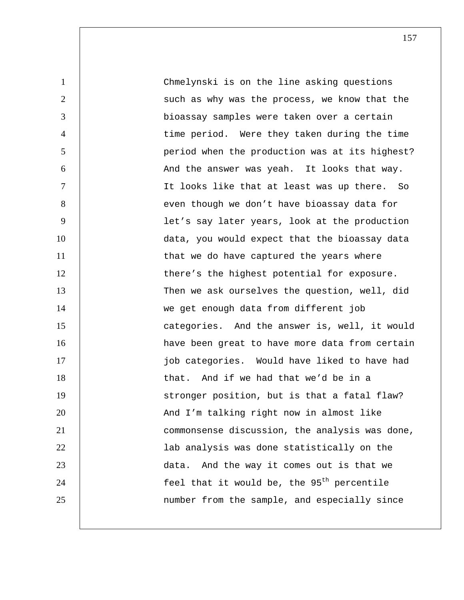Chmelynski is on the line asking questions 2 | such as why was the process, we know that the bioassay samples were taken over a certain time period. Were they taken during the time period when the production was at its highest? 6 | And the answer was yeah. It looks that way. It looks like that at least was up there. So 8 | even though we don't have bioassay data for let's say later years, look at the production data, you would expect that the bioassay data 11 | that we do have captured the years where 12 | there's the highest potential for exposure. Then we ask ourselves the question, well, did we get enough data from different job **categories.** And the answer is, well, it would **have been great to have more data from certain** 17 | inductional integrations. Would have liked to have had 18 | that. And if we had that we'd be in a 19 | stronger position, but is that a fatal flaw? **And I'm talking right now in almost like** commonsense discussion, the analysis was done, 22 | lab analysis was done statistically on the **data.** And the way it comes out is that we  $\vert$  feel that it would be, the 95<sup>th</sup> percentile number from the sample, and especially since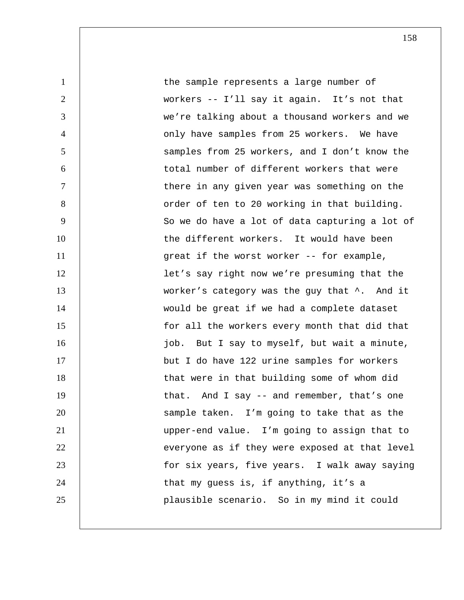1 1 the sample represents a large number of 2 workers -- I'll say it again. It's not that 3 we're talking about a thousand workers and we 4 | conly have samples from 25 workers. We have 5 samples from 25 workers, and I don't know the 6 | total number of different workers that were 7 T is there in any given year was something on the 8 | Corder of ten to 20 working in that building. 9 | So we do have a lot of data capturing a lot of 10 the different workers. It would have been 11 | great if the worst worker -- for example, 12 | let's say right now we're presuming that the 13 | worker's category was the guy that  $\hat{ }$ . And it 14 | would be great if we had a complete dataset 15 | for all the workers every month that did that 16 | industriangled in the U say to myself, but wait a minute, 17 but I do have 122 urine samples for workers 18 | that were in that building some of whom did 19 | that. And I say -- and remember, that's one 20 | Sample taken. I'm going to take that as the 21 upper-end value. I'm going to assign that to 22 **everyone as if they were exposed at that level** 23 | tor six years, five years. I walk away saying 24 | that my guess is, if anything, it's a 25 plausible scenario. So in my mind it could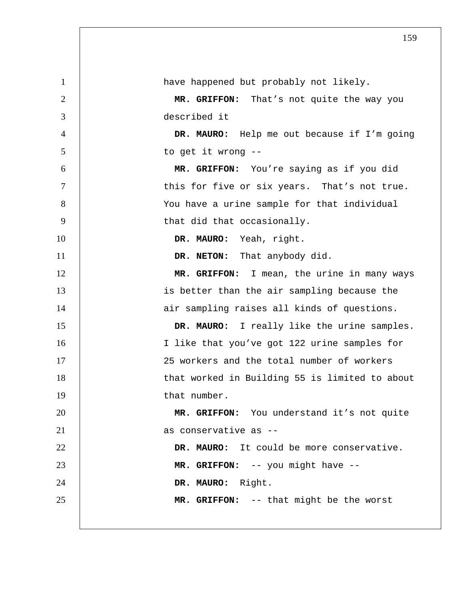| -1             | have happened but probably not likely.         |
|----------------|------------------------------------------------|
| $\overline{2}$ | MR. GRIFFON: That's not quite the way you      |
| 3              | described it                                   |
| $\overline{4}$ | DR. MAURO: Help me out because if I'm going    |
| 5              | to get it wrong --                             |
| 6              | MR. GRIFFON: You're saying as if you did       |
| $\tau$         | this for five or six years. That's not true.   |
| 8              | You have a urine sample for that individual    |
| 9              | that did that occasionally.                    |
| 10             | DR. MAURO: Yeah, right.                        |
| 11             | DR. NETON: That anybody did.                   |
| 12             | MR. GRIFFON: I mean, the urine in many ways    |
| 13             | is better than the air sampling because the    |
| 14             | air sampling raises all kinds of questions.    |
| 15             | DR. MAURO: I really like the urine samples.    |
| 16             | I like that you've got 122 urine samples for   |
| 17             | 25 workers and the total number of workers     |
| 18             | that worked in Building 55 is limited to about |
| 19             | that number.                                   |
| 20             | MR. GRIFFON: You understand it's not quite     |
| 21             | as conservative as --                          |
| 22             | DR. MAURO: It could be more conservative.      |
| 23             | MR. GRIFFON: -- you might have --              |
| 24             | DR. MAURO: Right.                              |
| 25             | MR. GRIFFON: -- that might be the worst        |
|                |                                                |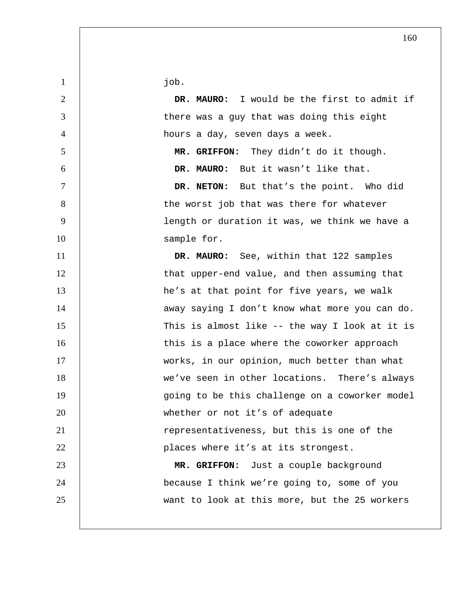job.

**DR. MAURO:** I would be the first to admit if 3 | there was a guy that was doing this eight hours a day, seven days a week. **MR. GRIFFON:** They didn't do it though. **DR. MAURO:** But it wasn't like that. **DR. NETON:** But that's the point. Who did 8 | the worst job that was there for whatever length or duration it was, we think we have a 10 sample for. **DR. MAURO:** See, within that 122 samples 12 | that upper-end value, and then assuming that 13 | he's at that point for five years, we walk 14 | away saying I don't know what more you can do. This is almost like -- the way I look at it is 16 | this is a place where the coworker approach 17 | works, in our opinion, much better than what we've seen in other locations. There's always 19 | going to be this challenge on a coworker model 20 | whether or not it's of adequate representativeness, but this is one of the **places** where it's at its strongest. **MR. GRIFFON:** Just a couple background because I think we're going to, some of you want to look at this more, but the 25 workers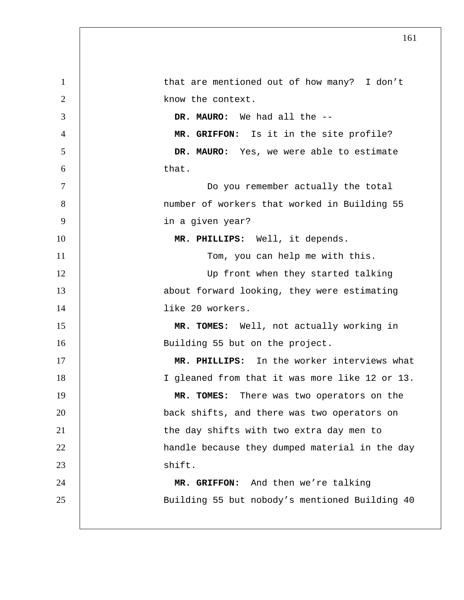| $\mathbf{1}$    | that are mentioned out of how many? I don't    |
|-----------------|------------------------------------------------|
| 2               | know the context.                              |
| 3               | DR. MAURO: We had all the --                   |
| $\overline{4}$  | MR. GRIFFON: Is it in the site profile?        |
| 5               | DR. MAURO: Yes, we were able to estimate       |
| 6               | that.                                          |
| $7\phantom{.0}$ | Do you remember actually the total             |
| 8               | number of workers that worked in Building 55   |
| 9               | in a given year?                               |
| 10              | MR. PHILLIPS: Well, it depends.                |
| 11              | Tom, you can help me with this.                |
| 12              | Up front when they started talking             |
| 13              | about forward looking, they were estimating    |
| 14              | like 20 workers.                               |
| 15              | MR. TOMES: Well, not actually working in       |
| 16              | Building 55 but on the project.                |
| 17              | MR. PHILLIPS: In the worker interviews what    |
| 18              | I gleaned from that it was more like 12 or 13. |
| 19              | MR. TOMES: There was two operators on the      |
| 20              | back shifts, and there was two operators on    |
| 21              | the day shifts with two extra day men to       |
| 22              | handle because they dumped material in the day |
| 23              | shift.                                         |
| 24              | MR. GRIFFON: And then we're talking            |
| 25              | Building 55 but nobody's mentioned Building 40 |
|                 |                                                |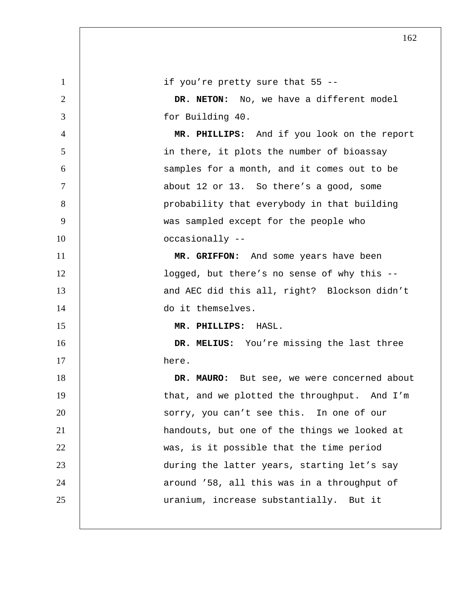| $\mathbf{1}$   | if you're pretty sure that 55 --             |
|----------------|----------------------------------------------|
| $\overline{2}$ | DR. NETON: No, we have a different model     |
| 3              | for Building 40.                             |
| 4              | MR. PHILLIPS: And if you look on the report  |
| 5              | in there, it plots the number of bioassay    |
| 6              | samples for a month, and it comes out to be  |
| $\tau$         | about 12 or 13. So there's a good, some      |
| 8              | probability that everybody in that building  |
| 9              | was sampled except for the people who        |
| 10             | occasionally --                              |
| 11             | MR. GRIFFON: And some years have been        |
| 12             | logged, but there's no sense of why this --  |
| 13             | and AEC did this all, right? Blockson didn't |
| 14             | do it themselves.                            |
| 15             | MR. PHILLIPS: HASL.                          |
| 16             | DR. MELIUS: You're missing the last three    |
| 17             | here.                                        |
| 18             | DR. MAURO: But see, we were concerned about  |
| 19             | that, and we plotted the throughput. And I'm |
| 20             | sorry, you can't see this. In one of our     |
| 21             | handouts, but one of the things we looked at |
| 22             | was, is it possible that the time period     |
| 23             | during the latter years, starting let's say  |
| 24             | around '58, all this was in a throughput of  |
| 25             | uranium, increase substantially. But it      |
|                |                                              |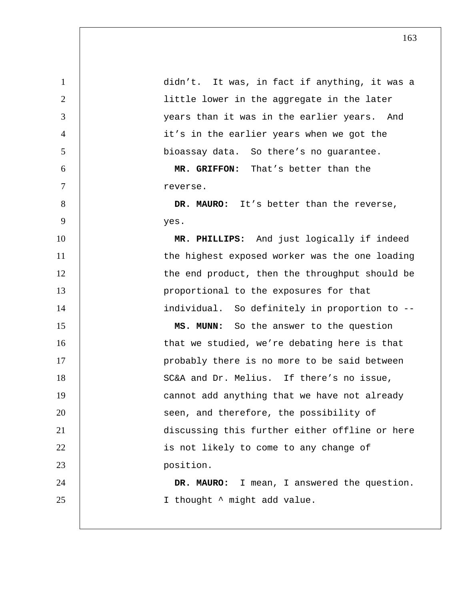1 didn't. It was, in fact if anything, it was a 2 | little lower in the aggregate in the later 3 years than it was in the earlier years. And 4 it's in the earlier years when we got the 5 bioassay data. So there's no guarantee. 6 **MR. GRIFFON:** That's better than the 7 reverse. 8 **DR. MAURO:** It's better than the reverse, 9 yes. 10 **MR. PHILLIPS:** And just logically if indeed 11 | the highest exposed worker was the one loading 12 | the end product, then the throughput should be 13 | proportional to the exposures for that 14 | individual. So definitely in proportion to --15 **MS. MUNN:** So the answer to the question 16 | that we studied, we're debating here is that 17 | probably there is no more to be said between 18 | SC&A and Dr. Melius. If there's no issue, 19 | cannot add anything that we have not already 20 | Seen, and therefore, the possibility of 21 discussing this further either offline or here 22 | is not likely to come to any change of 23 **position**. 24 **DR. MAURO:** I mean, I answered the question. 25 | I thought  $\sim$  might add value.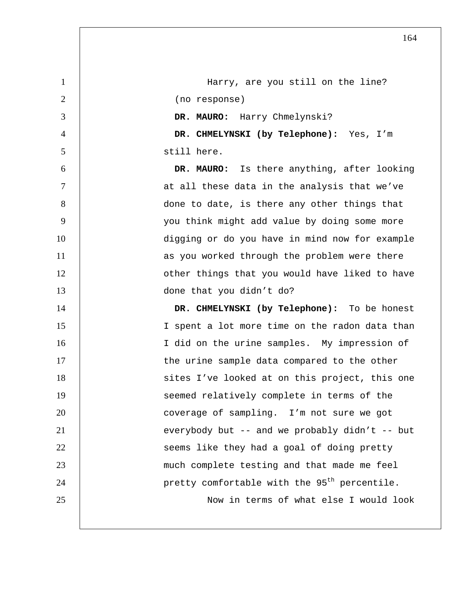1 | Harry, are you still on the line? 2 (no response) 3 **DR. MAURO:** Harry Chmelynski? 4 **DR. CHMELYNSKI (by Telephone):** Yes, I'm 5 still here. 6 **DR. MAURO:** Is there anything, after looking 7 at all these data in the analysis that we've 8 | done to date, is there any other things that 9 you think might add value by doing some more 10 digging or do you have in mind now for example 11 | as you worked through the problem were there 12 | cther things that you would have liked to have 13 | done that you didn't do? 14 **DR. CHMELYNSKI (by Telephone):** To be honest 15 I spent a lot more time on the radon data than 16 | I did on the urine samples. My impression of 17 | the urine sample data compared to the other 18 | sites I've looked at on this project, this one 19 | Seemed relatively complete in terms of the 20 | coverage of sampling. I'm not sure we got 21 | everybody but -- and we probably didn't -- but 22 | Seems like they had a goal of doing pretty 23 much complete testing and that made me feel 24  $\vert$  pretty comfortable with the 95<sup>th</sup> percentile. 25 Now in terms of what else I would look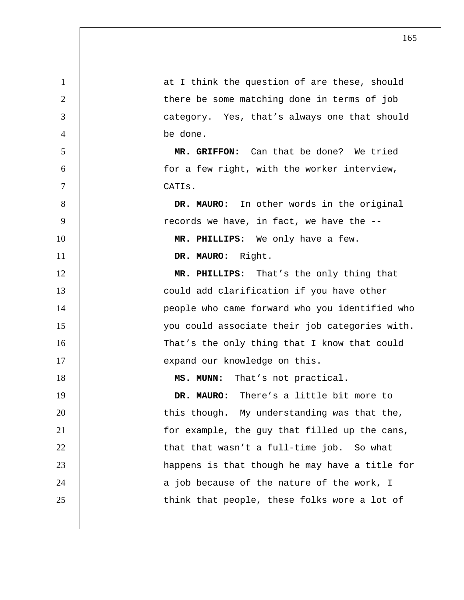| 1              | at I think the question of are these, should   |
|----------------|------------------------------------------------|
| $\overline{2}$ | there be some matching done in terms of job    |
| 3              | category. Yes, that's always one that should   |
| $\overline{4}$ | be done.                                       |
| 5              | MR. GRIFFON: Can that be done? We tried        |
| 6              | for a few right, with the worker interview,    |
| 7              | CATIs.                                         |
| 8              | DR. MAURO: In other words in the original      |
| 9              | records we have, in fact, we have the --       |
| 10             | MR. PHILLIPS: We only have a few.              |
| 11             | DR. MAURO: Right.                              |
| 12             | MR. PHILLIPS: That's the only thing that       |
| 13             | could add clarification if you have other      |
| 14             | people who came forward who you identified who |
| 15             | you could associate their job categories with. |
| 16             | That's the only thing that I know that could   |
| 17             | expand our knowledge on this.                  |
| 18             | That's not practical.<br>MS. MUNN:             |
| 19             | DR. MAURO:<br>There's a little bit more to     |
| 20             | this though. My understanding was that the,    |
| 21             | for example, the guy that filled up the cans,  |
| 22             | that that wasn't a full-time job. So what      |
| 23             | happens is that though he may have a title for |
| 24             | a job because of the nature of the work, I     |
| 25             | think that people, these folks wore a lot of   |
|                |                                                |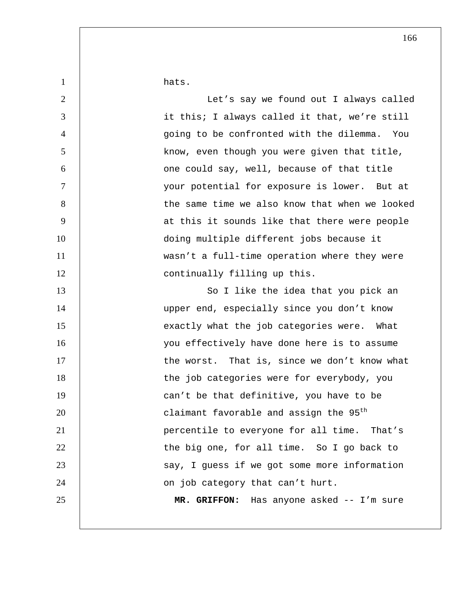1 hats.

| $\overline{2}$ | Let's say we found out I always called             |
|----------------|----------------------------------------------------|
| 3              | it this; I always called it that, we're still      |
| $\overline{4}$ | going to be confronted with the dilemma. You       |
| 5              | know, even though you were given that title,       |
| 6              | one could say, well, because of that title         |
| 7              | your potential for exposure is lower. But at       |
| 8              | the same time we also know that when we looked     |
| 9              | at this it sounds like that there were people      |
| 10             | doing multiple different jobs because it           |
| 11             | wasn't a full-time operation where they were       |
| 12             | continually filling up this.                       |
| 13             | So I like the idea that you pick an                |
| 14             | upper end, especially since you don't know         |
| 15             | exactly what the job categories were. What         |
| 16             | you effectively have done here is to assume        |
| 17             | the worst. That is, since we don't know what       |
| 18             | the job categories were for everybody, you         |
| 19             | can't be that definitive, you have to be           |
| 20             | claimant favorable and assign the 95 <sup>th</sup> |
| 21             | percentile to everyone for all time. That's        |
| 22             | the big one, for all time. So I go back to         |
| 23             | say, I guess if we got some more information       |
| 24             | on job category that can't hurt.                   |
| 25             | MR. GRIFFON: Has anyone asked -- I'm sure          |
|                |                                                    |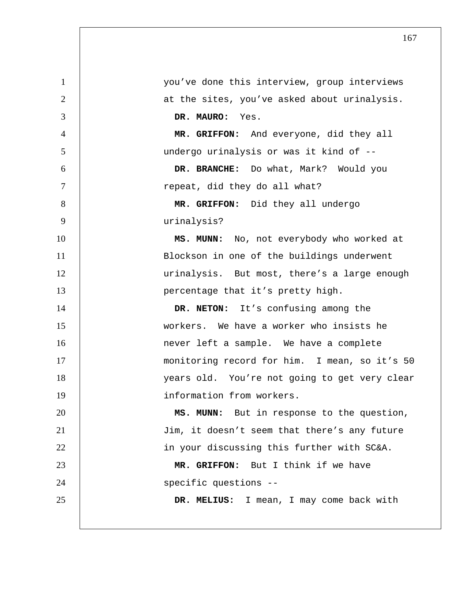you've done this interview, group interviews 2 | at the sites, you've asked about urinalysis. **DR. MAURO:** Yes. **MR. GRIFFON:** And everyone, did they all undergo urinalysis or was it kind of -- **DR. BRANCHE:** Do what, Mark? Would you 7 | repeat, did they do all what? **MR. GRIFFON:** Did they all undergo urinalysis? **MS. MUNN:** No, not everybody who worked at 11 | Blockson in one of the buildings underwent urinalysis. But most, there's a large enough **percentage that it's pretty high. DR. NETON:** It's confusing among the workers. We have a worker who insists he **16 never left a sample.** We have a complete 17 | monitoring record for him. I mean, so it's 50 18 | vears old. You're not going to get very clear information from workers. **MS. MUNN:** But in response to the question, Jim, it doesn't seem that there's any future 22 | in your discussing this further with SC&A. **MR. GRIFFON:** But I think if we have 24 | Specific questions --**DR. MELIUS:** I mean, I may come back with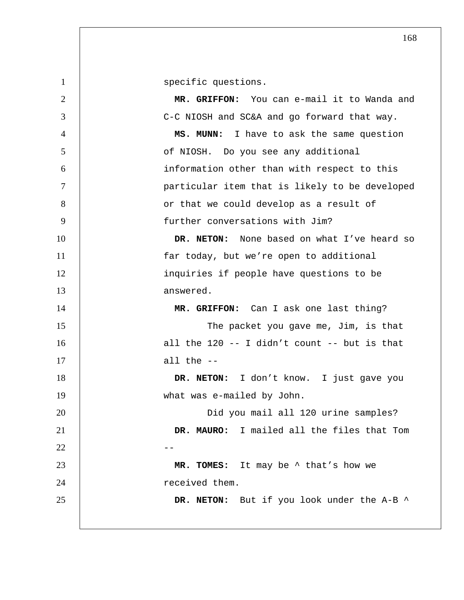1 Specific questions. **MR. GRIFFON:** You can e-mail it to Wanda and 3 | C-C NIOSH and SC&A and go forward that way. **MS. MUNN:** I have to ask the same question 5 | of NIOSH. Do you see any additional information other than with respect to this particular item that is likely to be developed 8 | Cor that we could develop as a result of further conversations with Jim? **DR. NETON:** None based on what I've heard so 11 | far today, but we're open to additional inquiries if people have questions to be 13 answered. **MR. GRIFFON:** Can I ask one last thing? 15 | The packet you gave me, Jim, is that  $\vert$  all the 120 -- I didn't count -- but is that all the  $-$ **DR. NETON:** I don't know. I just gave you 19 | what was e-mailed by John. 20 | Did you mail all 120 urine samples? **DR. MAURO:** I mailed all the files that Tom --**MR. TOMES:** It may be ^ that's how we **Parameter** received them. **DR. NETON:** But if you look under the A-B ^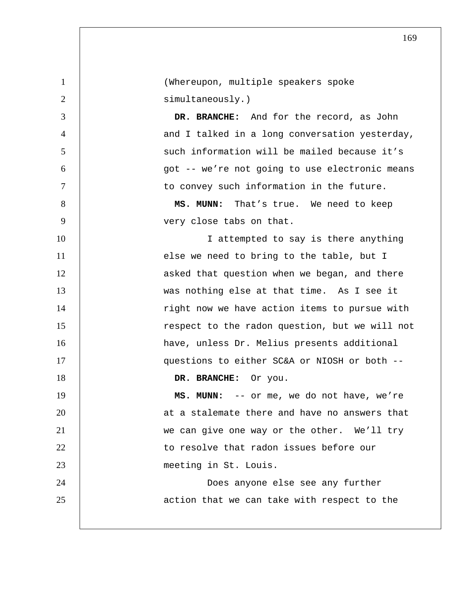| $\mathbf{1}$   | (Whereupon, multiple speakers spoke            |
|----------------|------------------------------------------------|
| $\overline{2}$ | simultaneously.)                               |
| 3              | DR. BRANCHE: And for the record, as John       |
| $\overline{4}$ | and I talked in a long conversation yesterday, |
| 5              | such information will be mailed because it's   |
| 6              | got -- we're not going to use electronic means |
| $\tau$         | to convey such information in the future.      |
| 8              | MS. MUNN:<br>That's true. We need to keep      |
| 9              | very close tabs on that.                       |
| 10             | I attempted to say is there anything           |
| 11             | else we need to bring to the table, but I      |
| 12             | asked that question when we began, and there   |
| 13             | was nothing else at that time. As I see it     |
| 14             | right now we have action items to pursue with  |
| 15             | respect to the radon question, but we will not |
| 16             | have, unless Dr. Melius presents additional    |
| 17             | questions to either SC&A or NIOSH or both --   |
| 18             | DR. BRANCHE:<br>Or you.                        |
| 19             | MS. MUNN: -- or me, we do not have, we're      |
| 20             | at a stalemate there and have no answers that  |
| 21             | we can give one way or the other. We'll try    |
| 22             | to resolve that radon issues before our        |
| 23             | meeting in St. Louis.                          |
| 24             | Does anyone else see any further               |
| 25             | action that we can take with respect to the    |
|                |                                                |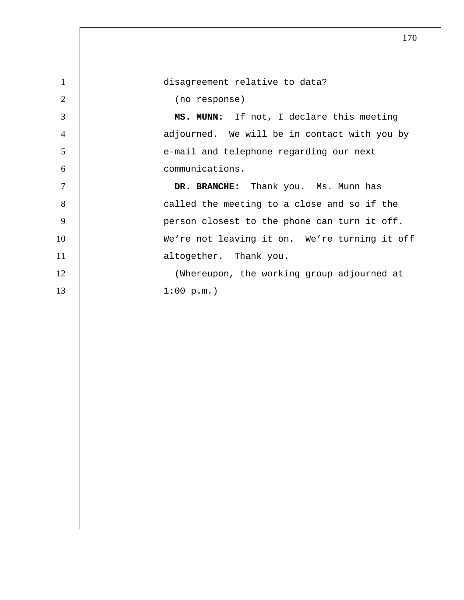| $\mathbf{1}$   | disagreement relative to data?                |
|----------------|-----------------------------------------------|
| $\mathfrak{2}$ | (no response)                                 |
| 3              | MS. MUNN: If not, I declare this meeting      |
| $\overline{4}$ | adjourned. We will be in contact with you by  |
| 5              | e-mail and telephone regarding our next       |
| 6              | communications.                               |
| $\overline{7}$ | DR. BRANCHE: Thank you. Ms. Munn has          |
| $8\,$          | called the meeting to a close and so if the   |
| 9              | person closest to the phone can turn it off.  |
| 10             | We're not leaving it on. We're turning it off |
| 11             | altogether. Thank you.                        |
| 12             | (Whereupon, the working group adjourned at    |
| 13             | 1:00 p.m.                                     |
|                |                                               |
|                |                                               |
|                |                                               |
|                |                                               |
|                |                                               |
|                |                                               |
|                |                                               |
|                |                                               |
|                |                                               |
|                |                                               |
|                |                                               |
|                |                                               |
|                |                                               |
|                |                                               |